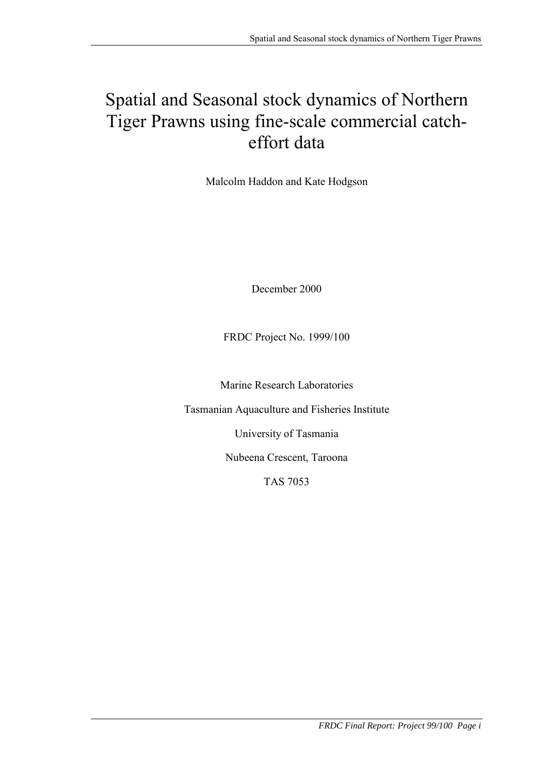# Spatial and Seasonal stock dynamics of Northern Tiger Prawns using fine-scale commercial catcheffort data

Malcolm Haddon and Kate Hodgson

December 2000

FRDC Project No. 1999/100

Marine Research Laboratories

Tasmanian Aquaculture and Fisheries Institute

University of Tasmania

Nubeena Crescent, Taroona

TAS 7053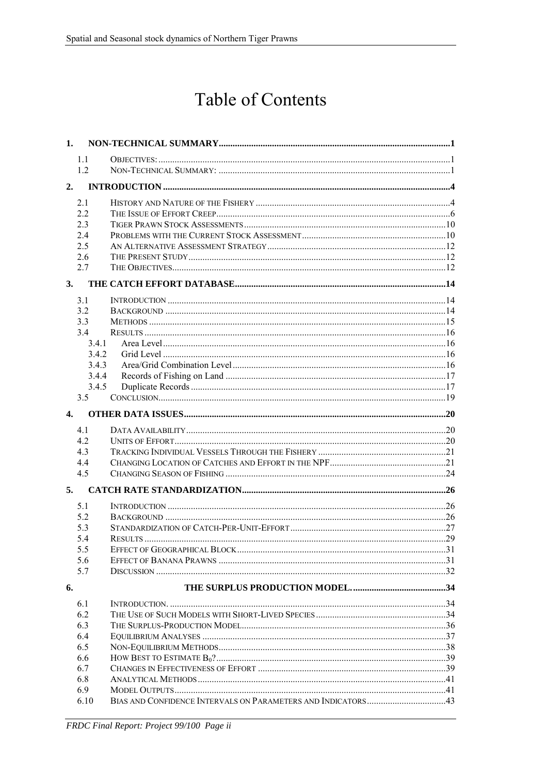# **Table of Contents**

| 1.           |            |  |
|--------------|------------|--|
|              | 1.1        |  |
|              | 12         |  |
|              |            |  |
| 2.           |            |  |
|              | 2.1        |  |
|              | 2.2        |  |
|              | 2.3        |  |
|              | 2.4        |  |
|              | 2.5        |  |
|              | 2.6        |  |
|              | 2.7        |  |
| 3.           |            |  |
|              | 3.1        |  |
|              | 3.2        |  |
|              | 3.3        |  |
|              | 3.4        |  |
|              | 3.4.1      |  |
|              | 3.4.2      |  |
|              | 3.4.3      |  |
|              | 3.4.4      |  |
|              | 3.4.5      |  |
|              | 3.5        |  |
| $\mathbf{4}$ |            |  |
|              | 41         |  |
|              | 42         |  |
|              | 4.3        |  |
|              | 4.4        |  |
|              | 4.5        |  |
| 5.           |            |  |
|              |            |  |
|              | 5.1        |  |
|              | 5.2<br>5.3 |  |
|              | 5.4        |  |
|              | 5.5        |  |
|              | 5.6        |  |
|              | 5.7        |  |
|              |            |  |
| 6.           |            |  |
|              | 6.1        |  |
|              | 6.2        |  |
|              | 6.3        |  |
|              | 6.4        |  |
|              | 6.5        |  |
|              | 6.6        |  |
|              | 6.7        |  |
|              | 6.8        |  |
|              | 6.9        |  |
|              | 6.10       |  |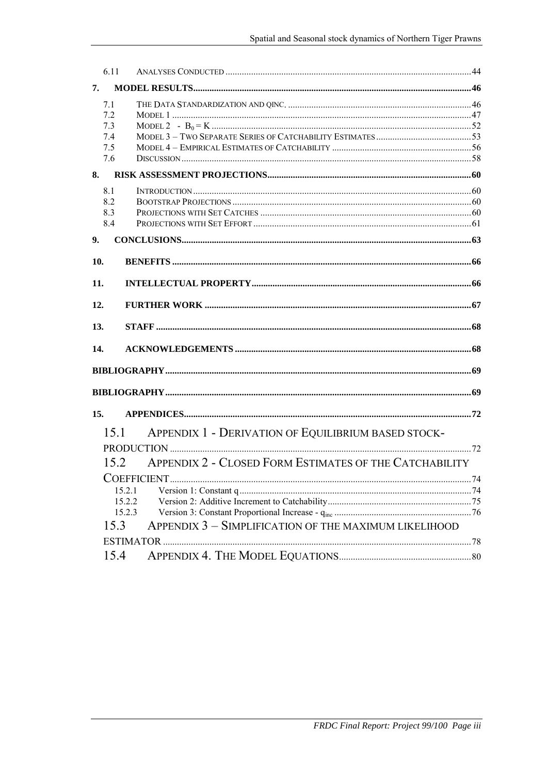| 6.11 |                                                        |      |
|------|--------------------------------------------------------|------|
| 7.   |                                                        |      |
| 7.1  |                                                        |      |
| 7.2  |                                                        |      |
| 7.3  |                                                        |      |
| 7.4  |                                                        |      |
| 7.5  |                                                        |      |
| 7.6  |                                                        |      |
| 8.   |                                                        |      |
| 8.1  |                                                        |      |
| 8.2  |                                                        |      |
| 8.3  |                                                        |      |
| 8.4  |                                                        |      |
| 9.   |                                                        |      |
| 10.  |                                                        |      |
| 11.  |                                                        |      |
| 12.  |                                                        |      |
| 13.  |                                                        |      |
| 14.  |                                                        |      |
|      |                                                        |      |
|      |                                                        |      |
| 15.  |                                                        |      |
| 15.1 | APPENDIX 1 - DERIVATION OF EQUILIBRIUM BASED STOCK-    |      |
|      |                                                        |      |
|      |                                                        |      |
| 15.2 | APPENDIX 2 - CLOSED FORM ESTIMATES OF THE CATCHABILITY |      |
|      |                                                        | . 74 |
|      | 15.2.1                                                 |      |
|      | 15.2.2                                                 |      |
|      | 15.2.3                                                 |      |
| 15.3 | APPENDIX 3 - SIMPLIFICATION OF THE MAXIMUM LIKELIHOOD  |      |
|      |                                                        |      |
|      |                                                        |      |
| 15.4 |                                                        |      |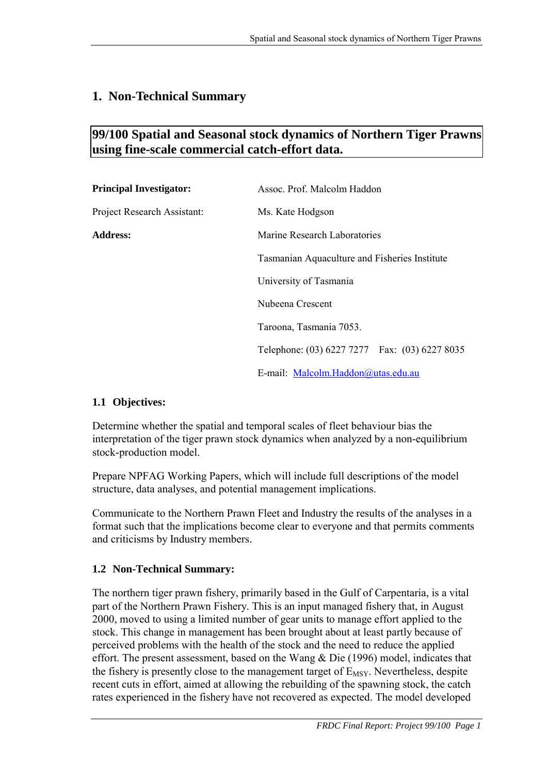# <span id="page-4-0"></span>**1. Non-Technical Summary**

# **99/100 Spatial and Seasonal stock dynamics of Northern Tiger Prawns using fine-scale commercial catch-effort data.**

| <b>Principal Investigator:</b> | Assoc. Prof. Malcolm Haddon                   |
|--------------------------------|-----------------------------------------------|
| Project Research Assistant:    | Ms. Kate Hodgson                              |
| <b>Address:</b>                | Marine Research Laboratories                  |
|                                | Tasmanian Aquaculture and Fisheries Institute |
|                                | University of Tasmania                        |
|                                | Nubeena Crescent                              |
|                                | Taroona, Tasmania 7053.                       |
|                                | Telephone: (03) 6227 7277 Fax: (03) 6227 8035 |
|                                | E-mail: Malcolm.Haddon@utas.edu.au            |

#### **1.1 Objectives:**

Determine whether the spatial and temporal scales of fleet behaviour bias the interpretation of the tiger prawn stock dynamics when analyzed by a non-equilibrium stock-production model.

Prepare NPFAG Working Papers, which will include full descriptions of the model structure, data analyses, and potential management implications.

Communicate to the Northern Prawn Fleet and Industry the results of the analyses in a format such that the implications become clear to everyone and that permits comments and criticisms by Industry members.

#### **1.2 Non-Technical Summary:**

The northern tiger prawn fishery, primarily based in the Gulf of Carpentaria, is a vital part of the Northern Prawn Fishery. This is an input managed fishery that, in August 2000, moved to using a limited number of gear units to manage effort applied to the stock. This change in management has been brought about at least partly because of perceived problems with the health of the stock and the need to reduce the applied effort. The present assessment, based on the Wang & Die (1996) model, indicates that the fishery is presently close to the management target of  $E_{MSV}$ . Nevertheless, despite recent cuts in effort, aimed at allowing the rebuilding of the spawning stock, the catch rates experienced in the fishery have not recovered as expected. The model developed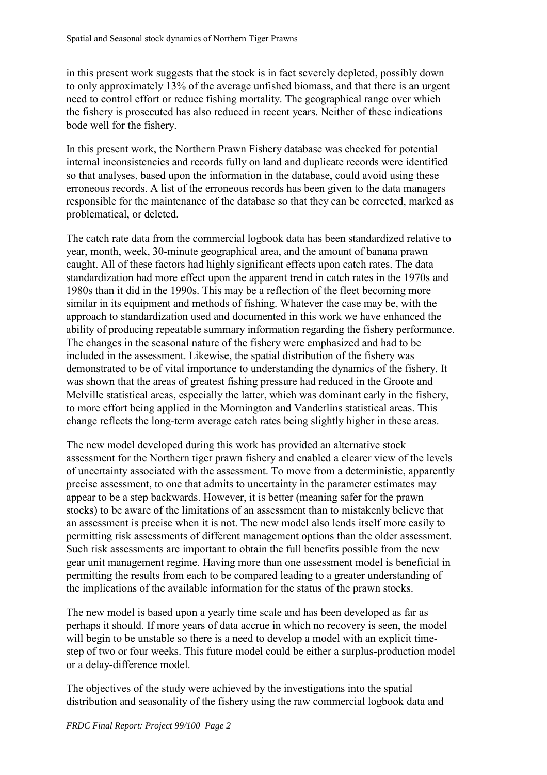in this present work suggests that the stock is in fact severely depleted, possibly down to only approximately 13% of the average unfished biomass, and that there is an urgent need to control effort or reduce fishing mortality. The geographical range over which the fishery is prosecuted has also reduced in recent years. Neither of these indications bode well for the fishery.

In this present work, the Northern Prawn Fishery database was checked for potential internal inconsistencies and records fully on land and duplicate records were identified so that analyses, based upon the information in the database, could avoid using these erroneous records. A list of the erroneous records has been given to the data managers responsible for the maintenance of the database so that they can be corrected, marked as problematical, or deleted.

The catch rate data from the commercial logbook data has been standardized relative to year, month, week, 30-minute geographical area, and the amount of banana prawn caught. All of these factors had highly significant effects upon catch rates. The data standardization had more effect upon the apparent trend in catch rates in the 1970s and 1980s than it did in the 1990s. This may be a reflection of the fleet becoming more similar in its equipment and methods of fishing. Whatever the case may be, with the approach to standardization used and documented in this work we have enhanced the ability of producing repeatable summary information regarding the fishery performance. The changes in the seasonal nature of the fishery were emphasized and had to be included in the assessment. Likewise, the spatial distribution of the fishery was demonstrated to be of vital importance to understanding the dynamics of the fishery. It was shown that the areas of greatest fishing pressure had reduced in the Groote and Melville statistical areas, especially the latter, which was dominant early in the fishery, to more effort being applied in the Mornington and Vanderlins statistical areas. This change reflects the long-term average catch rates being slightly higher in these areas.

The new model developed during this work has provided an alternative stock assessment for the Northern tiger prawn fishery and enabled a clearer view of the levels of uncertainty associated with the assessment. To move from a deterministic, apparently precise assessment, to one that admits to uncertainty in the parameter estimates may appear to be a step backwards. However, it is better (meaning safer for the prawn stocks) to be aware of the limitations of an assessment than to mistakenly believe that an assessment is precise when it is not. The new model also lends itself more easily to permitting risk assessments of different management options than the older assessment. Such risk assessments are important to obtain the full benefits possible from the new gear unit management regime. Having more than one assessment model is beneficial in permitting the results from each to be compared leading to a greater understanding of the implications of the available information for the status of the prawn stocks.

The new model is based upon a yearly time scale and has been developed as far as perhaps it should. If more years of data accrue in which no recovery is seen, the model will begin to be unstable so there is a need to develop a model with an explicit timestep of two or four weeks. This future model could be either a surplus-production model or a delay-difference model.

The objectives of the study were achieved by the investigations into the spatial distribution and seasonality of the fishery using the raw commercial logbook data and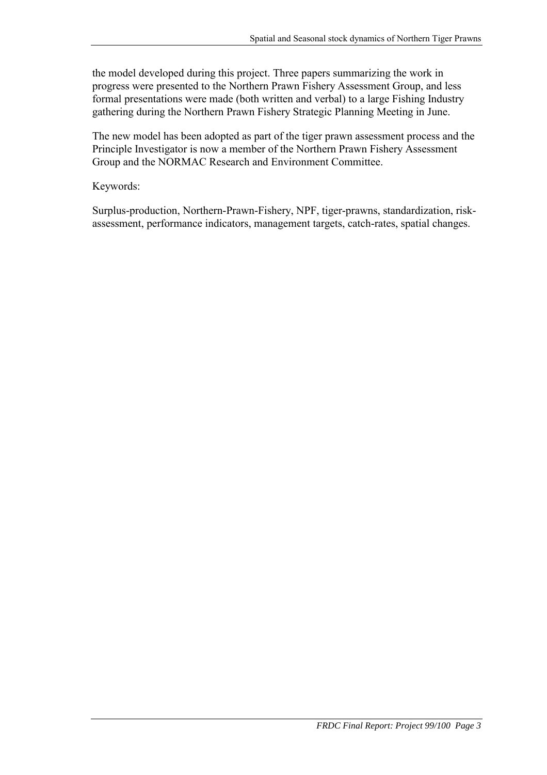the model developed during this project. Three papers summarizing the work in progress were presented to the Northern Prawn Fishery Assessment Group, and less formal presentations were made (both written and verbal) to a large Fishing Industry gathering during the Northern Prawn Fishery Strategic Planning Meeting in June.

The new model has been adopted as part of the tiger prawn assessment process and the Principle Investigator is now a member of the Northern Prawn Fishery Assessment Group and the NORMAC Research and Environment Committee.

Keywords:

Surplus-production, Northern-Prawn-Fishery, NPF, tiger-prawns, standardization, riskassessment, performance indicators, management targets, catch-rates, spatial changes.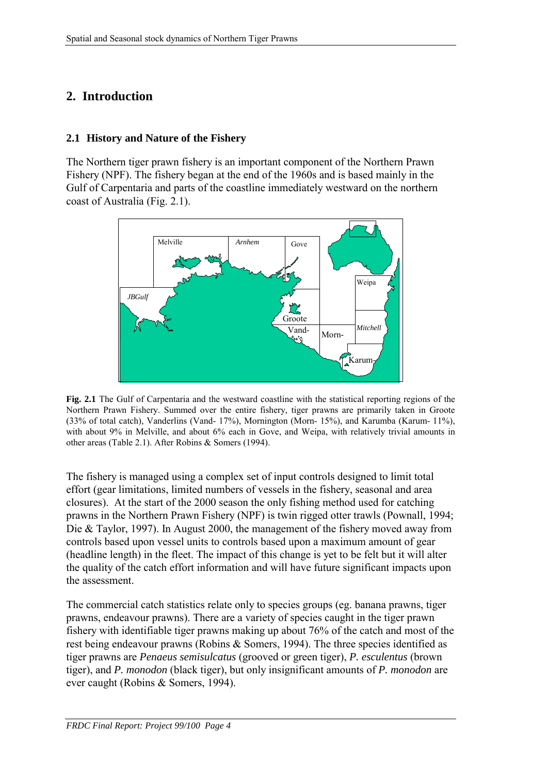# <span id="page-7-0"></span>**2. Introduction**

#### **2.1 History and Nature of the Fishery**

The Northern tiger prawn fishery is an important component of the Northern Prawn Fishery (NPF). The fishery began at the end of the 1960s and is based mainly in the Gulf of Carpentaria and parts of the coastline immediately westward on the northern coast of Australia (Fig. 2.1).



**Fig. 2.1** The Gulf of Carpentaria and the westward coastline with the statistical reporting regions of the Northern Prawn Fishery. Summed over the entire fishery, tiger prawns are primarily taken in Groote (33% of total catch), Vanderlins (Vand- 17%), Mornington (Morn- 15%), and Karumba (Karum- 11%), with about 9% in Melville, and about 6% each in Gove, and Weipa, with relatively trivial amounts in other areas (Table 2.1). After Robins & Somers (1994).

The fishery is managed using a complex set of input controls designed to limit total effort (gear limitations, limited numbers of vessels in the fishery, seasonal and area closures). At the start of the 2000 season the only fishing method used for catching prawns in the Northern Prawn Fishery (NPF) is twin rigged otter trawls (Pownall, 1994; Die & Taylor, 1997). In August 2000, the management of the fishery moved away from controls based upon vessel units to controls based upon a maximum amount of gear (headline length) in the fleet. The impact of this change is yet to be felt but it will alter the quality of the catch effort information and will have future significant impacts upon the assessment.

The commercial catch statistics relate only to species groups (eg. banana prawns, tiger prawns, endeavour prawns). There are a variety of species caught in the tiger prawn fishery with identifiable tiger prawns making up about 76% of the catch and most of the rest being endeavour prawns (Robins & Somers, 1994). The three species identified as tiger prawns are *Penaeus semisulcatus* (grooved or green tiger), *P. esculentus* (brown tiger), and *P. monodon* (black tiger), but only insignificant amounts of *P. monodon* are ever caught (Robins & Somers, 1994).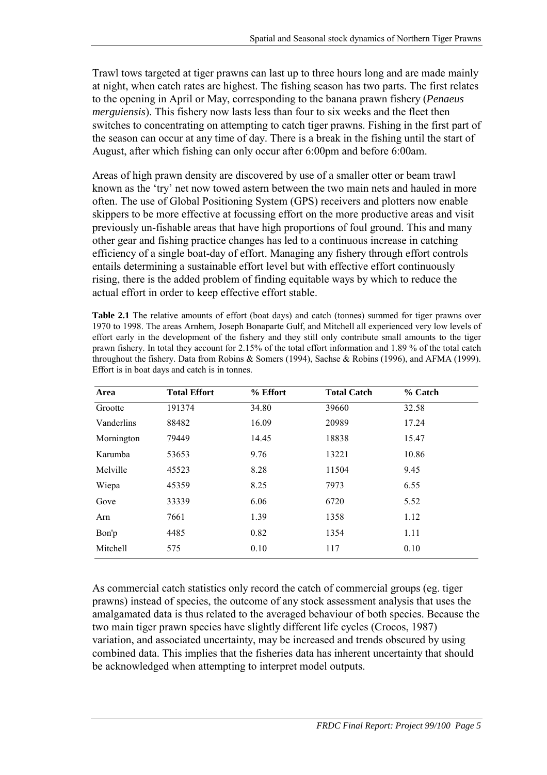Trawl tows targeted at tiger prawns can last up to three hours long and are made mainly at night, when catch rates are highest. The fishing season has two parts. The first relates to the opening in April or May, corresponding to the banana prawn fishery (*Penaeus merguiensis*). This fishery now lasts less than four to six weeks and the fleet then switches to concentrating on attempting to catch tiger prawns. Fishing in the first part of the season can occur at any time of day. There is a break in the fishing until the start of August, after which fishing can only occur after 6:00pm and before 6:00am.

Areas of high prawn density are discovered by use of a smaller otter or beam trawl known as the 'try' net now towed astern between the two main nets and hauled in more often. The use of Global Positioning System (GPS) receivers and plotters now enable skippers to be more effective at focussing effort on the more productive areas and visit previously un-fishable areas that have high proportions of foul ground. This and many other gear and fishing practice changes has led to a continuous increase in catching efficiency of a single boat-day of effort. Managing any fishery through effort controls entails determining a sustainable effort level but with effective effort continuously rising, there is the added problem of finding equitable ways by which to reduce the actual effort in order to keep effective effort stable.

**Table 2.1** The relative amounts of effort (boat days) and catch (tonnes) summed for tiger prawns over 1970 to 1998. The areas Arnhem, Joseph Bonaparte Gulf, and Mitchell all experienced very low levels of effort early in the development of the fishery and they still only contribute small amounts to the tiger prawn fishery. In total they account for 2.15% of the total effort information and 1.89 % of the total catch throughout the fishery. Data from Robins & Somers (1994), Sachse & Robins (1996), and AFMA (1999). Effort is in boat days and catch is in tonnes.

| Area       | <b>Total Effort</b> | % Effort | <b>Total Catch</b> | % Catch |
|------------|---------------------|----------|--------------------|---------|
| Grootte    | 191374              | 34.80    | 39660              | 32.58   |
| Vanderlins | 88482               | 16.09    | 20989              | 17.24   |
| Mornington | 79449               | 14.45    | 18838              | 15.47   |
| Karumba    | 53653               | 9.76     | 13221              | 10.86   |
| Melville   | 45523               | 8.28     | 11504              | 9.45    |
| Wiepa      | 45359               | 8.25     | 7973               | 6.55    |
| Gove       | 33339               | 6.06     | 6720               | 5.52    |
| Arn        | 7661                | 1.39     | 1358               | 1.12    |
| Bon'p      | 4485                | 0.82     | 1354               | 1.11    |
| Mitchell   | 575                 | 0.10     | 117                | 0.10    |

As commercial catch statistics only record the catch of commercial groups (eg. tiger prawns) instead of species, the outcome of any stock assessment analysis that uses the amalgamated data is thus related to the averaged behaviour of both species. Because the two main tiger prawn species have slightly different life cycles (Crocos, 1987) variation, and associated uncertainty, may be increased and trends obscured by using combined data. This implies that the fisheries data has inherent uncertainty that should be acknowledged when attempting to interpret model outputs.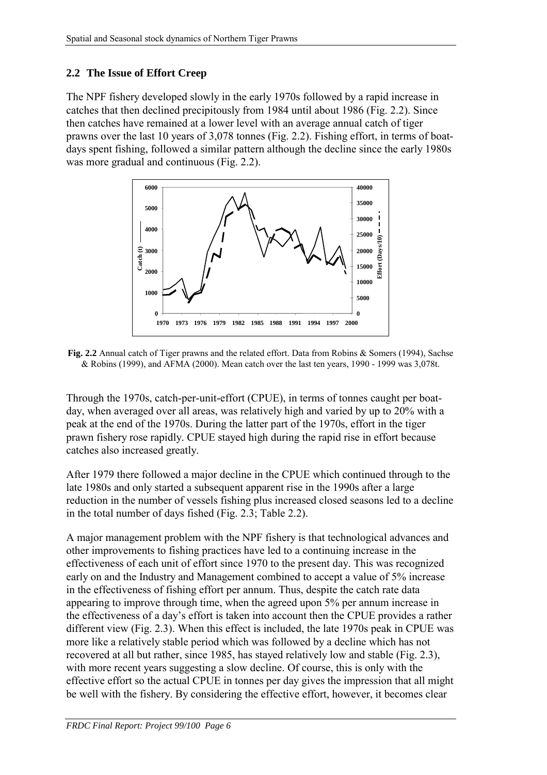# <span id="page-9-0"></span>**2.2 The Issue of Effort Creep**

The NPF fishery developed slowly in the early 1970s followed by a rapid increase in catches that then declined precipitously from 1984 until about 1986 (Fig. 2.2). Since then catches have remained at a lower level with an average annual catch of tiger prawns over the last 10 years of 3,078 tonnes (Fig. 2.2). Fishing effort, in terms of boatdays spent fishing, followed a similar pattern although the decline since the early 1980s was more gradual and continuous (Fig. 2.2).



**Fig. 2.2** Annual catch of Tiger prawns and the related effort. Data from Robins & Somers (1994), Sachse & Robins (1999), and AFMA (2000). Mean catch over the last ten years, 1990 - 1999 was 3,078t.

Through the 1970s, catch-per-unit-effort (CPUE), in terms of tonnes caught per boatday, when averaged over all areas, was relatively high and varied by up to 20% with a peak at the end of the 1970s. During the latter part of the 1970s, effort in the tiger prawn fishery rose rapidly. CPUE stayed high during the rapid rise in effort because catches also increased greatly.

After 1979 there followed a major decline in the CPUE which continued through to the late 1980s and only started a subsequent apparent rise in the 1990s after a large reduction in the number of vessels fishing plus increased closed seasons led to a decline in the total number of days fished (Fig. 2.3; Table 2.2).

A major management problem with the NPF fishery is that technological advances and other improvements to fishing practices have led to a continuing increase in the effectiveness of each unit of effort since 1970 to the present day. This was recognized early on and the Industry and Management combined to accept a value of 5% increase in the effectiveness of fishing effort per annum. Thus, despite the catch rate data appearing to improve through time, when the agreed upon 5% per annum increase in the effectiveness of a day's effort is taken into account then the CPUE provides a rather different view (Fig. 2.3). When this effect is included, the late 1970s peak in CPUE was more like a relatively stable period which was followed by a decline which has not recovered at all but rather, since 1985, has stayed relatively low and stable (Fig. 2.3), with more recent years suggesting a slow decline. Of course, this is only with the effective effort so the actual CPUE in tonnes per day gives the impression that all might be well with the fishery. By considering the effective effort, however, it becomes clear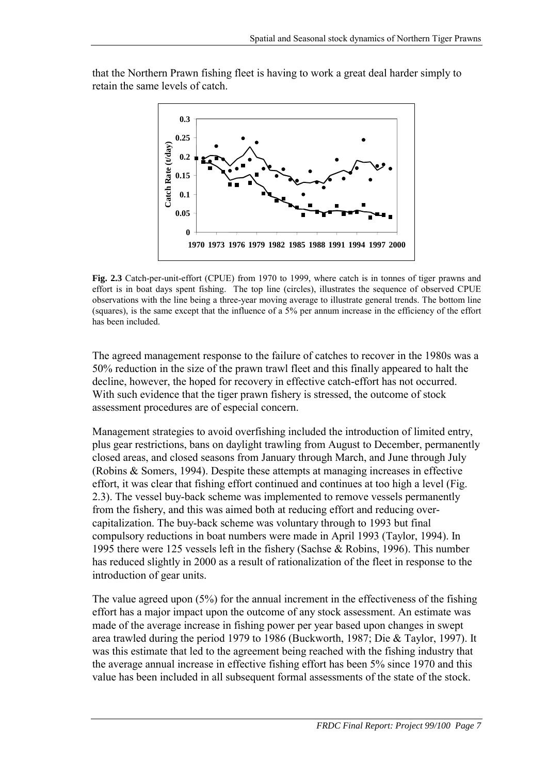

that the Northern Prawn fishing fleet is having to work a great deal harder simply to retain the same levels of catch.

**Fig. 2.3** Catch-per-unit-effort (CPUE) from 1970 to 1999, where catch is in tonnes of tiger prawns and effort is in boat days spent fishing. The top line (circles), illustrates the sequence of observed CPUE observations with the line being a three-year moving average to illustrate general trends. The bottom line (squares), is the same except that the influence of a 5% per annum increase in the efficiency of the effort has been included.

The agreed management response to the failure of catches to recover in the 1980s was a 50% reduction in the size of the prawn trawl fleet and this finally appeared to halt the decline, however, the hoped for recovery in effective catch-effort has not occurred. With such evidence that the tiger prawn fishery is stressed, the outcome of stock assessment procedures are of especial concern.

Management strategies to avoid overfishing included the introduction of limited entry, plus gear restrictions, bans on daylight trawling from August to December, permanently closed areas, and closed seasons from January through March, and June through July (Robins & Somers, 1994). Despite these attempts at managing increases in effective effort, it was clear that fishing effort continued and continues at too high a level (Fig. 2.3). The vessel buy-back scheme was implemented to remove vessels permanently from the fishery, and this was aimed both at reducing effort and reducing overcapitalization. The buy-back scheme was voluntary through to 1993 but final compulsory reductions in boat numbers were made in April 1993 (Taylor, 1994). In 1995 there were 125 vessels left in the fishery (Sachse & Robins, 1996). This number has reduced slightly in 2000 as a result of rationalization of the fleet in response to the introduction of gear units.

The value agreed upon (5%) for the annual increment in the effectiveness of the fishing effort has a major impact upon the outcome of any stock assessment. An estimate was made of the average increase in fishing power per year based upon changes in swept area trawled during the period 1979 to 1986 (Buckworth, 1987; Die & Taylor, 1997). It was this estimate that led to the agreement being reached with the fishing industry that the average annual increase in effective fishing effort has been 5% since 1970 and this value has been included in all subsequent formal assessments of the state of the stock.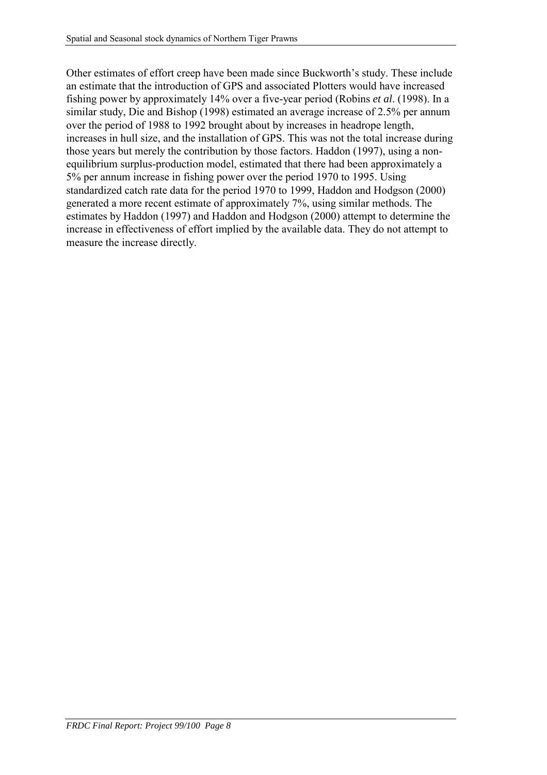Other estimates of effort creep have been made since Buckworth's study. These include an estimate that the introduction of GPS and associated Plotters would have increased fishing power by approximately 14% over a five-year period (Robins *et al*. (1998). In a similar study, Die and Bishop (1998) estimated an average increase of 2.5% per annum over the period of 1988 to 1992 brought about by increases in headrope length, increases in hull size, and the installation of GPS. This was not the total increase during those years but merely the contribution by those factors. Haddon (1997), using a nonequilibrium surplus-production model, estimated that there had been approximately a 5% per annum increase in fishing power over the period 1970 to 1995. Using standardized catch rate data for the period 1970 to 1999, Haddon and Hodgson (2000) generated a more recent estimate of approximately 7%, using similar methods. The estimates by Haddon (1997) and Haddon and Hodgson (2000) attempt to determine the increase in effectiveness of effort implied by the available data. They do not attempt to measure the increase directly.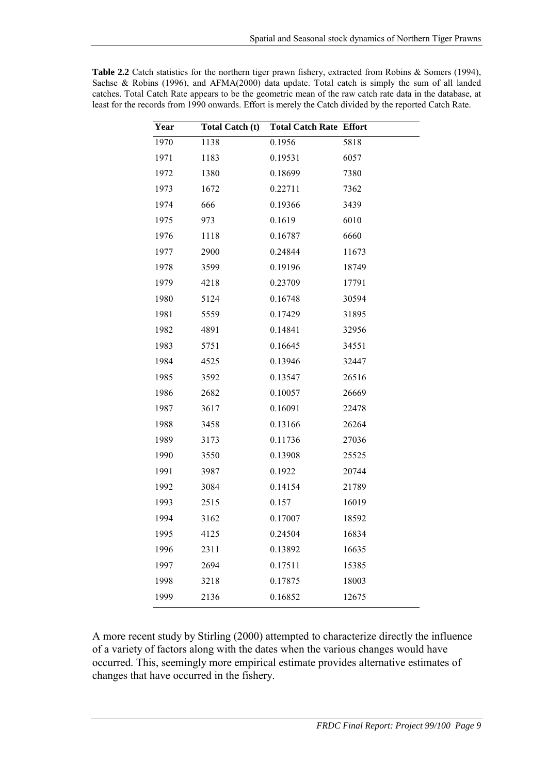$\overline{\phantom{a}}$ 

| Year | <b>Total Catch (t)</b> | <b>Total Catch Rate Effort</b> |       |
|------|------------------------|--------------------------------|-------|
| 1970 | 1138                   | 0.1956                         | 5818  |
| 1971 | 1183                   | 0.19531                        | 6057  |
| 1972 | 1380                   | 0.18699                        | 7380  |
| 1973 | 1672                   | 0.22711                        | 7362  |
| 1974 | 666                    | 0.19366                        | 3439  |
| 1975 | 973                    | 0.1619                         | 6010  |
| 1976 | 1118                   | 0.16787                        | 6660  |
| 1977 | 2900                   | 0.24844                        | 11673 |
| 1978 | 3599                   | 0.19196                        | 18749 |
| 1979 | 4218                   | 0.23709                        | 17791 |
| 1980 | 5124                   | 0.16748                        | 30594 |
| 1981 | 5559                   | 0.17429                        | 31895 |
| 1982 | 4891                   | 0.14841                        | 32956 |
| 1983 | 5751                   | 0.16645                        | 34551 |
| 1984 | 4525                   | 0.13946                        | 32447 |
| 1985 | 3592                   | 0.13547                        | 26516 |
| 1986 | 2682                   | 0.10057                        | 26669 |
| 1987 | 3617                   | 0.16091                        | 22478 |
| 1988 | 3458                   | 0.13166                        | 26264 |
| 1989 | 3173                   | 0.11736                        | 27036 |
| 1990 | 3550                   | 0.13908                        | 25525 |
| 1991 | 3987                   | 0.1922                         | 20744 |
| 1992 | 3084                   | 0.14154                        | 21789 |
| 1993 | 2515                   | 0.157                          | 16019 |
| 1994 | 3162                   | 0.17007                        | 18592 |
| 1995 | 4125                   | 0.24504                        | 16834 |
| 1996 | 2311                   | 0.13892                        | 16635 |
| 1997 | 2694                   | 0.17511                        | 15385 |
| 1998 | 3218                   | 0.17875                        | 18003 |
| 1999 | 2136                   | 0.16852                        | 12675 |

**Table 2.2** Catch statistics for the northern tiger prawn fishery, extracted from Robins & Somers (1994), Sachse & Robins (1996), and AFMA(2000) data update. Total catch is simply the sum of all landed catches. Total Catch Rate appears to be the geometric mean of the raw catch rate data in the database, at least for the records from 1990 onwards. Effort is merely the Catch divided by the reported Catch Rate.

A more recent study by Stirling (2000) attempted to characterize directly the influence of a variety of factors along with the dates when the various changes would have occurred. This, seemingly more empirical estimate provides alternative estimates of changes that have occurred in the fishery.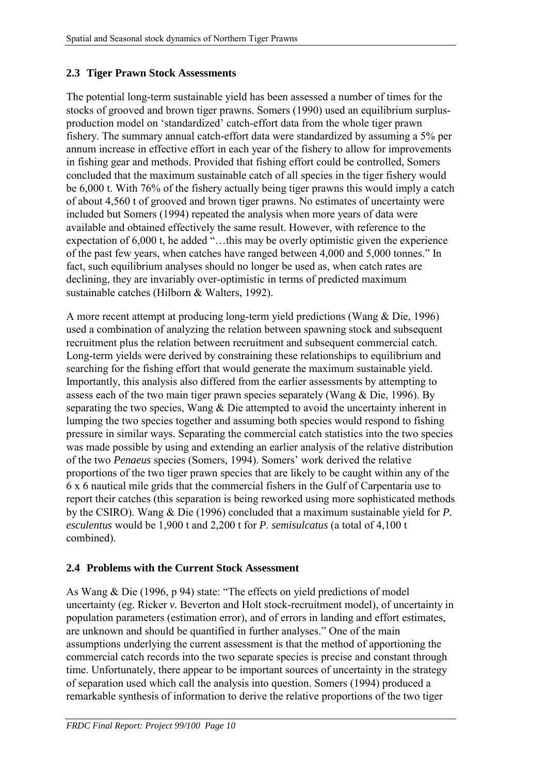# <span id="page-13-0"></span>**2.3 Tiger Prawn Stock Assessments**

The potential long-term sustainable yield has been assessed a number of times for the stocks of grooved and brown tiger prawns. Somers (1990) used an equilibrium surplusproduction model on 'standardized' catch-effort data from the whole tiger prawn fishery. The summary annual catch-effort data were standardized by assuming a 5% per annum increase in effective effort in each year of the fishery to allow for improvements in fishing gear and methods. Provided that fishing effort could be controlled, Somers concluded that the maximum sustainable catch of all species in the tiger fishery would be 6,000 t. With 76% of the fishery actually being tiger prawns this would imply a catch of about 4,560 t of grooved and brown tiger prawns. No estimates of uncertainty were included but Somers (1994) repeated the analysis when more years of data were available and obtained effectively the same result. However, with reference to the expectation of 6,000 t, he added "…this may be overly optimistic given the experience of the past few years, when catches have ranged between 4,000 and 5,000 tonnes." In fact, such equilibrium analyses should no longer be used as, when catch rates are declining, they are invariably over-optimistic in terms of predicted maximum sustainable catches (Hilborn & Walters, 1992).

A more recent attempt at producing long-term yield predictions (Wang & Die, 1996) used a combination of analyzing the relation between spawning stock and subsequent recruitment plus the relation between recruitment and subsequent commercial catch. Long-term yields were derived by constraining these relationships to equilibrium and searching for the fishing effort that would generate the maximum sustainable yield. Importantly, this analysis also differed from the earlier assessments by attempting to assess each of the two main tiger prawn species separately (Wang & Die, 1996). By separating the two species, Wang & Die attempted to avoid the uncertainty inherent in lumping the two species together and assuming both species would respond to fishing pressure in similar ways. Separating the commercial catch statistics into the two species was made possible by using and extending an earlier analysis of the relative distribution of the two *Penaeus* species (Somers, 1994). Somers' work derived the relative proportions of the two tiger prawn species that are likely to be caught within any of the 6 x 6 nautical mile grids that the commercial fishers in the Gulf of Carpentaria use to report their catches (this separation is being reworked using more sophisticated methods by the CSIRO). Wang & Die (1996) concluded that a maximum sustainable yield for *P. esculentus* would be 1,900 t and 2,200 t for *P. semisulcatus* (a total of 4,100 t combined).

## **2.4 Problems with the Current Stock Assessment**

As Wang & Die (1996, p 94) state: "The effects on yield predictions of model uncertainty (eg. Ricker *v.* Beverton and Holt stock-recruitment model), of uncertainty in population parameters (estimation error), and of errors in landing and effort estimates, are unknown and should be quantified in further analyses." One of the main assumptions underlying the current assessment is that the method of apportioning the commercial catch records into the two separate species is precise and constant through time. Unfortunately, there appear to be important sources of uncertainty in the strategy of separation used which call the analysis into question. Somers (1994) produced a remarkable synthesis of information to derive the relative proportions of the two tiger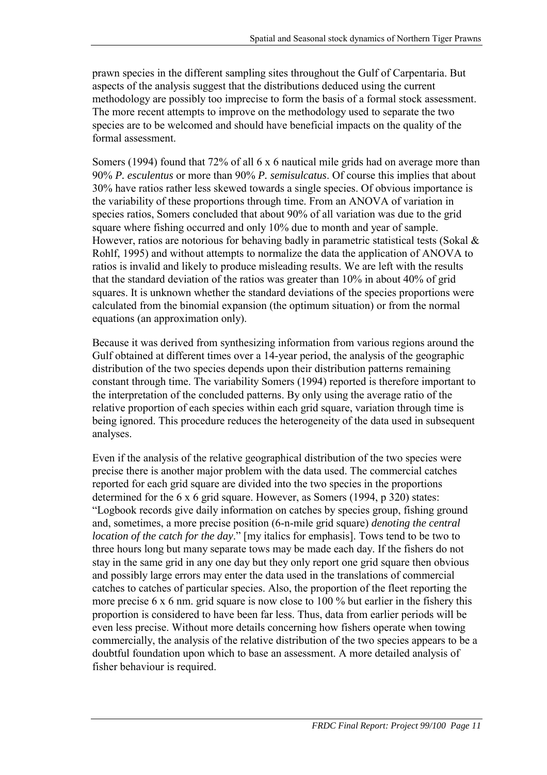prawn species in the different sampling sites throughout the Gulf of Carpentaria. But aspects of the analysis suggest that the distributions deduced using the current methodology are possibly too imprecise to form the basis of a formal stock assessment. The more recent attempts to improve on the methodology used to separate the two species are to be welcomed and should have beneficial impacts on the quality of the formal assessment.

Somers (1994) found that 72% of all 6 x 6 nautical mile grids had on average more than 90% *P. esculentus* or more than 90% *P. semisulcatus*. Of course this implies that about 30% have ratios rather less skewed towards a single species. Of obvious importance is the variability of these proportions through time. From an ANOVA of variation in species ratios, Somers concluded that about 90% of all variation was due to the grid square where fishing occurred and only 10% due to month and year of sample. However, ratios are notorious for behaving badly in parametric statistical tests (Sokal & Rohlf, 1995) and without attempts to normalize the data the application of ANOVA to ratios is invalid and likely to produce misleading results. We are left with the results that the standard deviation of the ratios was greater than 10% in about 40% of grid squares. It is unknown whether the standard deviations of the species proportions were calculated from the binomial expansion (the optimum situation) or from the normal equations (an approximation only).

Because it was derived from synthesizing information from various regions around the Gulf obtained at different times over a 14-year period, the analysis of the geographic distribution of the two species depends upon their distribution patterns remaining constant through time. The variability Somers (1994) reported is therefore important to the interpretation of the concluded patterns. By only using the average ratio of the relative proportion of each species within each grid square, variation through time is being ignored. This procedure reduces the heterogeneity of the data used in subsequent analyses.

Even if the analysis of the relative geographical distribution of the two species were precise there is another major problem with the data used. The commercial catches reported for each grid square are divided into the two species in the proportions determined for the 6 x 6 grid square. However, as Somers (1994, p 320) states: "Logbook records give daily information on catches by species group, fishing ground and, sometimes, a more precise position (6-n-mile grid square) *denoting the central location of the catch for the day*." [my italics for emphasis]. Tows tend to be two to three hours long but many separate tows may be made each day. If the fishers do not stay in the same grid in any one day but they only report one grid square then obvious and possibly large errors may enter the data used in the translations of commercial catches to catches of particular species. Also, the proportion of the fleet reporting the more precise 6 x 6 nm. grid square is now close to 100 % but earlier in the fishery this proportion is considered to have been far less. Thus, data from earlier periods will be even less precise. Without more details concerning how fishers operate when towing commercially, the analysis of the relative distribution of the two species appears to be a doubtful foundation upon which to base an assessment. A more detailed analysis of fisher behaviour is required.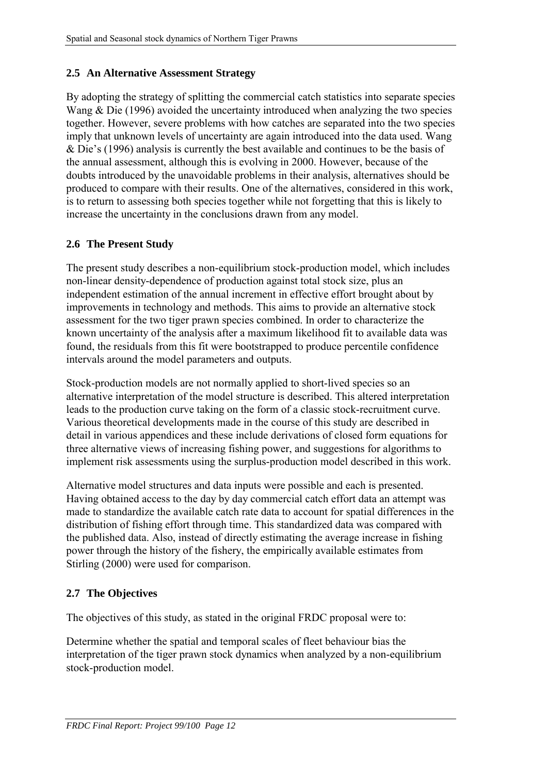# <span id="page-15-0"></span>**2.5 An Alternative Assessment Strategy**

By adopting the strategy of splitting the commercial catch statistics into separate species Wang & Die (1996) avoided the uncertainty introduced when analyzing the two species together. However, severe problems with how catches are separated into the two species imply that unknown levels of uncertainty are again introduced into the data used. Wang & Die's (1996) analysis is currently the best available and continues to be the basis of the annual assessment, although this is evolving in 2000. However, because of the doubts introduced by the unavoidable problems in their analysis, alternatives should be produced to compare with their results. One of the alternatives, considered in this work, is to return to assessing both species together while not forgetting that this is likely to increase the uncertainty in the conclusions drawn from any model.

## **2.6 The Present Study**

The present study describes a non-equilibrium stock-production model, which includes non-linear density-dependence of production against total stock size, plus an independent estimation of the annual increment in effective effort brought about by improvements in technology and methods. This aims to provide an alternative stock assessment for the two tiger prawn species combined. In order to characterize the known uncertainty of the analysis after a maximum likelihood fit to available data was found, the residuals from this fit were bootstrapped to produce percentile confidence intervals around the model parameters and outputs.

Stock-production models are not normally applied to short-lived species so an alternative interpretation of the model structure is described. This altered interpretation leads to the production curve taking on the form of a classic stock-recruitment curve. Various theoretical developments made in the course of this study are described in detail in various appendices and these include derivations of closed form equations for three alternative views of increasing fishing power, and suggestions for algorithms to implement risk assessments using the surplus-production model described in this work.

Alternative model structures and data inputs were possible and each is presented. Having obtained access to the day by day commercial catch effort data an attempt was made to standardize the available catch rate data to account for spatial differences in the distribution of fishing effort through time. This standardized data was compared with the published data. Also, instead of directly estimating the average increase in fishing power through the history of the fishery, the empirically available estimates from Stirling (2000) were used for comparison.

# **2.7 The Objectives**

The objectives of this study, as stated in the original FRDC proposal were to:

Determine whether the spatial and temporal scales of fleet behaviour bias the interpretation of the tiger prawn stock dynamics when analyzed by a non-equilibrium stock-production model.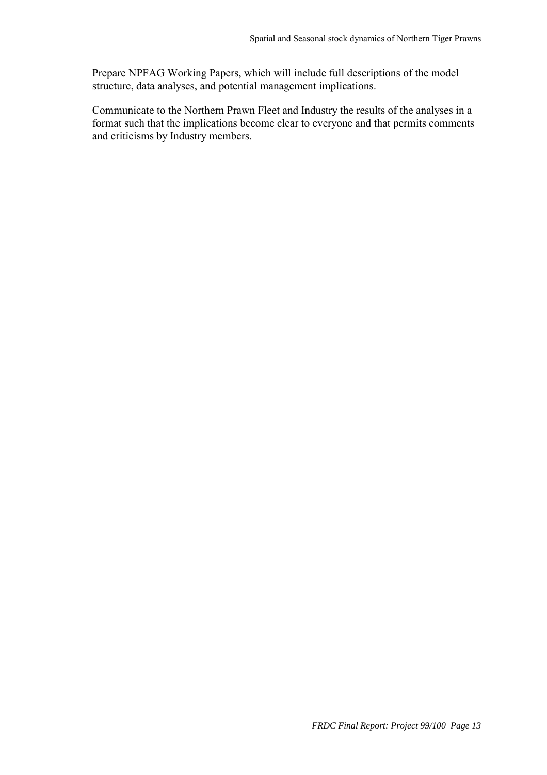Prepare NPFAG Working Papers, which will include full descriptions of the model structure, data analyses, and potential management implications.

Communicate to the Northern Prawn Fleet and Industry the results of the analyses in a format such that the implications become clear to everyone and that permits comments and criticisms by Industry members.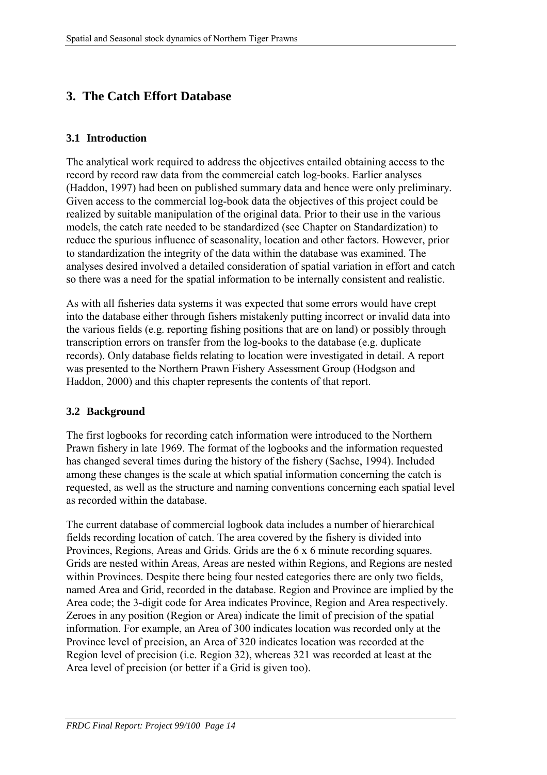# <span id="page-17-0"></span>**3. The Catch Effort Database**

#### **3.1 Introduction**

The analytical work required to address the objectives entailed obtaining access to the record by record raw data from the commercial catch log-books. Earlier analyses (Haddon, 1997) had been on published summary data and hence were only preliminary. Given access to the commercial log-book data the objectives of this project could be realized by suitable manipulation of the original data. Prior to their use in the various models, the catch rate needed to be standardized (see Chapter on Standardization) to reduce the spurious influence of seasonality, location and other factors. However, prior to standardization the integrity of the data within the database was examined. The analyses desired involved a detailed consideration of spatial variation in effort and catch so there was a need for the spatial information to be internally consistent and realistic.

As with all fisheries data systems it was expected that some errors would have crept into the database either through fishers mistakenly putting incorrect or invalid data into the various fields (e.g. reporting fishing positions that are on land) or possibly through transcription errors on transfer from the log-books to the database (e.g. duplicate records). Only database fields relating to location were investigated in detail. A report was presented to the Northern Prawn Fishery Assessment Group (Hodgson and Haddon, 2000) and this chapter represents the contents of that report.

#### **3.2 Background**

The first logbooks for recording catch information were introduced to the Northern Prawn fishery in late 1969. The format of the logbooks and the information requested has changed several times during the history of the fishery (Sachse, 1994). Included among these changes is the scale at which spatial information concerning the catch is requested, as well as the structure and naming conventions concerning each spatial level as recorded within the database.

The current database of commercial logbook data includes a number of hierarchical fields recording location of catch. The area covered by the fishery is divided into Provinces, Regions, Areas and Grids. Grids are the 6 x 6 minute recording squares. Grids are nested within Areas, Areas are nested within Regions, and Regions are nested within Provinces. Despite there being four nested categories there are only two fields, named Area and Grid, recorded in the database. Region and Province are implied by the Area code; the 3-digit code for Area indicates Province, Region and Area respectively. Zeroes in any position (Region or Area) indicate the limit of precision of the spatial information. For example, an Area of 300 indicates location was recorded only at the Province level of precision, an Area of 320 indicates location was recorded at the Region level of precision (i.e. Region 32), whereas 321 was recorded at least at the Area level of precision (or better if a Grid is given too).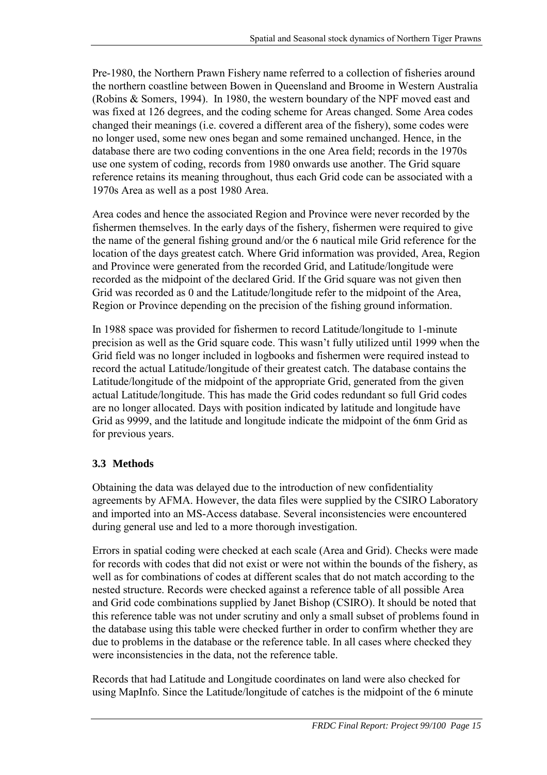<span id="page-18-0"></span>Pre-1980, the Northern Prawn Fishery name referred to a collection of fisheries around the northern coastline between Bowen in Queensland and Broome in Western Australia (Robins & Somers, 1994). In 1980, the western boundary of the NPF moved east and was fixed at 126 degrees, and the coding scheme for Areas changed. Some Area codes changed their meanings (i.e. covered a different area of the fishery), some codes were no longer used, some new ones began and some remained unchanged. Hence, in the database there are two coding conventions in the one Area field; records in the 1970s use one system of coding, records from 1980 onwards use another. The Grid square reference retains its meaning throughout, thus each Grid code can be associated with a 1970s Area as well as a post 1980 Area.

Area codes and hence the associated Region and Province were never recorded by the fishermen themselves. In the early days of the fishery, fishermen were required to give the name of the general fishing ground and/or the 6 nautical mile Grid reference for the location of the days greatest catch. Where Grid information was provided, Area, Region and Province were generated from the recorded Grid, and Latitude/longitude were recorded as the midpoint of the declared Grid. If the Grid square was not given then Grid was recorded as 0 and the Latitude/longitude refer to the midpoint of the Area, Region or Province depending on the precision of the fishing ground information.

In 1988 space was provided for fishermen to record Latitude/longitude to 1-minute precision as well as the Grid square code. This wasn't fully utilized until 1999 when the Grid field was no longer included in logbooks and fishermen were required instead to record the actual Latitude/longitude of their greatest catch. The database contains the Latitude/longitude of the midpoint of the appropriate Grid, generated from the given actual Latitude/longitude. This has made the Grid codes redundant so full Grid codes are no longer allocated. Days with position indicated by latitude and longitude have Grid as 9999, and the latitude and longitude indicate the midpoint of the 6nm Grid as for previous years.

# **3.3 Methods**

Obtaining the data was delayed due to the introduction of new confidentiality agreements by AFMA. However, the data files were supplied by the CSIRO Laboratory and imported into an MS-Access database. Several inconsistencies were encountered during general use and led to a more thorough investigation.

Errors in spatial coding were checked at each scale (Area and Grid). Checks were made for records with codes that did not exist or were not within the bounds of the fishery, as well as for combinations of codes at different scales that do not match according to the nested structure. Records were checked against a reference table of all possible Area and Grid code combinations supplied by Janet Bishop (CSIRO). It should be noted that this reference table was not under scrutiny and only a small subset of problems found in the database using this table were checked further in order to confirm whether they are due to problems in the database or the reference table. In all cases where checked they were inconsistencies in the data, not the reference table.

Records that had Latitude and Longitude coordinates on land were also checked for using MapInfo. Since the Latitude/longitude of catches is the midpoint of the 6 minute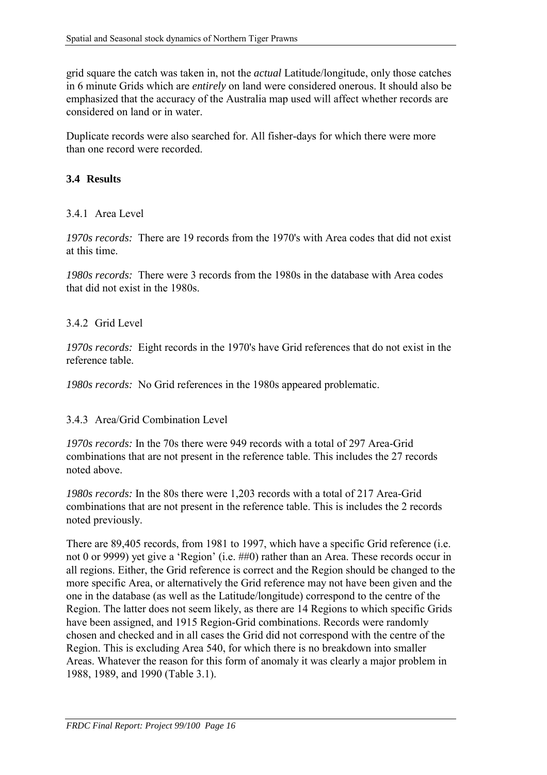<span id="page-19-0"></span>grid square the catch was taken in, not the *actual* Latitude/longitude, only those catches in 6 minute Grids which are *entirely* on land were considered onerous. It should also be emphasized that the accuracy of the Australia map used will affect whether records are considered on land or in water.

Duplicate records were also searched for. All fisher-days for which there were more than one record were recorded.

### **3.4 Results**

#### 3.4.1 Area Level

*1970s records:* There are 19 records from the 1970's with Area codes that did not exist at this time.

*1980s records:* There were 3 records from the 1980s in the database with Area codes that did not exist in the 1980s.

#### 3.4.2 Grid Level

*1970s records:* Eight records in the 1970's have Grid references that do not exist in the reference table.

*1980s records:* No Grid references in the 1980s appeared problematic.

#### 3.4.3 Area/Grid Combination Level

*1970s records:* In the 70s there were 949 records with a total of 297 Area-Grid combinations that are not present in the reference table. This includes the 27 records noted above.

*1980s records:* In the 80s there were 1,203 records with a total of 217 Area-Grid combinations that are not present in the reference table. This is includes the 2 records noted previously.

There are 89,405 records, from 1981 to 1997, which have a specific Grid reference (i.e. not 0 or 9999) yet give a 'Region' (i.e. ##0) rather than an Area. These records occur in all regions. Either, the Grid reference is correct and the Region should be changed to the more specific Area, or alternatively the Grid reference may not have been given and the one in the database (as well as the Latitude/longitude) correspond to the centre of the Region. The latter does not seem likely, as there are 14 Regions to which specific Grids have been assigned, and 1915 Region-Grid combinations. Records were randomly chosen and checked and in all cases the Grid did not correspond with the centre of the Region. This is excluding Area 540, for which there is no breakdown into smaller Areas. Whatever the reason for this form of anomaly it was clearly a major problem in 1988, 1989, and 1990 (Table 3.1).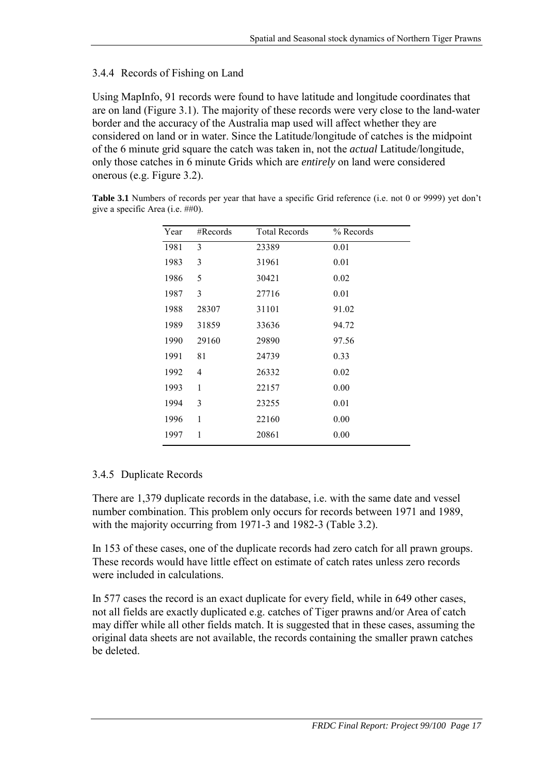## <span id="page-20-0"></span>3.4.4 Records of Fishing on Land

Using MapInfo, 91 records were found to have latitude and longitude coordinates that are on land (Figure 3.1). The majority of these records were very close to the land-water border and the accuracy of the Australia map used will affect whether they are considered on land or in water. Since the Latitude/longitude of catches is the midpoint of the 6 minute grid square the catch was taken in, not the *actual* Latitude/longitude, only those catches in 6 minute Grids which are *entirely* on land were considered onerous (e.g. Figure 3.2).

**Table 3.1** Numbers of records per year that have a specific Grid reference (i.e. not 0 or 9999) yet don't give a specific Area (i.e. ##0).

| Year | #Records | <b>Total Records</b> | $%$ Records |
|------|----------|----------------------|-------------|
| 1981 | 3        | 23389                | 0.01        |
| 1983 | 3        | 31961                | 0.01        |
| 1986 | 5        | 30421                | 0.02        |
| 1987 | 3        | 27716                | 0.01        |
| 1988 | 28307    | 31101                | 91.02       |
| 1989 | 31859    | 33636                | 94.72       |
| 1990 | 29160    | 29890                | 97.56       |
| 1991 | 81       | 24739                | 0.33        |
| 1992 | 4        | 26332                | 0.02        |
| 1993 | 1        | 22157                | 0.00        |
| 1994 | 3        | 23255                | 0.01        |
| 1996 | 1        | 22160                | 0.00        |
| 1997 | 1        | 20861                | 0.00        |

## 3.4.5 Duplicate Records

There are 1,379 duplicate records in the database, i.e. with the same date and vessel number combination. This problem only occurs for records between 1971 and 1989, with the majority occurring from 1971-3 and 1982-3 (Table 3.2).

In 153 of these cases, one of the duplicate records had zero catch for all prawn groups. These records would have little effect on estimate of catch rates unless zero records were included in calculations.

In 577 cases the record is an exact duplicate for every field, while in 649 other cases, not all fields are exactly duplicated e.g. catches of Tiger prawns and/or Area of catch may differ while all other fields match. It is suggested that in these cases, assuming the original data sheets are not available, the records containing the smaller prawn catches be deleted.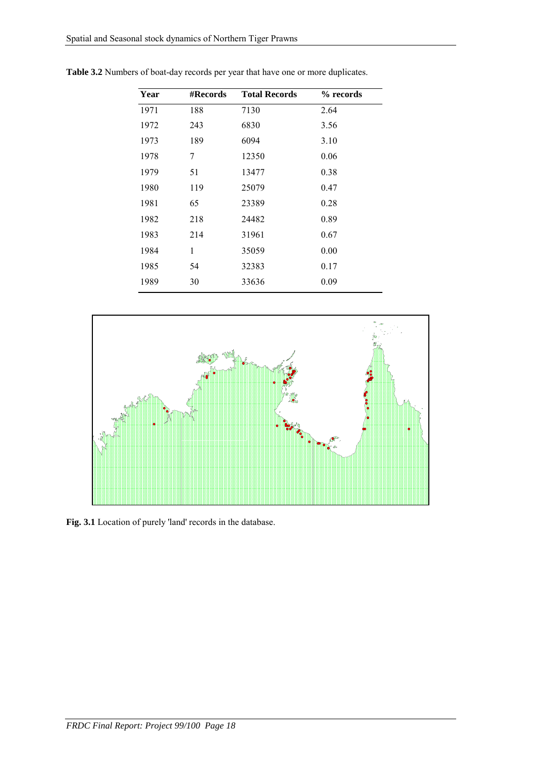| Year | #Records | <b>Total Records</b> | % records |
|------|----------|----------------------|-----------|
| 1971 | 188      | 7130                 | 2.64      |
| 1972 | 243      | 6830                 | 3.56      |
| 1973 | 189      | 6094                 | 3.10      |
| 1978 | 7        | 12350                | 0.06      |
| 1979 | 51       | 13477                | 0.38      |
| 1980 | 119      | 25079                | 0.47      |
| 1981 | 65       | 23389                | 0.28      |
| 1982 | 218      | 24482                | 0.89      |
| 1983 | 214      | 31961                | 0.67      |
| 1984 | 1        | 35059                | 0.00      |
| 1985 | 54       | 32383                | 0.17      |
| 1989 | 30       | 33636                | 0.09      |

**Table 3.2** Numbers of boat-day records per year that have one or more duplicates.



**Fig. 3.1** Location of purely 'land' records in the database.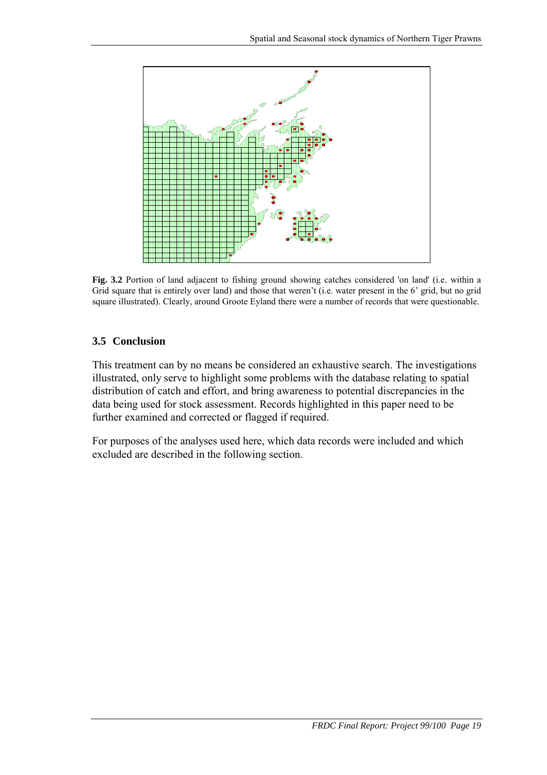<span id="page-22-0"></span>

**Fig. 3.2** Portion of land adjacent to fishing ground showing catches considered 'on land' (i.e. within a Grid square that is entirely over land) and those that weren't (i.e. water present in the 6' grid, but no grid square illustrated). Clearly, around Groote Eyland there were a number of records that were questionable.

## **3.5 Conclusion**

This treatment can by no means be considered an exhaustive search. The investigations illustrated, only serve to highlight some problems with the database relating to spatial distribution of catch and effort, and bring awareness to potential discrepancies in the data being used for stock assessment. Records highlighted in this paper need to be further examined and corrected or flagged if required.

For purposes of the analyses used here, which data records were included and which excluded are described in the following section.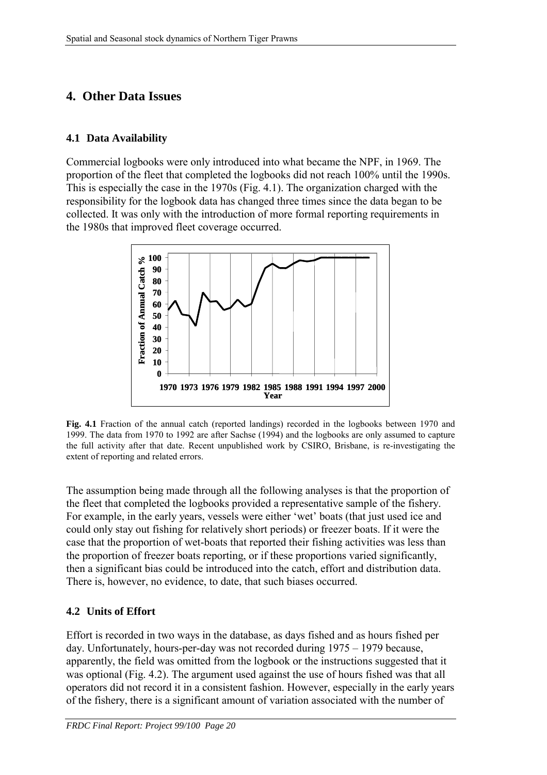# <span id="page-23-0"></span>**4. Other Data Issues**

#### **4.1 Data Availability**

Commercial logbooks were only introduced into what became the NPF, in 1969. The proportion of the fleet that completed the logbooks did not reach 100% until the 1990s. This is especially the case in the 1970s (Fig. 4.1). The organization charged with the responsibility for the logbook data has changed three times since the data began to be collected. It was only with the introduction of more formal reporting requirements in the 1980s that improved fleet coverage occurred.



**Fig. 4.1** Fraction of the annual catch (reported landings) recorded in the logbooks between 1970 and 1999. The data from 1970 to 1992 are after Sachse (1994) and the logbooks are only assumed to capture the full activity after that date. Recent unpublished work by CSIRO, Brisbane, is re-investigating the extent of reporting and related errors.

The assumption being made through all the following analyses is that the proportion of the fleet that completed the logbooks provided a representative sample of the fishery. For example, in the early years, vessels were either 'wet' boats (that just used ice and could only stay out fishing for relatively short periods) or freezer boats. If it were the case that the proportion of wet-boats that reported their fishing activities was less than the proportion of freezer boats reporting, or if these proportions varied significantly, then a significant bias could be introduced into the catch, effort and distribution data. There is, however, no evidence, to date, that such biases occurred.

## **4.2 Units of Effort**

Effort is recorded in two ways in the database, as days fished and as hours fished per day. Unfortunately, hours-per-day was not recorded during 1975 – 1979 because, apparently, the field was omitted from the logbook or the instructions suggested that it was optional (Fig. 4.2). The argument used against the use of hours fished was that all operators did not record it in a consistent fashion. However, especially in the early years of the fishery, there is a significant amount of variation associated with the number of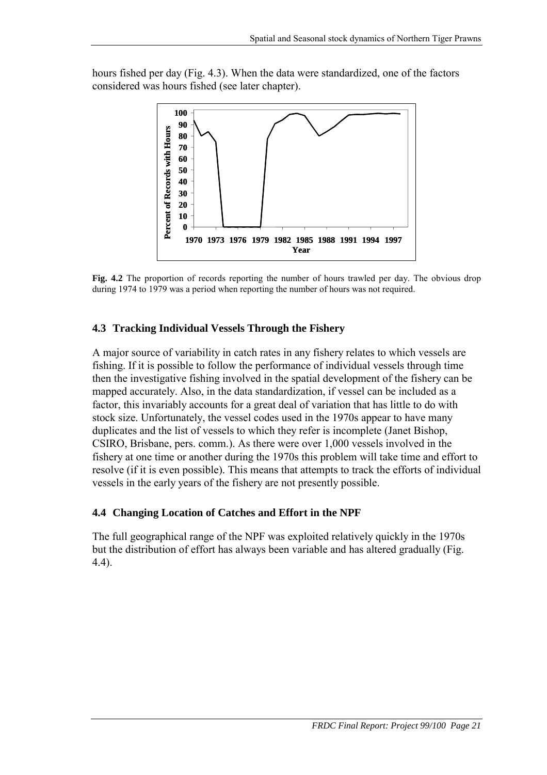<span id="page-24-0"></span>hours fished per day (Fig. 4.3). When the data were standardized, one of the factors considered was hours fished (see later chapter).



**Fig. 4.2** The proportion of records reporting the number of hours trawled per day. The obvious drop during 1974 to 1979 was a period when reporting the number of hours was not required.

#### **4.3 Tracking Individual Vessels Through the Fishery**

A major source of variability in catch rates in any fishery relates to which vessels are fishing. If it is possible to follow the performance of individual vessels through time then the investigative fishing involved in the spatial development of the fishery can be mapped accurately. Also, in the data standardization, if vessel can be included as a factor, this invariably accounts for a great deal of variation that has little to do with stock size. Unfortunately, the vessel codes used in the 1970s appear to have many duplicates and the list of vessels to which they refer is incomplete (Janet Bishop, CSIRO, Brisbane, pers. comm.). As there were over 1,000 vessels involved in the fishery at one time or another during the 1970s this problem will take time and effort to resolve (if it is even possible). This means that attempts to track the efforts of individual vessels in the early years of the fishery are not presently possible.

#### **4.4 Changing Location of Catches and Effort in the NPF**

The full geographical range of the NPF was exploited relatively quickly in the 1970s but the distribution of effort has always been variable and has altered gradually (Fig. 4.4).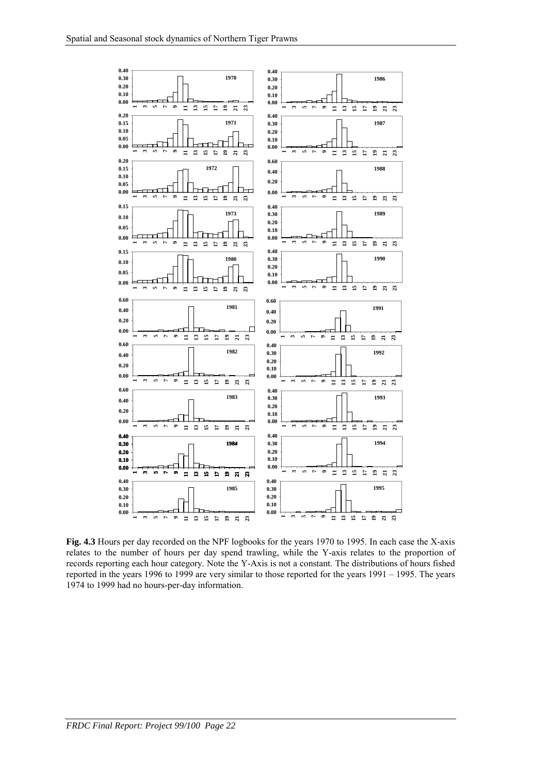

**Fig. 4.3** Hours per day recorded on the NPF logbooks for the years 1970 to 1995. In each case the X-axis relates to the number of hours per day spend trawling, while the Y-axis relates to the proportion of records reporting each hour category. Note the Y-Axis is not a constant. The distributions of hours fished reported in the years 1996 to 1999 are very similar to those reported for the years 1991 – 1995. The years 1974 to 1999 had no hours-per-day information.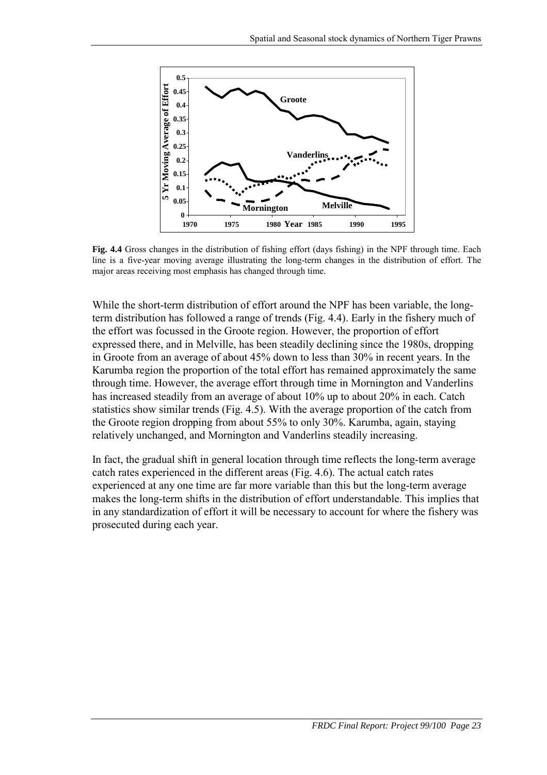

**Fig. 4.4** Gross changes in the distribution of fishing effort (days fishing) in the NPF through time. Each line is a five-year moving average illustrating the long-term changes in the distribution of effort. The major areas receiving most emphasis has changed through time.

While the short-term distribution of effort around the NPF has been variable, the longterm distribution has followed a range of trends (Fig. 4.4). Early in the fishery much of the effort was focussed in the Groote region. However, the proportion of effort expressed there, and in Melville, has been steadily declining since the 1980s, dropping in Groote from an average of about 45% down to less than 30% in recent years. In the Karumba region the proportion of the total effort has remained approximately the same through time. However, the average effort through time in Mornington and Vanderlins has increased steadily from an average of about 10% up to about 20% in each. Catch statistics show similar trends (Fig. 4.5). With the average proportion of the catch from the Groote region dropping from about 55% to only 30%. Karumba, again, staying relatively unchanged, and Mornington and Vanderlins steadily increasing.

In fact, the gradual shift in general location through time reflects the long-term average catch rates experienced in the different areas (Fig. 4.6). The actual catch rates experienced at any one time are far more variable than this but the long-term average makes the long-term shifts in the distribution of effort understandable. This implies that in any standardization of effort it will be necessary to account for where the fishery was prosecuted during each year.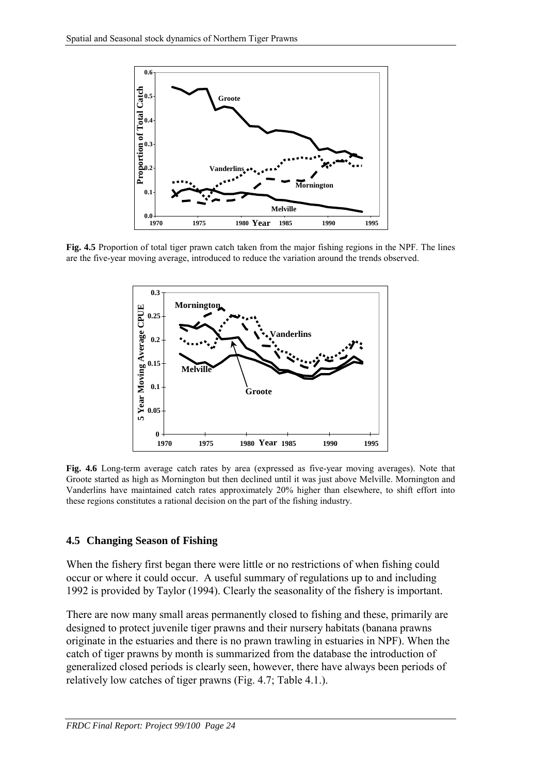<span id="page-27-0"></span>

**Fig. 4.5** Proportion of total tiger prawn catch taken from the major fishing regions in the NPF. The lines are the five-year moving average, introduced to reduce the variation around the trends observed.



**Fig. 4.6** Long-term average catch rates by area (expressed as five-year moving averages). Note that Groote started as high as Mornington but then declined until it was just above Melville. Mornington and Vanderlins have maintained catch rates approximately 20% higher than elsewhere, to shift effort into these regions constitutes a rational decision on the part of the fishing industry.

#### **4.5 Changing Season of Fishing**

When the fishery first began there were little or no restrictions of when fishing could occur or where it could occur. A useful summary of regulations up to and including 1992 is provided by Taylor (1994). Clearly the seasonality of the fishery is important.

There are now many small areas permanently closed to fishing and these, primarily are designed to protect juvenile tiger prawns and their nursery habitats (banana prawns originate in the estuaries and there is no prawn trawling in estuaries in NPF). When the catch of tiger prawns by month is summarized from the database the introduction of generalized closed periods is clearly seen, however, there have always been periods of relatively low catches of tiger prawns (Fig. 4.7; Table 4.1.).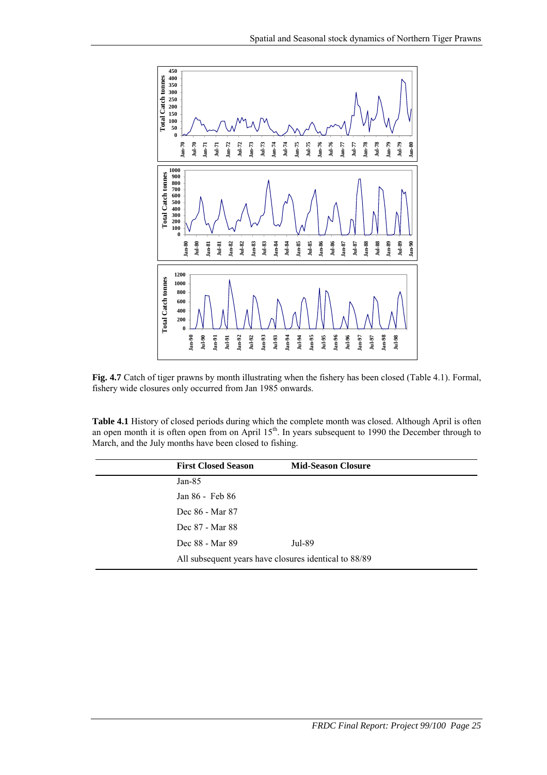

**Fig. 4.7** Catch of tiger prawns by month illustrating when the fishery has been closed (Table 4.1). Formal, fishery wide closures only occurred from Jan 1985 onwards.

**Table 4.1** History of closed periods during which the complete month was closed. Although April is often an open month it is often open from on April 15<sup>th</sup>. In years subsequent to 1990 the December through to March, and the July months have been closed to fishing.

| <b>First Closed Season</b>                            | <b>Mid-Season Closure</b> |
|-------------------------------------------------------|---------------------------|
| Jan- $85$                                             |                           |
| Jan 86 - Feb 86                                       |                           |
| Dec 86 - Mar 87                                       |                           |
| Dec 87 - Mar 88                                       |                           |
| Dec 88 - Mar 89                                       | Jul-89                    |
| All subsequent years have closures identical to 88/89 |                           |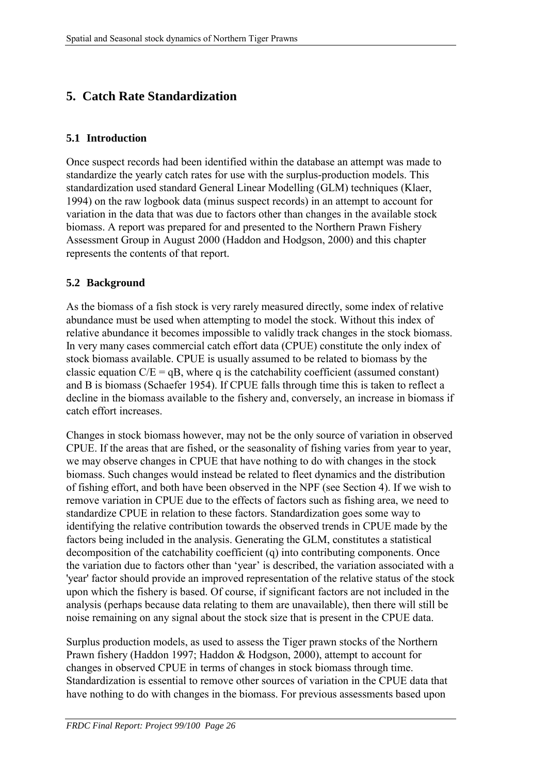# <span id="page-29-0"></span>**5. Catch Rate Standardization**

#### **5.1 Introduction**

Once suspect records had been identified within the database an attempt was made to standardize the yearly catch rates for use with the surplus-production models. This standardization used standard General Linear Modelling (GLM) techniques (Klaer, 1994) on the raw logbook data (minus suspect records) in an attempt to account for variation in the data that was due to factors other than changes in the available stock biomass. A report was prepared for and presented to the Northern Prawn Fishery Assessment Group in August 2000 (Haddon and Hodgson, 2000) and this chapter represents the contents of that report.

#### **5.2 Background**

As the biomass of a fish stock is very rarely measured directly, some index of relative abundance must be used when attempting to model the stock. Without this index of relative abundance it becomes impossible to validly track changes in the stock biomass. In very many cases commercial catch effort data (CPUE) constitute the only index of stock biomass available. CPUE is usually assumed to be related to biomass by the classic equation  $C/E = qB$ , where q is the catchability coefficient (assumed constant) and B is biomass (Schaefer 1954). If CPUE falls through time this is taken to reflect a decline in the biomass available to the fishery and, conversely, an increase in biomass if catch effort increases.

Changes in stock biomass however, may not be the only source of variation in observed CPUE. If the areas that are fished, or the seasonality of fishing varies from year to year, we may observe changes in CPUE that have nothing to do with changes in the stock biomass. Such changes would instead be related to fleet dynamics and the distribution of fishing effort, and both have been observed in the NPF (see Section 4). If we wish to remove variation in CPUE due to the effects of factors such as fishing area, we need to standardize CPUE in relation to these factors. Standardization goes some way to identifying the relative contribution towards the observed trends in CPUE made by the factors being included in the analysis. Generating the GLM, constitutes a statistical decomposition of the catchability coefficient (q) into contributing components. Once the variation due to factors other than 'year' is described, the variation associated with a 'year' factor should provide an improved representation of the relative status of the stock upon which the fishery is based. Of course, if significant factors are not included in the analysis (perhaps because data relating to them are unavailable), then there will still be noise remaining on any signal about the stock size that is present in the CPUE data.

Surplus production models, as used to assess the Tiger prawn stocks of the Northern Prawn fishery (Haddon 1997; Haddon & Hodgson, 2000), attempt to account for changes in observed CPUE in terms of changes in stock biomass through time. Standardization is essential to remove other sources of variation in the CPUE data that have nothing to do with changes in the biomass. For previous assessments based upon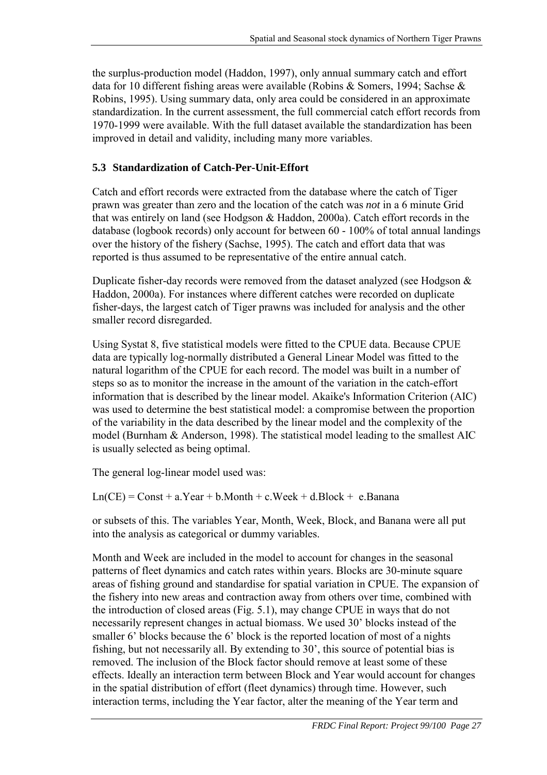<span id="page-30-0"></span>the surplus-production model (Haddon, 1997), only annual summary catch and effort data for 10 different fishing areas were available (Robins & Somers, 1994; Sachse & Robins, 1995). Using summary data, only area could be considered in an approximate standardization. In the current assessment, the full commercial catch effort records from 1970-1999 were available. With the full dataset available the standardization has been improved in detail and validity, including many more variables.

# **5.3 Standardization of Catch-Per-Unit-Effort**

Catch and effort records were extracted from the database where the catch of Tiger prawn was greater than zero and the location of the catch was *not* in a 6 minute Grid that was entirely on land (see Hodgson & Haddon, 2000a). Catch effort records in the database (logbook records) only account for between 60 - 100% of total annual landings over the history of the fishery (Sachse, 1995). The catch and effort data that was reported is thus assumed to be representative of the entire annual catch.

Duplicate fisher-day records were removed from the dataset analyzed (see Hodgson & Haddon, 2000a). For instances where different catches were recorded on duplicate fisher-days, the largest catch of Tiger prawns was included for analysis and the other smaller record disregarded.

Using Systat 8, five statistical models were fitted to the CPUE data. Because CPUE data are typically log-normally distributed a General Linear Model was fitted to the natural logarithm of the CPUE for each record. The model was built in a number of steps so as to monitor the increase in the amount of the variation in the catch-effort information that is described by the linear model. Akaike's Information Criterion (AIC) was used to determine the best statistical model: a compromise between the proportion of the variability in the data described by the linear model and the complexity of the model (Burnham & Anderson, 1998). The statistical model leading to the smallest AIC is usually selected as being optimal.

The general log-linear model used was:

 $Ln(CE) = Const + a.Year + b.Month + c.Week + d.Block + e.Banana$ 

or subsets of this. The variables Year, Month, Week, Block, and Banana were all put into the analysis as categorical or dummy variables.

Month and Week are included in the model to account for changes in the seasonal patterns of fleet dynamics and catch rates within years. Blocks are 30-minute square areas of fishing ground and standardise for spatial variation in CPUE. The expansion of the fishery into new areas and contraction away from others over time, combined with the introduction of closed areas (Fig. 5.1), may change CPUE in ways that do not necessarily represent changes in actual biomass. We used 30' blocks instead of the smaller 6' blocks because the 6' block is the reported location of most of a nights fishing, but not necessarily all. By extending to 30', this source of potential bias is removed. The inclusion of the Block factor should remove at least some of these effects. Ideally an interaction term between Block and Year would account for changes in the spatial distribution of effort (fleet dynamics) through time. However, such interaction terms, including the Year factor, alter the meaning of the Year term and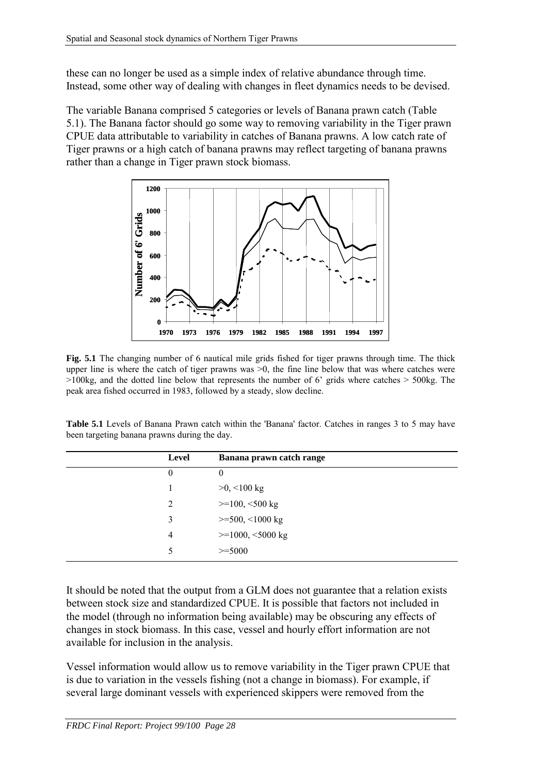these can no longer be used as a simple index of relative abundance through time. Instead, some other way of dealing with changes in fleet dynamics needs to be devised.

The variable Banana comprised 5 categories or levels of Banana prawn catch (Table 5.1). The Banana factor should go some way to removing variability in the Tiger prawn CPUE data attributable to variability in catches of Banana prawns. A low catch rate of Tiger prawns or a high catch of banana prawns may reflect targeting of banana prawns rather than a change in Tiger prawn stock biomass.



**Fig. 5.1** The changing number of 6 nautical mile grids fished for tiger prawns through time. The thick upper line is where the catch of tiger prawns was  $>0$ , the fine line below that was where catches were  $>100\text{kg}$ , and the dotted line below that represents the number of 6' grids where catches  $> 500\text{kg}$ . The peak area fished occurred in 1983, followed by a steady, slow decline.

**Table 5.1** Levels of Banana Prawn catch within the 'Banana' factor. Catches in ranges 3 to 5 may have been targeting banana prawns during the day.

| <b>Level</b>   | Banana prawn catch range       |
|----------------|--------------------------------|
| $\overline{0}$ | $\theta$                       |
|                | $>0,$ <100 kg                  |
| 2              | $>=100, <500$ kg               |
| 3              | $>=500, <1000$ kg              |
| 4              | $>=1000, \, 5000 \, \text{kg}$ |
|                | $>=5000$                       |
|                |                                |

It should be noted that the output from a GLM does not guarantee that a relation exists between stock size and standardized CPUE. It is possible that factors not included in the model (through no information being available) may be obscuring any effects of changes in stock biomass. In this case, vessel and hourly effort information are not available for inclusion in the analysis.

Vessel information would allow us to remove variability in the Tiger prawn CPUE that is due to variation in the vessels fishing (not a change in biomass). For example, if several large dominant vessels with experienced skippers were removed from the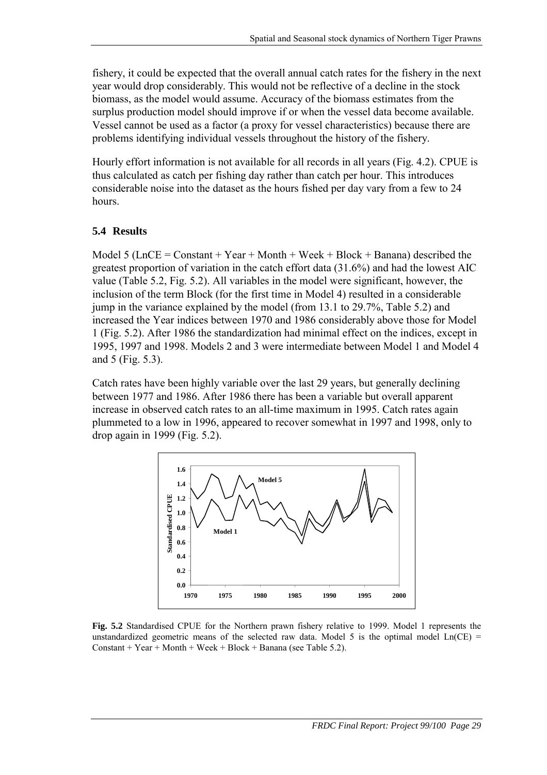<span id="page-32-0"></span>fishery, it could be expected that the overall annual catch rates for the fishery in the next year would drop considerably. This would not be reflective of a decline in the stock biomass, as the model would assume. Accuracy of the biomass estimates from the surplus production model should improve if or when the vessel data become available. Vessel cannot be used as a factor (a proxy for vessel characteristics) because there are problems identifying individual vessels throughout the history of the fishery.

Hourly effort information is not available for all records in all years (Fig. 4.2). CPUE is thus calculated as catch per fishing day rather than catch per hour. This introduces considerable noise into the dataset as the hours fished per day vary from a few to 24 hours.

#### **5.4 Results**

Model 5 (LnCE = Constant + Year + Month + Week + Block + Banana) described the greatest proportion of variation in the catch effort data (31.6%) and had the lowest AIC value (Table 5.2, Fig. 5.2). All variables in the model were significant, however, the inclusion of the term Block (for the first time in Model 4) resulted in a considerable jump in the variance explained by the model (from 13.1 to 29.7%, Table 5.2) and increased the Year indices between 1970 and 1986 considerably above those for Model 1 (Fig. 5.2). After 1986 the standardization had minimal effect on the indices, except in 1995, 1997 and 1998. Models 2 and 3 were intermediate between Model 1 and Model 4 and 5 (Fig. 5.3).

Catch rates have been highly variable over the last 29 years, but generally declining between 1977 and 1986. After 1986 there has been a variable but overall apparent increase in observed catch rates to an all-time maximum in 1995. Catch rates again plummeted to a low in 1996, appeared to recover somewhat in 1997 and 1998, only to drop again in 1999 (Fig. 5.2).



**Fig. 5.2** Standardised CPUE for the Northern prawn fishery relative to 1999. Model 1 represents the unstandardized geometric means of the selected raw data. Model 5 is the optimal model  $Ln(CE)$  = Constant + Year + Month + Week + Block + Banana (see Table 5.2).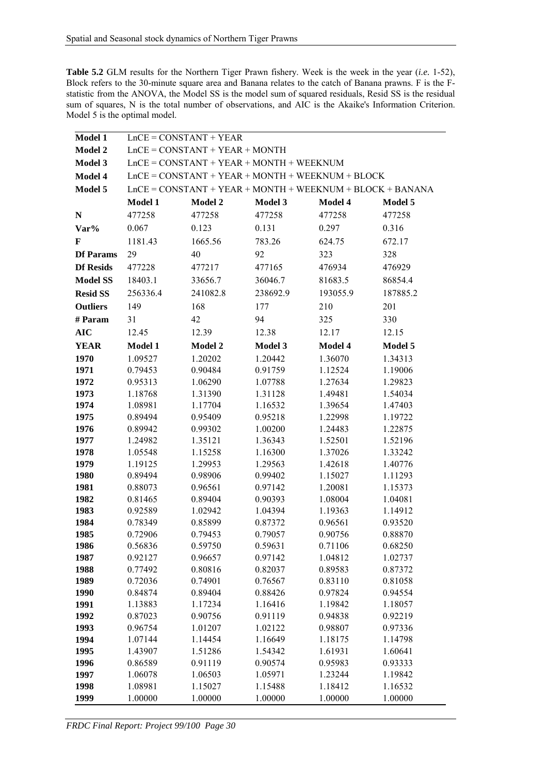**Table 5.2** GLM results for the Northern Tiger Prawn fishery. Week is the week in the year (*i.e.* 1-52), Block refers to the 30-minute square area and Banana relates to the catch of Banana prawns. F is the Fstatistic from the ANOVA, the Model SS is the model sum of squared residuals, Resid SS is the residual sum of squares, N is the total number of observations, and AIC is the Akaike's Information Criterion. Model 5 is the optimal model.

| Model 1          | $LnCE = CONSTANT + YEAR$                                    |                    |                    |                    |                    |
|------------------|-------------------------------------------------------------|--------------------|--------------------|--------------------|--------------------|
| Model 2          | $LnCE = CONSTANT + YEAR + MONTH$                            |                    |                    |                    |                    |
| Model 3          | $LnCE = CONSTANT + YEAR + MONTH + WEEKNUM$                  |                    |                    |                    |                    |
| Model 4          | $LnCE = CONSTANT + YEAR + MONTH + WEEKNUM + BLOCK$          |                    |                    |                    |                    |
| Model 5          | $LnCE = CONSTANT + YEAR + MONTH + WEEKNUM + BLOCK + BANANA$ |                    |                    |                    |                    |
|                  | Model 1                                                     | Model 2            | Model 3            | Model 4            | Model 5            |
| ${\bf N}$        | 477258                                                      | 477258             | 477258             | 477258             | 477258             |
| Var%             | 0.067                                                       | 0.123              | 0.131              | 0.297              | 0.316              |
| F                | 1181.43                                                     | 1665.56            | 783.26             | 624.75             | 672.17             |
| <b>Df Params</b> | 29                                                          | 40                 | 92                 | 323                | 328                |
|                  |                                                             |                    |                    |                    |                    |
| <b>Df Resids</b> | 477228                                                      | 477217             | 477165             | 476934             | 476929             |
| <b>Model SS</b>  | 18403.1                                                     | 33656.7            | 36046.7            | 81683.5            | 86854.4            |
| <b>Resid SS</b>  | 256336.4                                                    | 241082.8           | 238692.9           | 193055.9           | 187885.2           |
| <b>Outliers</b>  | 149                                                         | 168                | 177                | 210                | 201                |
| # Param          | 31                                                          | 42                 | 94                 | 325                | 330                |
| <b>AIC</b>       | 12.45                                                       | 12.39              | 12.38              | 12.17              | 12.15              |
| <b>YEAR</b>      | <b>Model 1</b>                                              | Model 2            | <b>Model 3</b>     | Model 4            | Model 5            |
| 1970             | 1.09527                                                     | 1.20202            | 1.20442            | 1.36070            | 1.34313            |
| 1971             | 0.79453                                                     | 0.90484            | 0.91759            | 1.12524            | 1.19006            |
| 1972             | 0.95313                                                     | 1.06290            | 1.07788            | 1.27634            | 1.29823            |
| 1973             | 1.18768                                                     | 1.31390            | 1.31128            | 1.49481            | 1.54034            |
| 1974             | 1.08981                                                     | 1.17704            | 1.16532            | 1.39654            | 1.47403            |
| 1975             | 0.89494                                                     | 0.95409            | 0.95218            | 1.22998            | 1.19722            |
| 1976             | 0.89942                                                     | 0.99302            | 1.00200            | 1.24483            | 1.22875            |
| 1977             | 1.24982                                                     | 1.35121            | 1.36343            | 1.52501            | 1.52196            |
| 1978             | 1.05548                                                     | 1.15258            | 1.16300            | 1.37026            | 1.33242            |
| 1979             | 1.19125                                                     | 1.29953            | 1.29563            | 1.42618            | 1.40776            |
| 1980             | 0.89494                                                     | 0.98906            | 0.99402            | 1.15027            | 1.11293            |
| 1981             | 0.88073                                                     | 0.96561            | 0.97142            | 1.20081            | 1.15373            |
| 1982             | 0.81465                                                     | 0.89404            | 0.90393            | 1.08004            | 1.04081            |
| 1983             | 0.92589                                                     | 1.02942            | 1.04394            | 1.19363            | 1.14912            |
| 1984             | 0.78349                                                     | 0.85899            | 0.87372            | 0.96561            | 0.93520            |
| 1985             | 0.72906                                                     | 0.79453            | 0.79057            | 0.90756            | 0.88870            |
| 1986             | 0.56836                                                     | 0.59750            | 0.59631            | 0.71106            | 0.68250            |
| 1987             | 0.92127                                                     | 0.96657            | 0.97142            | 1.04812            | 1.02737            |
| 1988             | 0.77492                                                     | 0.80816            | 0.82037            | 0.89583            | 0.87372            |
| 1989             | 0.72036                                                     | 0.74901            | 0.76567            | 0.83110            | 0.81058            |
| 1990             | 0.84874                                                     | 0.89404            | 0.88426            | 0.97824            | 0.94554            |
| 1991             | 1.13883                                                     | 1.17234            | 1.16416            | 1.19842            | 1.18057            |
| 1992             | 0.87023                                                     | 0.90756            | 0.91119            | 0.94838            | 0.92219            |
| 1993             | 0.96754                                                     | 1.01207            | 1.02122            | 0.98807            | 0.97336            |
| 1994             | 1.07144                                                     | 1.14454            | 1.16649            | 1.18175            | 1.14798            |
| 1995             | 1.43907                                                     | 1.51286            | 1.54342            | 1.61931            | 1.60641            |
| 1996             | 0.86589                                                     | 0.91119<br>1.06503 | 0.90574<br>1.05971 | 0.95983            | 0.93333<br>1.19842 |
| 1997<br>1998     | 1.06078<br>1.08981                                          | 1.15027            | 1.15488            | 1.23244<br>1.18412 | 1.16532            |
| 1999             | 1.00000                                                     | 1.00000            | 1.00000            | 1.00000            | 1.00000            |
|                  |                                                             |                    |                    |                    |                    |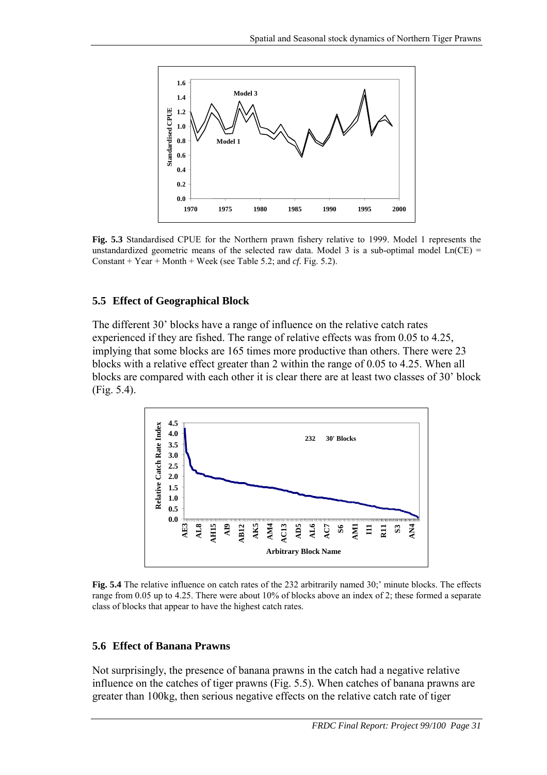<span id="page-34-0"></span>

**Fig. 5.3** Standardised CPUE for the Northern prawn fishery relative to 1999. Model 1 represents the unstandardized geometric means of the selected raw data. Model 3 is a sub-optimal model  $Ln(CE)$  = Constant + Year + Month + Week (see Table 5.2; and *cf.* Fig. 5.2).

#### **5.5 Effect of Geographical Block**

The different 30' blocks have a range of influence on the relative catch rates experienced if they are fished. The range of relative effects was from 0.05 to 4.25, implying that some blocks are 165 times more productive than others. There were 23 blocks with a relative effect greater than 2 within the range of 0.05 to 4.25. When all blocks are compared with each other it is clear there are at least two classes of 30' block (Fig. 5.4).



**Fig. 5.4** The relative influence on catch rates of the 232 arbitrarily named 30;' minute blocks. The effects range from 0.05 up to 4.25. There were about 10% of blocks above an index of 2; these formed a separate class of blocks that appear to have the highest catch rates.

#### **5.6 Effect of Banana Prawns**

Not surprisingly, the presence of banana prawns in the catch had a negative relative influence on the catches of tiger prawns (Fig. 5.5). When catches of banana prawns are greater than 100kg, then serious negative effects on the relative catch rate of tiger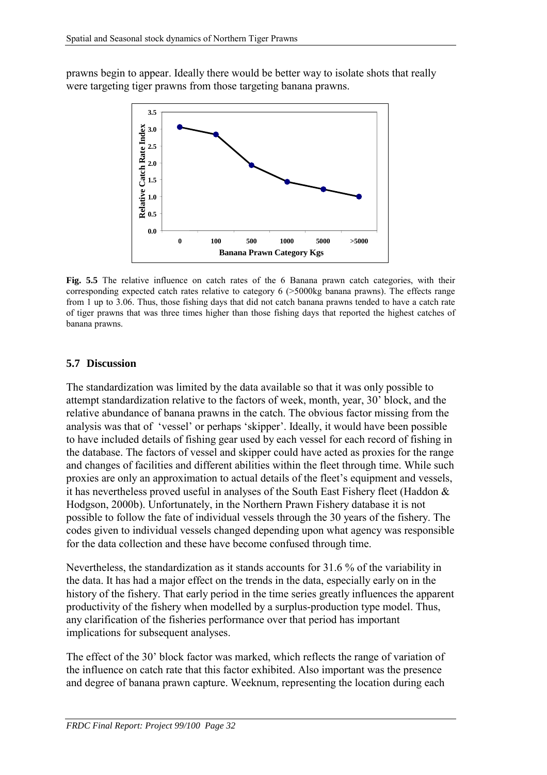<span id="page-35-0"></span>prawns begin to appear. Ideally there would be better way to isolate shots that really were targeting tiger prawns from those targeting banana prawns.



**Fig. 5.5** The relative influence on catch rates of the 6 Banana prawn catch categories, with their corresponding expected catch rates relative to category 6 (>5000kg banana prawns). The effects range from 1 up to 3.06. Thus, those fishing days that did not catch banana prawns tended to have a catch rate of tiger prawns that was three times higher than those fishing days that reported the highest catches of banana prawns.

#### **5.7 Discussion**

The standardization was limited by the data available so that it was only possible to attempt standardization relative to the factors of week, month, year, 30' block, and the relative abundance of banana prawns in the catch. The obvious factor missing from the analysis was that of 'vessel' or perhaps 'skipper'. Ideally, it would have been possible to have included details of fishing gear used by each vessel for each record of fishing in the database. The factors of vessel and skipper could have acted as proxies for the range and changes of facilities and different abilities within the fleet through time. While such proxies are only an approximation to actual details of the fleet's equipment and vessels, it has nevertheless proved useful in analyses of the South East Fishery fleet (Haddon & Hodgson, 2000b). Unfortunately, in the Northern Prawn Fishery database it is not possible to follow the fate of individual vessels through the 30 years of the fishery. The codes given to individual vessels changed depending upon what agency was responsible for the data collection and these have become confused through time.

Nevertheless, the standardization as it stands accounts for 31.6 % of the variability in the data. It has had a major effect on the trends in the data, especially early on in the history of the fishery. That early period in the time series greatly influences the apparent productivity of the fishery when modelled by a surplus-production type model. Thus, any clarification of the fisheries performance over that period has important implications for subsequent analyses.

The effect of the 30' block factor was marked, which reflects the range of variation of the influence on catch rate that this factor exhibited. Also important was the presence and degree of banana prawn capture. Weeknum, representing the location during each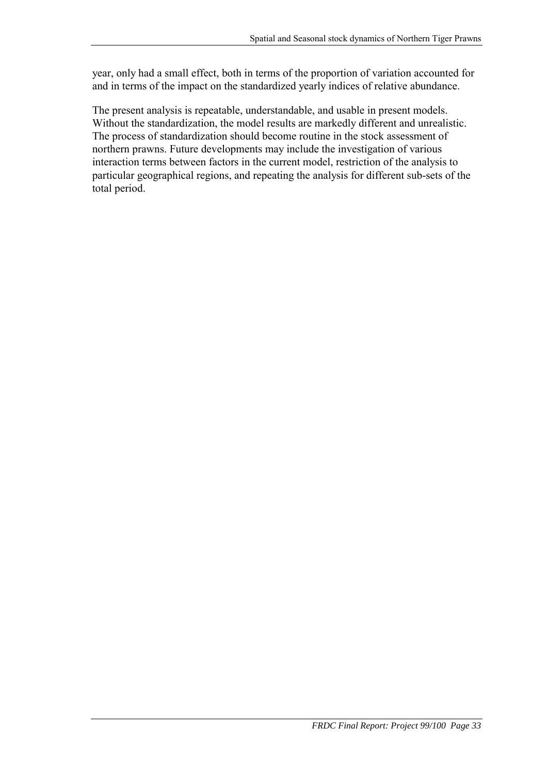year, only had a small effect, both in terms of the proportion of variation accounted for and in terms of the impact on the standardized yearly indices of relative abundance.

The present analysis is repeatable, understandable, and usable in present models. Without the standardization, the model results are markedly different and unrealistic. The process of standardization should become routine in the stock assessment of northern prawns. Future developments may include the investigation of various interaction terms between factors in the current model, restriction of the analysis to particular geographical regions, and repeating the analysis for different sub-sets of the total period.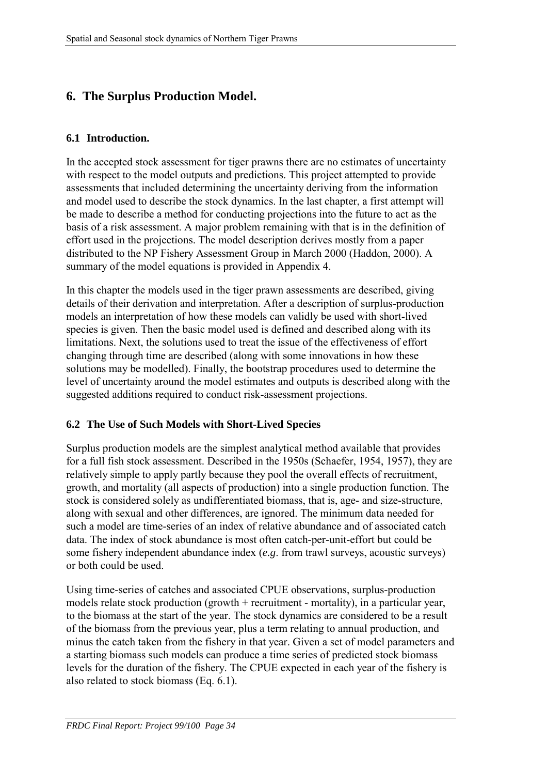# **6. The Surplus Production Model.**

#### **6.1 Introduction.**

In the accepted stock assessment for tiger prawns there are no estimates of uncertainty with respect to the model outputs and predictions. This project attempted to provide assessments that included determining the uncertainty deriving from the information and model used to describe the stock dynamics. In the last chapter, a first attempt will be made to describe a method for conducting projections into the future to act as the basis of a risk assessment. A major problem remaining with that is in the definition of effort used in the projections. The model description derives mostly from a paper distributed to the NP Fishery Assessment Group in March 2000 (Haddon, 2000). A summary of the model equations is provided in Appendix 4.

In this chapter the models used in the tiger prawn assessments are described, giving details of their derivation and interpretation. After a description of surplus-production models an interpretation of how these models can validly be used with short-lived species is given. Then the basic model used is defined and described along with its limitations. Next, the solutions used to treat the issue of the effectiveness of effort changing through time are described (along with some innovations in how these solutions may be modelled). Finally, the bootstrap procedures used to determine the level of uncertainty around the model estimates and outputs is described along with the suggested additions required to conduct risk-assessment projections.

#### **6.2 The Use of Such Models with Short-Lived Species**

Surplus production models are the simplest analytical method available that provides for a full fish stock assessment. Described in the 1950s (Schaefer, 1954, 1957), they are relatively simple to apply partly because they pool the overall effects of recruitment, growth, and mortality (all aspects of production) into a single production function. The stock is considered solely as undifferentiated biomass, that is, age- and size-structure, along with sexual and other differences, are ignored. The minimum data needed for such a model are time-series of an index of relative abundance and of associated catch data. The index of stock abundance is most often catch-per-unit-effort but could be some fishery independent abundance index (*e.g*. from trawl surveys, acoustic surveys) or both could be used.

Using time-series of catches and associated CPUE observations, surplus-production models relate stock production (growth + recruitment - mortality), in a particular year, to the biomass at the start of the year. The stock dynamics are considered to be a result of the biomass from the previous year, plus a term relating to annual production, and minus the catch taken from the fishery in that year. Given a set of model parameters and a starting biomass such models can produce a time series of predicted stock biomass levels for the duration of the fishery. The CPUE expected in each year of the fishery is also related to stock biomass (Eq. [6.1\)](#page-38-0).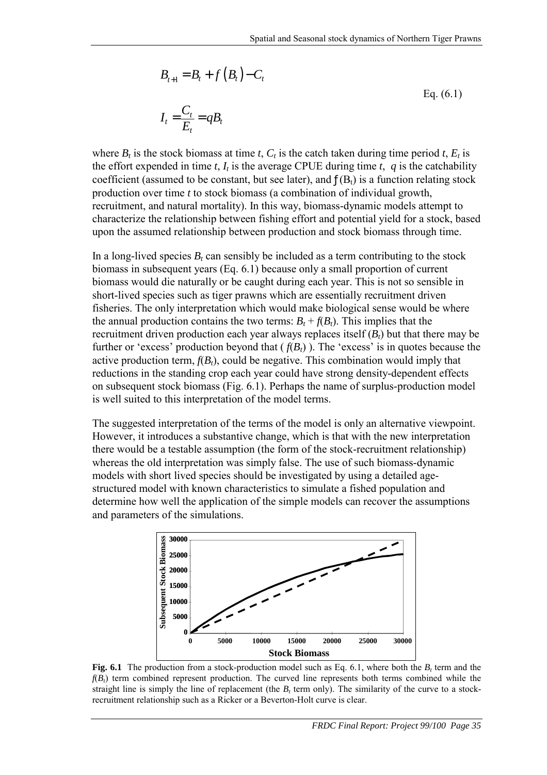<span id="page-38-0"></span>
$$
B_{t+1} = B_t + f(B_t) - C_t
$$
  
\n
$$
I_t = \frac{C_t}{E_t} = qB_t
$$
  
\nEq. (6.1)

where  $B_t$  is the stock biomass at time *t*,  $C_t$  is the catch taken during time period *t*,  $E_t$  is the effort expended in time *t*,  $I_t$  is the average CPUE during time *t*,  $q$  is the catchability coefficient (assumed to be constant, but see later), and  $f(B_t)$  is a function relating stock production over time *t* to stock biomass (a combination of individual growth, recruitment, and natural mortality). In this way, biomass-dynamic models attempt to characterize the relationship between fishing effort and potential yield for a stock, based upon the assumed relationship between production and stock biomass through time.

In a long-lived species  $B_t$  can sensibly be included as a term contributing to the stock biomass in subsequent years (Eq. 6.1) because only a small proportion of current biomass would die naturally or be caught during each year. This is not so sensible in short-lived species such as tiger prawns which are essentially recruitment driven fisheries. The only interpretation which would make biological sense would be where the annual production contains the two terms:  $B_t + f(B_t)$ . This implies that the recruitment driven production each year always replaces itself  $(B_t)$  but that there may be further or 'excess' production beyond that  $(f(B_t))$ . The 'excess' is in quotes because the active production term,  $f(B_t)$ , could be negative. This combination would imply that reductions in the standing crop each year could have strong density-dependent effects on subsequent stock biomass (Fig. 6.1). Perhaps the name of surplus-production model is well suited to this interpretation of the model terms.

The suggested interpretation of the terms of the model is only an alternative viewpoint. However, it introduces a substantive change, which is that with the new interpretation there would be a testable assumption (the form of the stock-recruitment relationship) whereas the old interpretation was simply false. The use of such biomass-dynamic models with short lived species should be investigated by using a detailed agestructured model with known characteristics to simulate a fished population and determine how well the application of the simple models can recover the assumptions and parameters of the simulations.



**Fig. 6.1** The production from a stock-production model such as Eq. 6.1, where both the  $B_t$  term and the  $f(B_t)$  term combined represent production. The curved line represents both terms combined while the straight line is simply the line of replacement (the  $B_t$  term only). The similarity of the curve to a stockrecruitment relationship such as a Ricker or a Beverton-Holt curve is clear.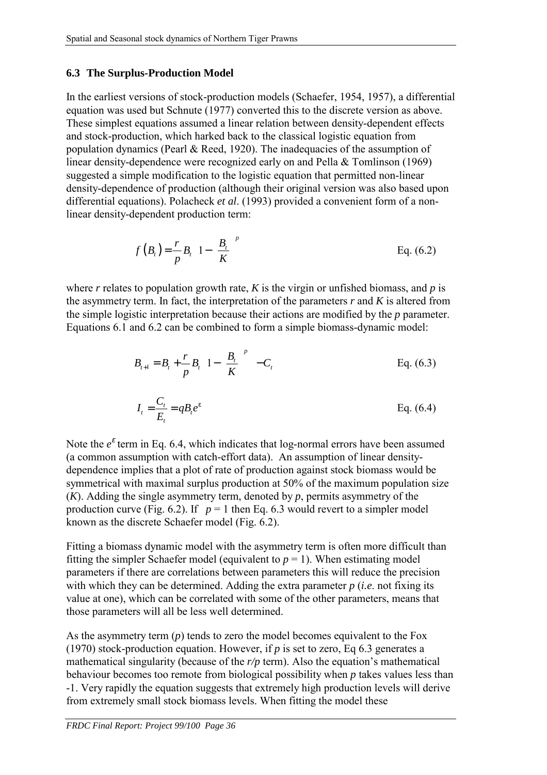#### <span id="page-39-0"></span>**6.3 The Surplus-Production Model**

In the earliest versions of stock-production models (Schaefer, 1954, 1957), a differential equation was used but Schnute (1977) converted this to the discrete version as above. These simplest equations assumed a linear relation between density-dependent effects and stock-production, which harked back to the classical logistic equation from population dynamics (Pearl  $&$  Reed, 1920). The inadequacies of the assumption of linear density-dependence were recognized early on and Pella & Tomlinson (1969) suggested a simple modification to the logistic equation that permitted non-linear density-dependence of production (although their original version was also based upon differential equations). Polacheck *et al*. (1993) provided a convenient form of a nonlinear density-dependent production term:

$$
f(B_t) = \frac{r}{p} B_t \left[ 1 - \left( \frac{B_t}{K} \right)^p \right]
$$
 Eq. (6.2)

where  $r$  relates to population growth rate,  $K$  is the virgin or unfished biomass, and  $p$  is the asymmetry term. In fact, the interpretation of the parameters  $r$  and  $K$  is altered from the simple logistic interpretation because their actions are modified by the *p* parameter. Equations [6.1](#page-38-0) and 6.2 can be combined to form a simple biomass-dynamic model:

$$
B_{t+1} = B_t + \frac{r}{p} B_t \left[ 1 - \left( \frac{B_t}{K} \right)^p \right] - C_t
$$
 Eq. (6.3)

$$
I_t = \frac{C_t}{E_t} = qB_t e^{\varepsilon}
$$
 Eq. (6.4)

Note the  $e^{\epsilon}$  term in Eq. 6.4, which indicates that log-normal errors have been assumed (a common assumption with catch-effort data). An assumption of linear densitydependence implies that a plot of rate of production against stock biomass would be symmetrical with maximal surplus production at 50% of the maximum population size  $(K)$ . Adding the single asymmetry term, denoted by  $p$ , permits asymmetry of the production curve (Fig. 6.2). If  $p = 1$  then Eq. 6.3 would revert to a simpler model known as the discrete Schaefer model (Fig. 6.2).

Fitting a biomass dynamic model with the asymmetry term is often more difficult than fitting the simpler Schaefer model (equivalent to  $p = 1$ ). When estimating model parameters if there are correlations between parameters this will reduce the precision with which they can be determined. Adding the extra parameter *p* (*i.e*. not fixing its value at one), which can be correlated with some of the other parameters, means that those parameters will all be less well determined.

As the asymmetry term (*p*) tends to zero the model becomes equivalent to the Fox (1970) stock-production equation. However, if *p* is set to zero, Eq 6.3 generates a mathematical singularity (because of the *r/p* term). Also the equation's mathematical behaviour becomes too remote from biological possibility when *p* takes values less than -1. Very rapidly the equation suggests that extremely high production levels will derive from extremely small stock biomass levels. When fitting the model these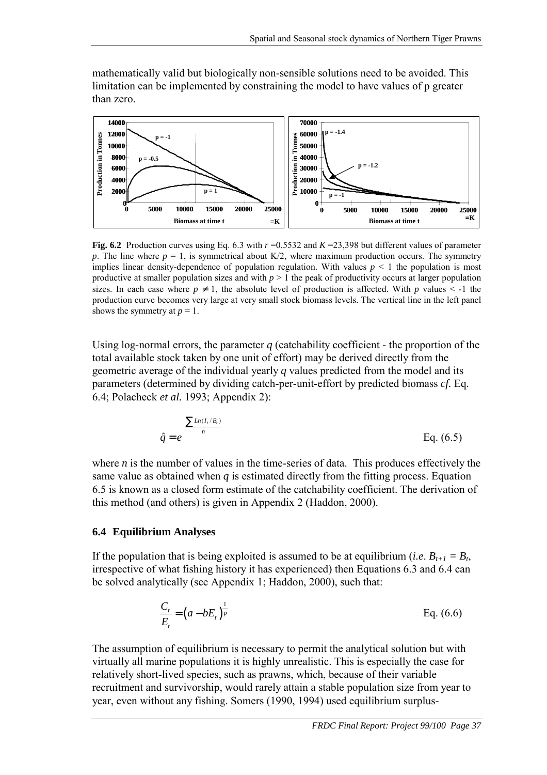<span id="page-40-0"></span>mathematically valid but biologically non-sensible solutions need to be avoided. This limitation can be implemented by constraining the model to have values of p greater than zero.



**Fig. 6.2** Production curves using Eq. [6.3](#page-39-0) with  $r = 0.5532$  and  $K = 23,398$  but different values of parameter *p*. The line where  $p = 1$ , is symmetrical about K/2, where maximum production occurs. The symmetry implies linear density-dependence of population regulation. With values  $p \leq 1$  the population is most productive at smaller population sizes and with  $p > 1$  the peak of productivity occurs at larger population sizes. In each case where  $p \neq 1$ , the absolute level of production is affected. With *p* values  $\leq -1$  the production curve becomes very large at very small stock biomass levels. The vertical line in the left panel shows the symmetry at  $p = 1$ .

Using log-normal errors, the parameter *q* (catchability coefficient - the proportion of the total available stock taken by one unit of effort) may be derived directly from the geometric average of the individual yearly *q* values predicted from the model and its parameters (determined by dividing catch-per-unit-effort by predicted biomass *cf.* Eq. [6.4;](#page-39-0) Polacheck *et al.* 1993; Appendix 2):

$$
\hat{q} = e^{\left(\frac{\sum Ln(I_i/B_i)}{n}\right)}
$$
 Eq. (6.5)

where *n* is the number of values in the time-series of data. This produces effectively the same value as obtained when *q* is estimated directly from the fitting process. Equation 6.5 is known as a closed form estimate of the catchability coefficient. The derivation of this method (and others) is given in Appendix 2 (Haddon, 2000).

#### **6.4 Equilibrium Analyses**

If the population that is being exploited is assumed to be at equilibrium (*i.e.*  $B_{t+1} = B_t$ , irrespective of what fishing history it has experienced) then Equations [6.3](#page-39-0) and [6.4](#page-39-0) can be solved analytically (see Appendix 1; Haddon, 2000), such that:

$$
\frac{C_t}{E_t} = (a - bE_t)^{\frac{1}{p}}
$$
 Eq. (6.6)

The assumption of equilibrium is necessary to permit the analytical solution but with virtually all marine populations it is highly unrealistic. This is especially the case for relatively short-lived species, such as prawns, which, because of their variable recruitment and survivorship, would rarely attain a stable population size from year to year, even without any fishing. Somers (1990, 1994) used equilibrium surplus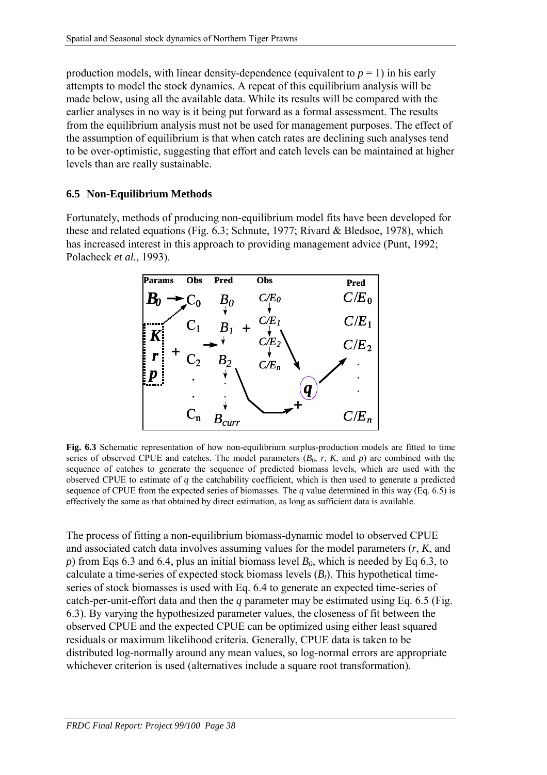production models, with linear density-dependence (equivalent to  $p = 1$ ) in his early attempts to model the stock dynamics. A repeat of this equilibrium analysis will be made below, using all the available data. While its results will be compared with the earlier analyses in no way is it being put forward as a formal assessment. The results from the equilibrium analysis must not be used for management purposes. The effect of the assumption of equilibrium is that when catch rates are declining such analyses tend to be over-optimistic, suggesting that effort and catch levels can be maintained at higher levels than are really sustainable.

### **6.5 Non-Equilibrium Methods**

Fortunately, methods of producing non-equilibrium model fits have been developed for these and related equations (Fig. 6.3; Schnute, 1977; Rivard & Bledsoe, 1978), which has increased interest in this approach to providing management advice (Punt, 1992; Polacheck *et al.*, 1993).



**Fig. 6.3** Schematic representation of how non-equilibrium surplus-production models are fitted to time series of observed CPUE and catches. The model parameters  $(B_0, r, K,$  and  $p)$  are combined with the sequence of catches to generate the sequence of predicted biomass levels, which are used with the observed CPUE to estimate of *q* the catchability coefficient, which is then used to generate a predicted sequence of CPUE from the expected series of biomasses. The *q* value determined in this way (Eq. [6.5\)](#page-40-0) is effectively the same as that obtained by direct estimation, as long as sufficient data is available.

The process of fitting a non-equilibrium biomass-dynamic model to observed CPUE and associated catch data involves assuming values for the model parameters (*r*, *K*, and *p*) from Eqs [6.3](#page-39-0) and [6.4,](#page-39-0) plus an initial biomass level  $B_0$ , which is needed by Eq [6.3,](#page-39-0) to calculate a time-series of expected stock biomass levels (*Bt*). This hypothetical timeseries of stock biomasses is used with Eq. [6.4](#page-39-0) to generate an expected time-series of catch-per-unit-effort data and then the *q* parameter may be estimated using Eq. [6.5](#page-40-0) (Fig. 6.3). By varying the hypothesized parameter values, the closeness of fit between the observed CPUE and the expected CPUE can be optimized using either least squared residuals or maximum likelihood criteria. Generally, CPUE data is taken to be distributed log-normally around any mean values, so log-normal errors are appropriate whichever criterion is used (alternatives include a square root transformation).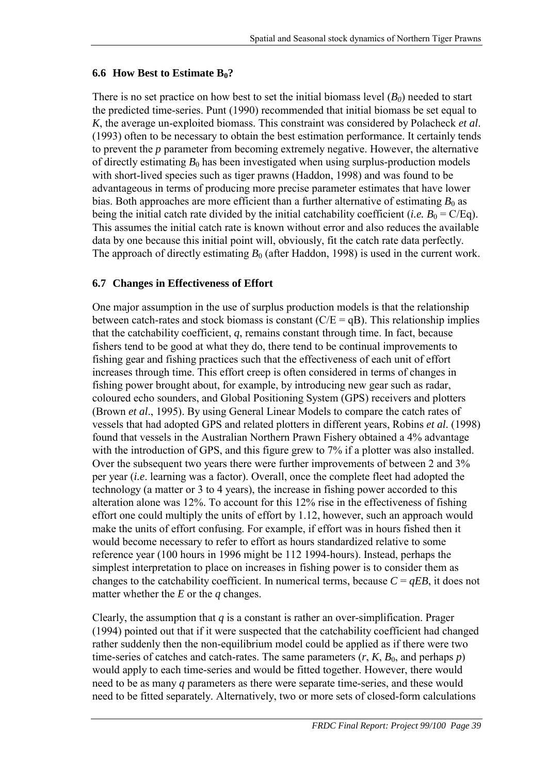#### **6.6 How Best to Estimate B<sub>0</sub>?**

There is no set practice on how best to set the initial biomass level  $(B_0)$  needed to start the predicted time-series. Punt (1990) recommended that initial biomass be set equal to *K*, the average un-exploited biomass. This constraint was considered by Polacheck *et al*. (1993) often to be necessary to obtain the best estimation performance. It certainly tends to prevent the *p* parameter from becoming extremely negative. However, the alternative of directly estimating  $B_0$  has been investigated when using surplus-production models with short-lived species such as tiger prawns (Haddon, 1998) and was found to be advantageous in terms of producing more precise parameter estimates that have lower bias. Both approaches are more efficient than a further alternative of estimating  $B_0$  as being the initial catch rate divided by the initial catchability coefficient (*i.e.*  $B_0 = C/Eq$ ). This assumes the initial catch rate is known without error and also reduces the available data by one because this initial point will, obviously, fit the catch rate data perfectly. The approach of directly estimating  $B_0$  (after Haddon, 1998) is used in the current work.

#### **6.7 Changes in Effectiveness of Effort**

One major assumption in the use of surplus production models is that the relationship between catch-rates and stock biomass is constant  $(C/E = qB)$ . This relationship implies that the catchability coefficient, *q*, remains constant through time. In fact, because fishers tend to be good at what they do, there tend to be continual improvements to fishing gear and fishing practices such that the effectiveness of each unit of effort increases through time. This effort creep is often considered in terms of changes in fishing power brought about, for example, by introducing new gear such as radar, coloured echo sounders, and Global Positioning System (GPS) receivers and plotters (Brown *et al*., 1995). By using General Linear Models to compare the catch rates of vessels that had adopted GPS and related plotters in different years, Robins *et al*. (1998) found that vessels in the Australian Northern Prawn Fishery obtained a 4% advantage with the introduction of GPS, and this figure grew to 7% if a plotter was also installed. Over the subsequent two years there were further improvements of between 2 and 3% per year (*i.e*. learning was a factor). Overall, once the complete fleet had adopted the technology (a matter or 3 to 4 years), the increase in fishing power accorded to this alteration alone was 12%. To account for this 12% rise in the effectiveness of fishing effort one could multiply the units of effort by 1.12, however, such an approach would make the units of effort confusing. For example, if effort was in hours fished then it would become necessary to refer to effort as hours standardized relative to some reference year (100 hours in 1996 might be 112 1994-hours). Instead, perhaps the simplest interpretation to place on increases in fishing power is to consider them as changes to the catchability coefficient. In numerical terms, because  $C = qEB$ , it does not matter whether the *E* or the *q* changes.

Clearly, the assumption that *q* is a constant is rather an over-simplification. Prager (1994) pointed out that if it were suspected that the catchability coefficient had changed rather suddenly then the non-equilibrium model could be applied as if there were two time-series of catches and catch-rates. The same parameters  $(r, K, B_0, A_0)$  and perhaps *p*) would apply to each time-series and would be fitted together. However, there would need to be as many *q* parameters as there were separate time-series, and these would need to be fitted separately. Alternatively, two or more sets of closed-form calculations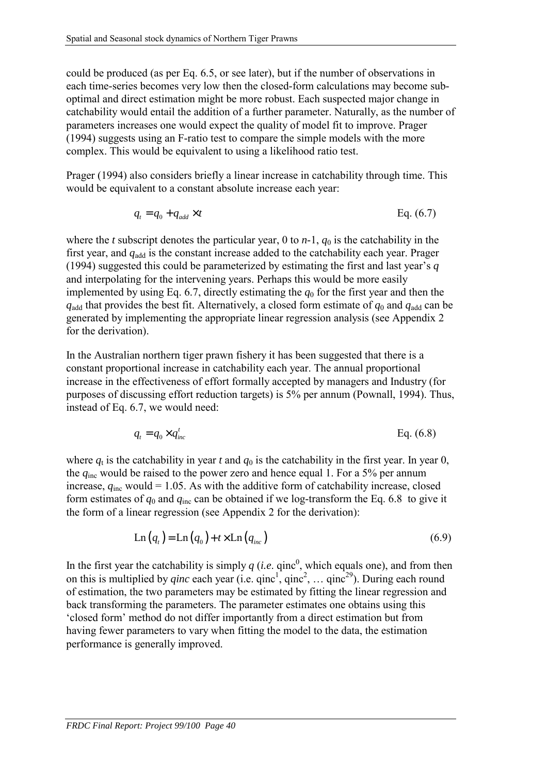could be produced (as per Eq. [6.5,](#page-40-0) or see later), but if the number of observations in each time-series becomes very low then the closed-form calculations may become suboptimal and direct estimation might be more robust. Each suspected major change in catchability would entail the addition of a further parameter. Naturally, as the number of parameters increases one would expect the quality of model fit to improve. Prager (1994) suggests using an F-ratio test to compare the simple models with the more complex. This would be equivalent to using a likelihood ratio test.

Prager (1994) also considers briefly a linear increase in catchability through time. This would be equivalent to a constant absolute increase each year:

$$
q_t = q_0 + q_{add} \times t \tag{6.7}
$$

where the *t* subscript denotes the particular year, 0 to  $n-1$ ,  $q_0$  is the catchability in the first year, and  $q_{\text{add}}$  is the constant increase added to the catchability each year. Prager (1994) suggested this could be parameterized by estimating the first and last year's *q* and interpolating for the intervening years. Perhaps this would be more easily implemented by using Eq. 6.7, directly estimating the  $q_0$  for the first year and then the  $q_{\text{add}}$  that provides the best fit. Alternatively, a closed form estimate of  $q_0$  and  $q_{\text{add}}$  can be generated by implementing the appropriate linear regression analysis (see Appendix 2 for the derivation).

In the Australian northern tiger prawn fishery it has been suggested that there is a constant proportional increase in catchability each year. The annual proportional increase in the effectiveness of effort formally accepted by managers and Industry (for purposes of discussing effort reduction targets) is 5% per annum (Pownall, 1994). Thus, instead of Eq. 6.7, we would need:

$$
q_t = q_0 \times q_{inc}^t \tag{6.8}
$$

where  $q_t$  is the catchability in year *t* and  $q_0$  is the catchability in the first year. In year 0, the *q*inc would be raised to the power zero and hence equal 1. For a 5% per annum increase,  $q_{\text{inc}}$  would = 1.05. As with the additive form of catchability increase, closed form estimates of  $q_0$  and  $q_{inc}$  can be obtained if we log-transform the Eq. 6.8 to give it the form of a linear regression (see Appendix 2 for the derivation):

$$
Ln(qt) = Ln(q0) + t \times Ln(qinc)
$$
\n(6.9)

In the first year the catchability is simply  $q$  (*i.e.* qinc<sup>0</sup>, which equals one), and from then on this is multiplied by *qinc* each year (i.e.  $qinc^1$ ,  $qinc^2$ , ...  $qinc^{29}$ ). During each round of estimation, the two parameters may be estimated by fitting the linear regression and back transforming the parameters. The parameter estimates one obtains using this 'closed form' method do not differ importantly from a direct estimation but from having fewer parameters to vary when fitting the model to the data, the estimation performance is generally improved.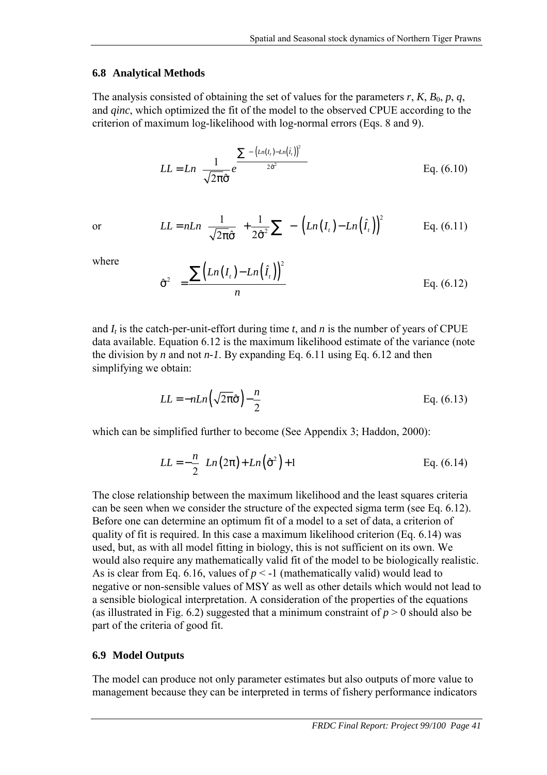#### **6.8 Analytical Methods**

The analysis consisted of obtaining the set of values for the parameters  $r$ ,  $K$ ,  $B_0$ ,  $p$ ,  $q$ , and *qinc*, which optimized the fit of the model to the observed CPUE according to the criterion of maximum log-likelihood with log-normal errors (Eqs. 8 and 9).

$$
LL = Ln\left[\frac{1}{\sqrt{2\pi\hat{\sigma}}}e^{\frac{\sum\left[\left[-\left(Ln(I_{i})-Ln(\hat{I}_{i})\right)^{2}\right]\right]}{2\hat{\sigma}^{2}}}\right]
$$
 Eq. (6.10)

or 
$$
LL = nLn\left(\frac{1}{\sqrt{2\pi}\hat{\sigma}}\right) + \frac{1}{2\hat{\sigma}^2}\sum \left[\left[-\left(Ln(I_t) - Ln(\hat{I}_t)\right)^2\right]\right]
$$
 Eq. (6.11)

where

$$
\hat{\sigma}^2 = \frac{\sum (Ln(I_t) - Ln(\hat{I}_t))^2}{n}
$$
 Eq. (6.12)

and  $I_t$  is the catch-per-unit-effort during time  $t$ , and  $n$  is the number of years of CPUE data available. Equation 6.12 is the maximum likelihood estimate of the variance (note the division by *n* and not *n-1*. By expanding Eq. 6.11 using Eq. 6.12 and then simplifying we obtain:

$$
LL = -nLn\left(\sqrt{2\pi}\hat{\sigma}\right) - \frac{n}{2}
$$
 Eq. (6.13)

which can be simplified further to become (See Appendix 3; Haddon, 2000):

$$
LL = -\frac{n}{2} \Big[ Ln(2\pi) + Ln(\hat{\sigma}^2) + 1 \Big] \qquad \qquad \text{Eq. (6.14)}
$$

The close relationship between the maximum likelihood and the least squares criteria can be seen when we consider the structure of the expected sigma term (see Eq. 6.12). Before one can determine an optimum fit of a model to a set of data, a criterion of quality of fit is required. In this case a maximum likelihood criterion (Eq. 6.14) was used, but, as with all model fitting in biology, this is not sufficient on its own. We would also require any mathematically valid fit of the model to be biologically realistic. As is clear from Eq. [6.16,](#page-45-0) values of  $p < -1$  (mathematically valid) would lead to negative or non-sensible values of MSY as well as other details which would not lead to a sensible biological interpretation. A consideration of the properties of the equations (as illustrated in Fig. 6.2) suggested that a minimum constraint of  $p > 0$  should also be part of the criteria of good fit.

#### **6.9 Model Outputs**

The model can produce not only parameter estimates but also outputs of more value to management because they can be interpreted in terms of fishery performance indicators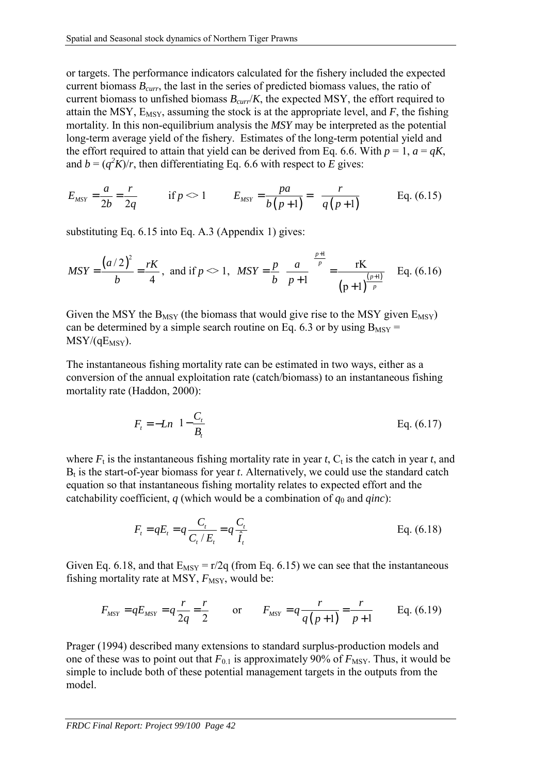<span id="page-45-0"></span>or targets. The performance indicators calculated for the fishery included the expected current biomass *Bcurr*, the last in the series of predicted biomass values, the ratio of current biomass to unfished biomass  $B_{\text{curr}}/K$ , the expected MSY, the effort required to attain the MSY,  $E_{MSY}$ , assuming the stock is at the appropriate level, and  $F$ , the fishing mortality. In this non-equilibrium analysis the *MSY* may be interpreted as the potential long-term average yield of the fishery. Estimates of the long-term potential yield and the effort required to attain that yield can be derived from Eq. [6.6.](#page-40-0) With  $p = 1$ ,  $q = qK$ , and  $b = (q^2 K)/r$ , then differentiating Eq. [6.6](#page-40-0) with respect to *E* gives:

$$
E_{MSY} = \frac{a}{2b} = \frac{r}{2q}
$$
 if  $p \ll 1$   $E_{MSY} = \frac{pa}{b(p+1)} = \frac{r}{q(p+1)}$  Eq. (6.15)

substituting Eq. 6.15 into Eq. A.3 (Appendix 1) gives:

$$
MSY = \frac{(a/2)^2}{b} = \frac{rK}{4}, \text{ and if } p \ll 1, \quad MSY = \frac{p}{b} \left(\frac{a}{p+1}\right)^{\frac{p+1}{p}} = \frac{rK}{(p+1)^{\frac{(p+1)}{p}}} \quad \text{Eq. (6.16)}
$$

Given the MSY the  $B_{MSY}$  (the biomass that would give rise to the MSY given  $E_{MSY}$ ) can be determined by a simple search routine on Eq. [6.3](#page-39-0) or by using  $B_{MSY}$  =  $MSY/(qE<sub>MSY</sub>)$ .

The instantaneous fishing mortality rate can be estimated in two ways, either as a conversion of the annual exploitation rate (catch/biomass) to an instantaneous fishing mortality rate (Haddon, 2000):

$$
F_t = -Ln\left(1 - \frac{C_t}{B_t}\right)
$$
 Eq. (6.17)

where  $F_t$  is the instantaneous fishing mortality rate in year *t*,  $C_t$  is the catch in year *t*, and  $B_t$  is the start-of-year biomass for year  $t$ . Alternatively, we could use the standard catch equation so that instantaneous fishing mortality relates to expected effort and the catchability coefficient,  $q$  (which would be a combination of  $q_0$  and  $qinc$ ):

$$
F_t = qE_t = q \frac{C_t}{C_t/E_t} = q \frac{C_t}{\hat{I}_t}
$$
 Eq. (6.18)

Given Eq. 6.18, and that  $E_{MSY} = r/2q$  (from Eq. 6.15) we can see that the instantaneous fishing mortality rate at MSY,  $F_{\text{MSY}}$ , would be:

$$
F_{MSY} = qE_{MSY} = q\frac{r}{2q} = \frac{r}{2}
$$
 or  $F_{MSY} = q\frac{r}{q(p+1)} = \frac{r}{p+1}$  Eq. (6.19)

Prager (1994) described many extensions to standard surplus-production models and one of these was to point out that  $F_{0,1}$  is approximately 90% of  $F_{\text{MSY}}$ . Thus, it would be simple to include both of these potential management targets in the outputs from the model.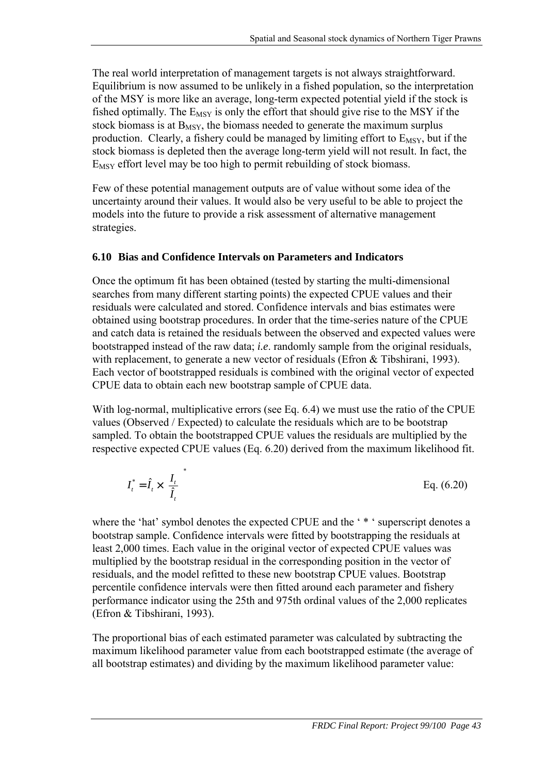The real world interpretation of management targets is not always straightforward. Equilibrium is now assumed to be unlikely in a fished population, so the interpretation of the MSY is more like an average, long-term expected potential yield if the stock is fished optimally. The  $E_{MSY}$  is only the effort that should give rise to the MSY if the stock biomass is at  $B_{MSY}$ , the biomass needed to generate the maximum surplus production. Clearly, a fishery could be managed by limiting effort to  $E_{MSY}$ , but if the stock biomass is depleted then the average long-term yield will not result. In fact, the  $E_{MSY}$  effort level may be too high to permit rebuilding of stock biomass.

Few of these potential management outputs are of value without some idea of the uncertainty around their values. It would also be very useful to be able to project the models into the future to provide a risk assessment of alternative management strategies.

### **6.10 Bias and Confidence Intervals on Parameters and Indicators**

Once the optimum fit has been obtained (tested by starting the multi-dimensional searches from many different starting points) the expected CPUE values and their residuals were calculated and stored. Confidence intervals and bias estimates were obtained using bootstrap procedures. In order that the time-series nature of the CPUE and catch data is retained the residuals between the observed and expected values were bootstrapped instead of the raw data; *i.e*. randomly sample from the original residuals, with replacement, to generate a new vector of residuals (Efron & Tibshirani, 1993). Each vector of bootstrapped residuals is combined with the original vector of expected CPUE data to obtain each new bootstrap sample of CPUE data.

With log-normal, multiplicative errors (see Eq. [6.4\)](#page-39-0) we must use the ratio of the CPUE values (Observed / Expected) to calculate the residuals which are to be bootstrap sampled. To obtain the bootstrapped CPUE values the residuals are multiplied by the respective expected CPUE values (Eq. 6.20) derived from the maximum likelihood fit.

$$
I_t^* = \hat{I}_t \times \left(\frac{I_t}{\hat{I}_t}\right)^* \tag{6.20}
$$

where the 'hat' symbol denotes the expected CPUE and the ' \* ' superscript denotes a bootstrap sample. Confidence intervals were fitted by bootstrapping the residuals at least 2,000 times. Each value in the original vector of expected CPUE values was multiplied by the bootstrap residual in the corresponding position in the vector of residuals, and the model refitted to these new bootstrap CPUE values. Bootstrap percentile confidence intervals were then fitted around each parameter and fishery performance indicator using the 25th and 975th ordinal values of the 2,000 replicates (Efron & Tibshirani, 1993).

The proportional bias of each estimated parameter was calculated by subtracting the maximum likelihood parameter value from each bootstrapped estimate (the average of all bootstrap estimates) and dividing by the maximum likelihood parameter value: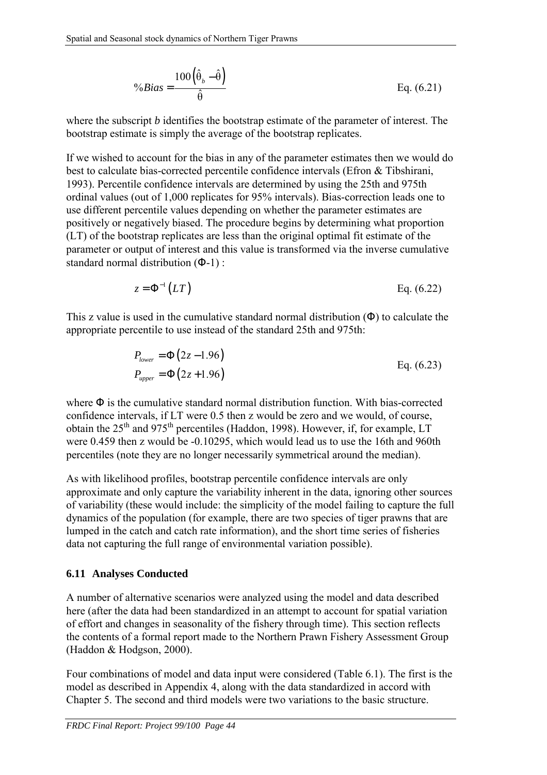$$
\%Bias = \frac{100(\hat{\theta}_b - \hat{\theta})}{\hat{\theta}}
$$
 Eq. (6.21)

where the subscript *b* identifies the bootstrap estimate of the parameter of interest. The bootstrap estimate is simply the average of the bootstrap replicates.

If we wished to account for the bias in any of the parameter estimates then we would do best to calculate bias-corrected percentile confidence intervals (Efron & Tibshirani, 1993). Percentile confidence intervals are determined by using the 25th and 975th ordinal values (out of 1,000 replicates for 95% intervals). Bias-correction leads one to use different percentile values depending on whether the parameter estimates are positively or negatively biased. The procedure begins by determining what proportion (LT) of the bootstrap replicates are less than the original optimal fit estimate of the parameter or output of interest and this value is transformed via the inverse cumulative standard normal distribution (Φ-1) :

$$
z = \Phi^{-1}(LT) \qquad \qquad Eq. (6.22)
$$

This z value is used in the cumulative standard normal distribution  $(\Phi)$  to calculate the appropriate percentile to use instead of the standard 25th and 975th:

$$
P_{lower} = \Phi(2z - 1.96)
$$
  
\n
$$
P_{upper} = \Phi(2z + 1.96)
$$
  
\nEq. (6.23)

where Φ is the cumulative standard normal distribution function. With bias-corrected confidence intervals, if LT were 0.5 then z would be zero and we would, of course, obtain the  $25<sup>th</sup>$  and  $975<sup>th</sup>$  percentiles (Haddon, 1998). However, if, for example, LT were 0.459 then z would be -0.10295, which would lead us to use the 16th and 960th percentiles (note they are no longer necessarily symmetrical around the median).

As with likelihood profiles, bootstrap percentile confidence intervals are only approximate and only capture the variability inherent in the data, ignoring other sources of variability (these would include: the simplicity of the model failing to capture the full dynamics of the population (for example, there are two species of tiger prawns that are lumped in the catch and catch rate information), and the short time series of fisheries data not capturing the full range of environmental variation possible).

### **6.11 Analyses Conducted**

A number of alternative scenarios were analyzed using the model and data described here (after the data had been standardized in an attempt to account for spatial variation of effort and changes in seasonality of the fishery through time). This section reflects the contents of a formal report made to the Northern Prawn Fishery Assessment Group (Haddon & Hodgson, 2000).

Four combinations of model and data input were considered (Table 6.1). The first is the model as described in Appendix 4, along with the data standardized in accord with Chapter 5. The second and third models were two variations to the basic structure.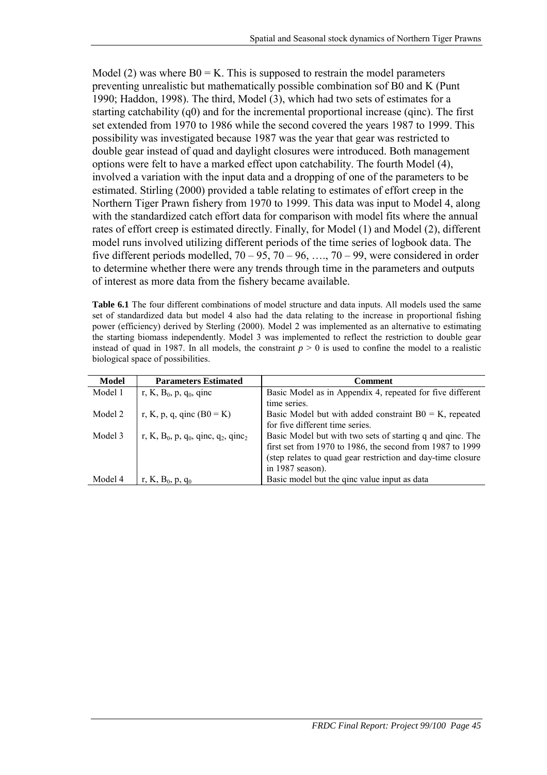Model (2) was where  $B0 = K$ . This is supposed to restrain the model parameters preventing unrealistic but mathematically possible combination sof B0 and K (Punt 1990; Haddon, 1998). The third, Model (3), which had two sets of estimates for a starting catchability (q0) and for the incremental proportional increase (qinc). The first set extended from 1970 to 1986 while the second covered the years 1987 to 1999. This possibility was investigated because 1987 was the year that gear was restricted to double gear instead of quad and daylight closures were introduced. Both management options were felt to have a marked effect upon catchability. The fourth Model (4), involved a variation with the input data and a dropping of one of the parameters to be estimated. Stirling (2000) provided a table relating to estimates of effort creep in the Northern Tiger Prawn fishery from 1970 to 1999. This data was input to Model 4, along with the standardized catch effort data for comparison with model fits where the annual rates of effort creep is estimated directly. Finally, for Model (1) and Model (2), different model runs involved utilizing different periods of the time series of logbook data. The five different periods modelled,  $70 - 95$ ,  $70 - 96$ , ...,  $70 - 99$ , were considered in order to determine whether there were any trends through time in the parameters and outputs of interest as more data from the fishery became available.

**Table 6.1** The four different combinations of model structure and data inputs. All models used the same set of standardized data but model 4 also had the data relating to the increase in proportional fishing power (efficiency) derived by Sterling (2000). Model 2 was implemented as an alternative to estimating the starting biomass independently. Model 3 was implemented to reflect the restriction to double gear instead of quad in 1987. In all models, the constraint  $p > 0$  is used to confine the model to a realistic biological space of possibilities.

| Model   | <b>Parameters Estimated</b>                                                         | <b>Comment</b>                                              |
|---------|-------------------------------------------------------------------------------------|-------------------------------------------------------------|
| Model 1 | r, K, B <sub>0</sub> , p, q <sub>0</sub> , qinc                                     | Basic Model as in Appendix 4, repeated for five different   |
|         |                                                                                     | time series.                                                |
| Model 2 | r, K, p, q, qinc $(B0 = K)$                                                         | Basic Model but with added constraint $B0 = K$ , repeated   |
|         |                                                                                     | for five different time series.                             |
| Model 3 | r, K, B <sub>0</sub> , p, q <sub>0</sub> , qinc, q <sub>2</sub> , qinc <sub>2</sub> | Basic Model but with two sets of starting q and qinc. The   |
|         |                                                                                     | first set from 1970 to 1986, the second from 1987 to 1999   |
|         |                                                                                     | (step relates to quad gear restriction and day-time closure |
|         |                                                                                     | in 1987 season).                                            |
| Model 4 | r, K, $B_0$ , p, q <sub>0</sub>                                                     | Basic model but the ginc value input as data                |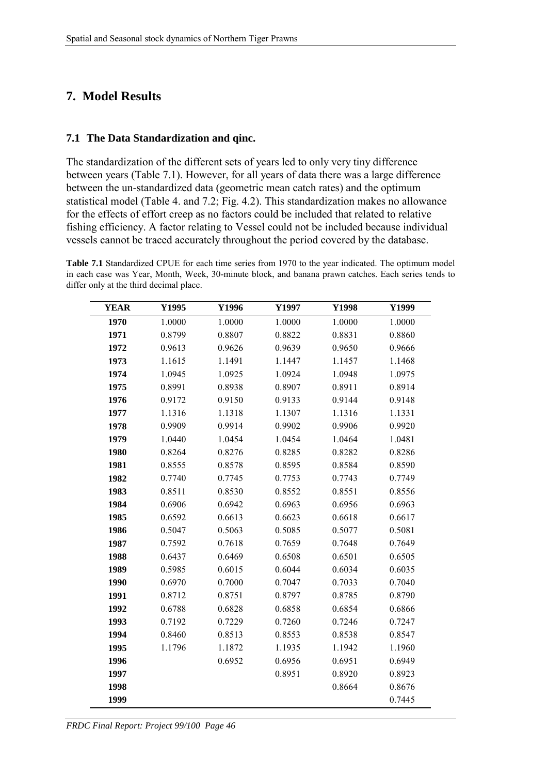## **7. Model Results**

#### **7.1 The Data Standardization and qinc.**

The standardization of the different sets of years led to only very tiny difference between years (Table 7.1). However, for all years of data there was a large difference between the un-standardized data (geometric mean catch rates) and the optimum statistical model (Table 4. and 7.2; Fig. 4.2). This standardization makes no allowance for the effects of effort creep as no factors could be included that related to relative fishing efficiency. A factor relating to Vessel could not be included because individual vessels cannot be traced accurately throughout the period covered by the database.

**Table 7.1** Standardized CPUE for each time series from 1970 to the year indicated. The optimum model in each case was Year, Month, Week, 30-minute block, and banana prawn catches. Each series tends to differ only at the third decimal place.

| <b>YEAR</b> | Y1995  | Y1996  | Y1997  | Y1998  | Y1999  |
|-------------|--------|--------|--------|--------|--------|
| 1970        | 1.0000 | 1.0000 | 1.0000 | 1.0000 | 1.0000 |
| 1971        | 0.8799 | 0.8807 | 0.8822 | 0.8831 | 0.8860 |
| 1972        | 0.9613 | 0.9626 | 0.9639 | 0.9650 | 0.9666 |
| 1973        | 1.1615 | 1.1491 | 1.1447 | 1.1457 | 1.1468 |
| 1974        | 1.0945 | 1.0925 | 1.0924 | 1.0948 | 1.0975 |
| 1975        | 0.8991 | 0.8938 | 0.8907 | 0.8911 | 0.8914 |
| 1976        | 0.9172 | 0.9150 | 0.9133 | 0.9144 | 0.9148 |
| 1977        | 1.1316 | 1.1318 | 1.1307 | 1.1316 | 1.1331 |
| 1978        | 0.9909 | 0.9914 | 0.9902 | 0.9906 | 0.9920 |
| 1979        | 1.0440 | 1.0454 | 1.0454 | 1.0464 | 1.0481 |
| 1980        | 0.8264 | 0.8276 | 0.8285 | 0.8282 | 0.8286 |
| 1981        | 0.8555 | 0.8578 | 0.8595 | 0.8584 | 0.8590 |
| 1982        | 0.7740 | 0.7745 | 0.7753 | 0.7743 | 0.7749 |
| 1983        | 0.8511 | 0.8530 | 0.8552 | 0.8551 | 0.8556 |
| 1984        | 0.6906 | 0.6942 | 0.6963 | 0.6956 | 0.6963 |
| 1985        | 0.6592 | 0.6613 | 0.6623 | 0.6618 | 0.6617 |
| 1986        | 0.5047 | 0.5063 | 0.5085 | 0.5077 | 0.5081 |
| 1987        | 0.7592 | 0.7618 | 0.7659 | 0.7648 | 0.7649 |
| 1988        | 0.6437 | 0.6469 | 0.6508 | 0.6501 | 0.6505 |
| 1989        | 0.5985 | 0.6015 | 0.6044 | 0.6034 | 0.6035 |
| 1990        | 0.6970 | 0.7000 | 0.7047 | 0.7033 | 0.7040 |
| 1991        | 0.8712 | 0.8751 | 0.8797 | 0.8785 | 0.8790 |
| 1992        | 0.6788 | 0.6828 | 0.6858 | 0.6854 | 0.6866 |
| 1993        | 0.7192 | 0.7229 | 0.7260 | 0.7246 | 0.7247 |
| 1994        | 0.8460 | 0.8513 | 0.8553 | 0.8538 | 0.8547 |
| 1995        | 1.1796 | 1.1872 | 1.1935 | 1.1942 | 1.1960 |
| 1996        |        | 0.6952 | 0.6956 | 0.6951 | 0.6949 |
| 1997        |        |        | 0.8951 | 0.8920 | 0.8923 |
| 1998        |        |        |        | 0.8664 | 0.8676 |
| 1999        |        |        |        |        | 0.7445 |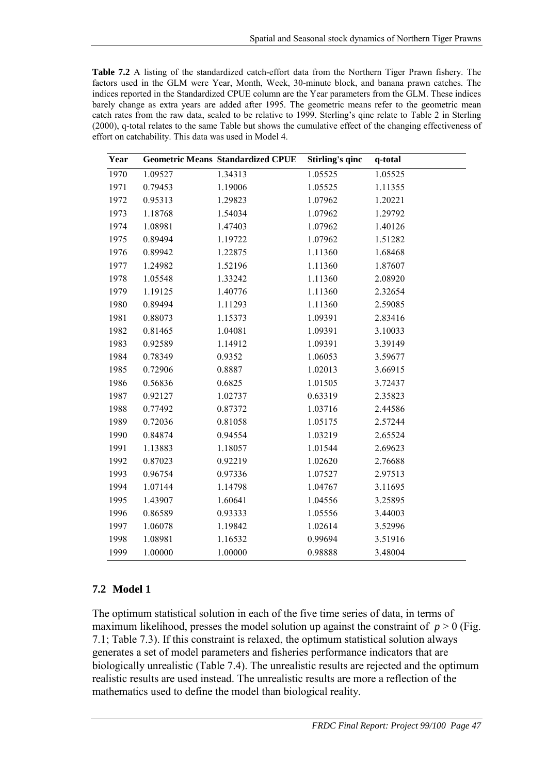**Table 7.2** A listing of the standardized catch-effort data from the Northern Tiger Prawn fishery. The factors used in the GLM were Year, Month, Week, 30-minute block, and banana prawn catches. The indices reported in the Standardized CPUE column are the Year parameters from the GLM. These indices barely change as extra years are added after 1995. The geometric means refer to the geometric mean catch rates from the raw data, scaled to be relative to 1999. Sterling's qinc relate to Table 2 in Sterling (2000), q-total relates to the same Table but shows the cumulative effect of the changing effectiveness of effort on catchability. This data was used in Model 4.

| Year |         | <b>Geometric Means Standardized CPUE</b> | Stirling's qinc | q-total |
|------|---------|------------------------------------------|-----------------|---------|
| 1970 | 1.09527 | 1.34313                                  | 1.05525         | 1.05525 |
| 1971 | 0.79453 | 1.19006                                  | 1.05525         | 1.11355 |
| 1972 | 0.95313 | 1.29823                                  | 1.07962         | 1.20221 |
| 1973 | 1.18768 | 1.54034                                  | 1.07962         | 1.29792 |
| 1974 | 1.08981 | 1.47403                                  | 1.07962         | 1.40126 |
| 1975 | 0.89494 | 1.19722                                  | 1.07962         | 1.51282 |
| 1976 | 0.89942 | 1.22875                                  | 1.11360         | 1.68468 |
| 1977 | 1.24982 | 1.52196                                  | 1.11360         | 1.87607 |
| 1978 | 1.05548 | 1.33242                                  | 1.11360         | 2.08920 |
| 1979 | 1.19125 | 1.40776                                  | 1.11360         | 2.32654 |
| 1980 | 0.89494 | 1.11293                                  | 1.11360         | 2.59085 |
| 1981 | 0.88073 | 1.15373                                  | 1.09391         | 2.83416 |
| 1982 | 0.81465 | 1.04081                                  | 1.09391         | 3.10033 |
| 1983 | 0.92589 | 1.14912                                  | 1.09391         | 3.39149 |
| 1984 | 0.78349 | 0.9352                                   | 1.06053         | 3.59677 |
| 1985 | 0.72906 | 0.8887                                   | 1.02013         | 3.66915 |
| 1986 | 0.56836 | 0.6825                                   | 1.01505         | 3.72437 |
| 1987 | 0.92127 | 1.02737                                  | 0.63319         | 2.35823 |
| 1988 | 0.77492 | 0.87372                                  | 1.03716         | 2.44586 |
| 1989 | 0.72036 | 0.81058                                  | 1.05175         | 2.57244 |
| 1990 | 0.84874 | 0.94554                                  | 1.03219         | 2.65524 |
| 1991 | 1.13883 | 1.18057                                  | 1.01544         | 2.69623 |
| 1992 | 0.87023 | 0.92219                                  | 1.02620         | 2.76688 |
| 1993 | 0.96754 | 0.97336                                  | 1.07527         | 2.97513 |
| 1994 | 1.07144 | 1.14798                                  | 1.04767         | 3.11695 |
| 1995 | 1.43907 | 1.60641                                  | 1.04556         | 3.25895 |
| 1996 | 0.86589 | 0.93333                                  | 1.05556         | 3.44003 |
| 1997 | 1.06078 | 1.19842                                  | 1.02614         | 3.52996 |
| 1998 | 1.08981 | 1.16532                                  | 0.99694         | 3.51916 |
| 1999 | 1.00000 | 1.00000                                  | 0.98888         | 3.48004 |

#### **7.2 Model 1**

The optimum statistical solution in each of the five time series of data, in terms of maximum likelihood, presses the model solution up against the constraint of  $p > 0$  (Fig. 7.1; Table 7.3). If this constraint is relaxed, the optimum statistical solution always generates a set of model parameters and fisheries performance indicators that are biologically unrealistic (Table 7.4). The unrealistic results are rejected and the optimum realistic results are used instead. The unrealistic results are more a reflection of the mathematics used to define the model than biological reality.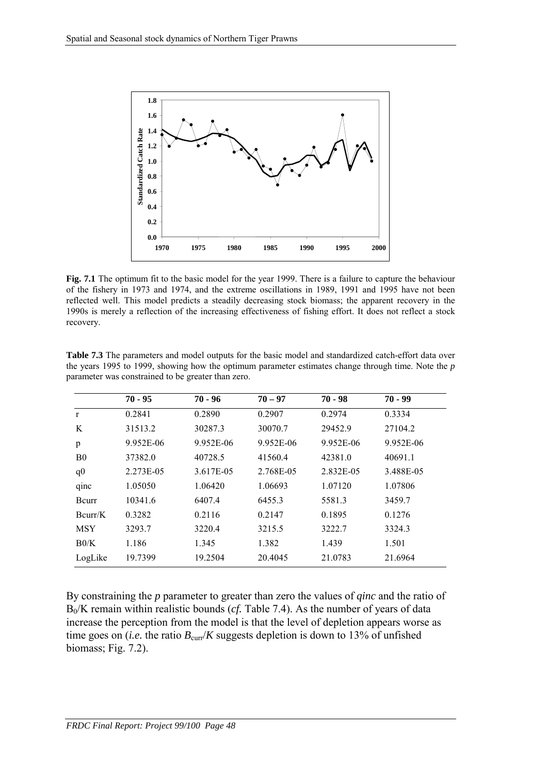

**Fig. 7.1** The optimum fit to the basic model for the year 1999. There is a failure to capture the behaviour of the fishery in 1973 and 1974, and the extreme oscillations in 1989, 1991 and 1995 have not been reflected well. This model predicts a steadily decreasing stock biomass; the apparent recovery in the 1990s is merely a reflection of the increasing effectiveness of fishing effort. It does not reflect a stock recovery.

|                | $70 - 95$ | $70 - 96$ | $70 - 97$ | $70 - 98$ | $70 - 99$ |
|----------------|-----------|-----------|-----------|-----------|-----------|
| $\mathbf{r}$   | 0.2841    | 0.2890    | 0.2907    | 0.2974    | 0.3334    |
| K              | 31513.2   | 30287.3   | 30070.7   | 29452.9   | 27104.2   |
| p              | 9.952E-06 | 9.952E-06 | 9.952E-06 | 9.952E-06 | 9.952E-06 |
| B <sub>0</sub> | 37382.0   | 40728.5   | 41560.4   | 42381.0   | 40691.1   |
| q <sub>0</sub> | 2.273E-05 | 3.617E-05 | 2.768E-05 | 2.832E-05 | 3.488E-05 |
| qinc           | 1.05050   | 1.06420   | 1.06693   | 1.07120   | 1.07806   |
| Bcurr          | 10341.6   | 6407.4    | 6455.3    | 5581.3    | 3459.7    |
| Bcurr/K        | 0.3282    | 0.2116    | 0.2147    | 0.1895    | 0.1276    |
| <b>MSY</b>     | 3293.7    | 3220.4    | 3215.5    | 3222.7    | 3324.3    |
| B0/K           | 1.186     | 1.345     | 1.382     | 1.439     | 1.501     |
| LogLike        | 19.7399   | 19.2504   | 20.4045   | 21.0783   | 21.6964   |

**Table 7.3** The parameters and model outputs for the basic model and standardized catch-effort data over the years 1995 to 1999, showing how the optimum parameter estimates change through time. Note the *p* parameter was constrained to be greater than zero.

By constraining the *p* parameter to greater than zero the values of *qinc* and the ratio of  $B_0/K$  remain within realistic bounds (*cf.* Table 7.4). As the number of years of data increase the perception from the model is that the level of depletion appears worse as time goes on (*i.e.* the ratio  $B_{\text{curr}}/K$  suggests depletion is down to 13% of unfished biomass; Fig. 7.2).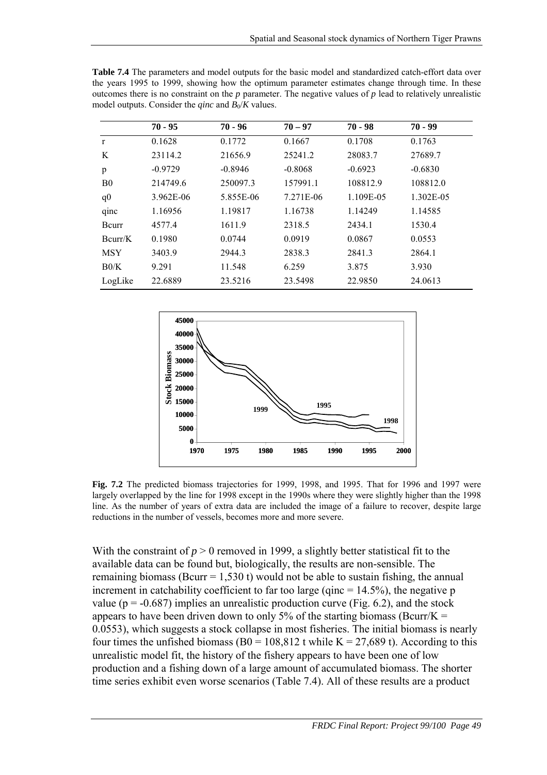|                | $70 - 95$ | $70 - 96$ | $70 - 97$ | $70 - 98$ | $70 - 99$ |
|----------------|-----------|-----------|-----------|-----------|-----------|
| $\mathbf{r}$   | 0.1628    | 0.1772    | 0.1667    | 0.1708    | 0.1763    |
| K              | 23114.2   | 21656.9   | 25241.2   | 28083.7   | 27689.7   |
| p              | $-0.9729$ | $-0.8946$ | $-0.8068$ | $-0.6923$ | $-0.6830$ |
| B <sub>0</sub> | 214749.6  | 250097.3  | 157991.1  | 108812.9  | 108812.0  |
| q <sub>0</sub> | 3.962E-06 | 5.855E-06 | 7.271E-06 | 1.109E-05 | 1.302E-05 |
| qinc           | 1.16956   | 1.19817   | 1.16738   | 1.14249   | 1.14585   |
| Bcurr          | 4577.4    | 1611.9    | 2318.5    | 2434.1    | 1530.4    |
| Bcurr/K        | 0.1980    | 0.0744    | 0.0919    | 0.0867    | 0.0553    |
| <b>MSY</b>     | 3403.9    | 2944.3    | 2838.3    | 2841.3    | 2864.1    |
| B0/K           | 9.291     | 11.548    | 6.259     | 3.875     | 3.930     |
| LogLike        | 22.6889   | 23.5216   | 23.5498   | 22.9850   | 24.0613   |
|                |           |           |           |           |           |

**Table 7.4** The parameters and model outputs for the basic model and standardized catch-effort data over the years 1995 to 1999, showing how the optimum parameter estimates change through time. In these outcomes there is no constraint on the *p* parameter. The negative values of *p* lead to relatively unrealistic





**Fig. 7.2** The predicted biomass trajectories for 1999, 1998, and 1995. That for 1996 and 1997 were largely overlapped by the line for 1998 except in the 1990s where they were slightly higher than the 1998 line. As the number of years of extra data are included the image of a failure to recover, despite large reductions in the number of vessels, becomes more and more severe.

With the constraint of  $p > 0$  removed in 1999, a slightly better statistical fit to the available data can be found but, biologically, the results are non-sensible. The remaining biomass (Bcurr =  $1,530$  t) would not be able to sustain fishing, the annual increment in catchability coefficient to far too large (qinc  $= 14.5\%$ ), the negative p value ( $p = -0.687$ ) implies an unrealistic production curve (Fig. 6.2), and the stock appears to have been driven down to only 5% of the starting biomass (Bcurr/K  $=$ 0.0553), which suggests a stock collapse in most fisheries. The initial biomass is nearly four times the unfished biomass (B0 = 108,812 t while K = 27,689 t). According to this unrealistic model fit, the history of the fishery appears to have been one of low production and a fishing down of a large amount of accumulated biomass. The shorter time series exhibit even worse scenarios (Table 7.4). All of these results are a product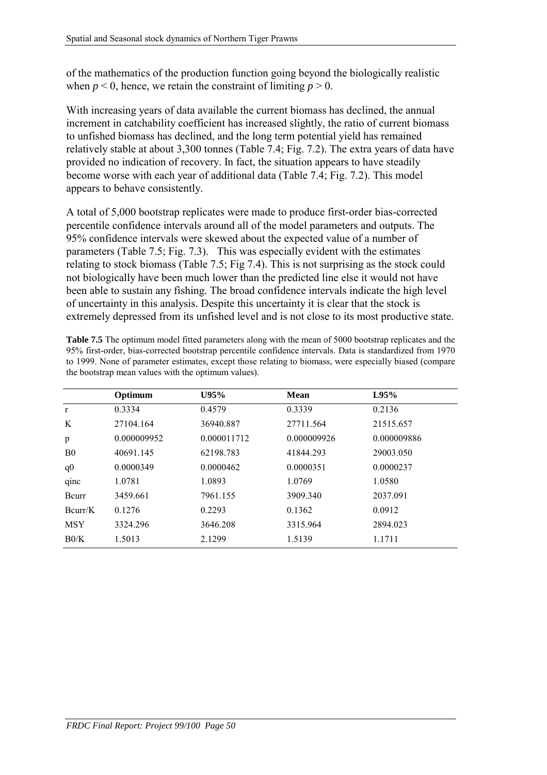of the mathematics of the production function going beyond the biologically realistic when  $p < 0$ , hence, we retain the constraint of limiting  $p > 0$ .

With increasing years of data available the current biomass has declined, the annual increment in catchability coefficient has increased slightly, the ratio of current biomass to unfished biomass has declined, and the long term potential yield has remained relatively stable at about 3,300 tonnes (Table 7.4; Fig. 7.2). The extra years of data have provided no indication of recovery. In fact, the situation appears to have steadily become worse with each year of additional data (Table 7.4; Fig. 7.2). This model appears to behave consistently.

A total of 5,000 bootstrap replicates were made to produce first-order bias-corrected percentile confidence intervals around all of the model parameters and outputs. The 95% confidence intervals were skewed about the expected value of a number of parameters (Table 7.5; Fig. 7.3). This was especially evident with the estimates relating to stock biomass (Table 7.5; Fig 7.4). This is not surprising as the stock could not biologically have been much lower than the predicted line else it would not have been able to sustain any fishing. The broad confidence intervals indicate the high level of uncertainty in this analysis. Despite this uncertainty it is clear that the stock is extremely depressed from its unfished level and is not close to its most productive state.

| <b>Table 7.5</b> The optimum model fitted parameters along with the mean of 5000 bootstrap replicates and the |
|---------------------------------------------------------------------------------------------------------------|
| 95% first-order, bias-corrected bootstrap percentile confidence intervals. Data is standardized from 1970     |
| to 1999. None of parameter estimates, except those relating to biomass, were especially biased (compare       |
| the bootstrap mean values with the optimum values).                                                           |

|                | Optimum     | U95%        | <b>Mean</b> | L95%        |
|----------------|-------------|-------------|-------------|-------------|
| $\mathbf r$    | 0.3334      | 0.4579      | 0.3339      | 0.2136      |
| K              | 27104.164   | 36940.887   | 27711.564   | 21515.657   |
| p              | 0.000009952 | 0.000011712 | 0.000009926 | 0.000009886 |
| B <sub>0</sub> | 40691.145   | 62198.783   | 41844.293   | 29003.050   |
| q <sub>0</sub> | 0.0000349   | 0.0000462   | 0.0000351   | 0.0000237   |
| qinc           | 1.0781      | 1.0893      | 1.0769      | 1.0580      |
| Bcurr          | 3459.661    | 7961.155    | 3909.340    | 2037.091    |
| Bcurr/K        | 0.1276      | 0.2293      | 0.1362      | 0.0912      |
| <b>MSY</b>     | 3324.296    | 3646.208    | 3315.964    | 2894.023    |
| B0/K           | 1.5013      | 2.1299      | 1.5139      | 1.1711      |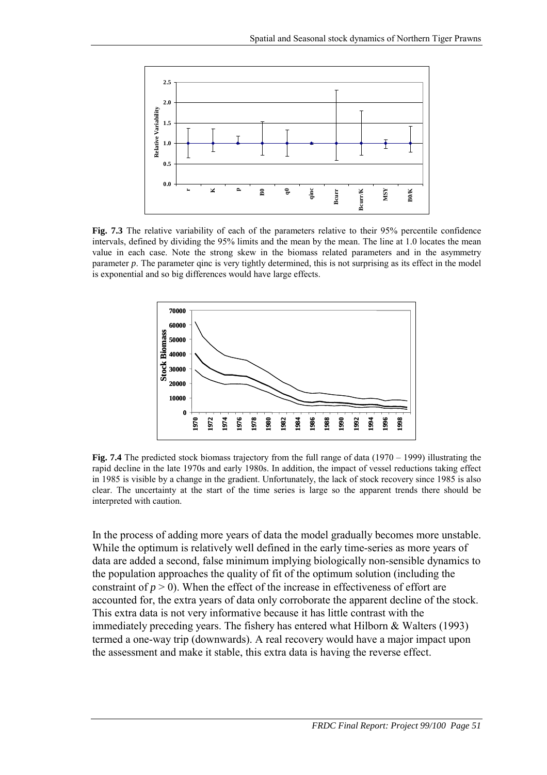

**Fig. 7.3** The relative variability of each of the parameters relative to their 95% percentile confidence intervals, defined by dividing the 95% limits and the mean by the mean. The line at 1.0 locates the mean value in each case. Note the strong skew in the biomass related parameters and in the asymmetry parameter *p*. The parameter qinc is very tightly determined, this is not surprising as its effect in the model is exponential and so big differences would have large effects.



**Fig. 7.4** The predicted stock biomass trajectory from the full range of data (1970 – 1999) illustrating the rapid decline in the late 1970s and early 1980s. In addition, the impact of vessel reductions taking effect in 1985 is visible by a change in the gradient. Unfortunately, the lack of stock recovery since 1985 is also clear. The uncertainty at the start of the time series is large so the apparent trends there should be interpreted with caution.

In the process of adding more years of data the model gradually becomes more unstable. While the optimum is relatively well defined in the early time-series as more years of data are added a second, false minimum implying biologically non-sensible dynamics to the population approaches the quality of fit of the optimum solution (including the constraint of  $p > 0$ ). When the effect of the increase in effectiveness of effort are accounted for, the extra years of data only corroborate the apparent decline of the stock. This extra data is not very informative because it has little contrast with the immediately preceding years. The fishery has entered what Hilborn & Walters (1993) termed a one-way trip (downwards). A real recovery would have a major impact upon the assessment and make it stable, this extra data is having the reverse effect.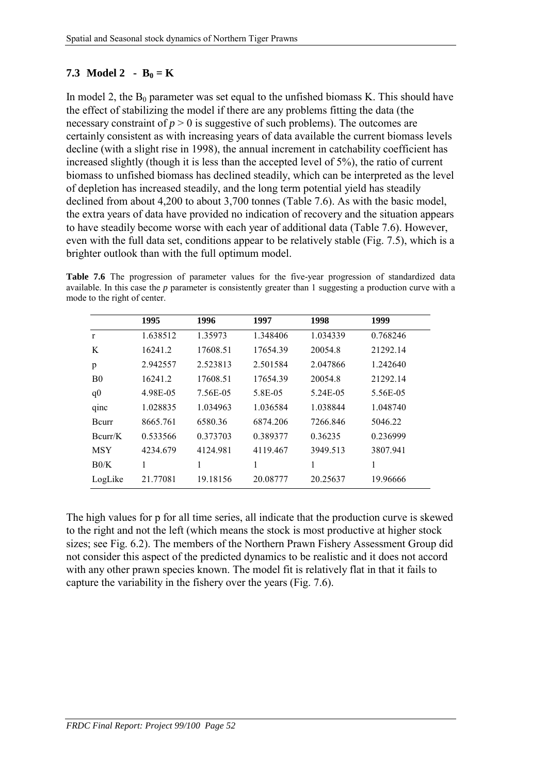### **7.3** Model 2 -  $B_0 = K$

In model 2, the  $B_0$  parameter was set equal to the unfished biomass K. This should have the effect of stabilizing the model if there are any problems fitting the data (the necessary constraint of  $p > 0$  is suggestive of such problems). The outcomes are certainly consistent as with increasing years of data available the current biomass levels decline (with a slight rise in 1998), the annual increment in catchability coefficient has increased slightly (though it is less than the accepted level of 5%), the ratio of current biomass to unfished biomass has declined steadily, which can be interpreted as the level of depletion has increased steadily, and the long term potential yield has steadily declined from about 4,200 to about 3,700 tonnes (Table 7.6). As with the basic model, the extra years of data have provided no indication of recovery and the situation appears to have steadily become worse with each year of additional data (Table 7.6). However, even with the full data set, conditions appear to be relatively stable (Fig. 7.5), which is a brighter outlook than with the full optimum model.

Table 7.6 The progression of parameter values for the five-year progression of standardized data available. In this case the *p* parameter is consistently greater than 1 suggesting a production curve with a mode to the right of center.

|                | 1995     | 1996     | 1997     | 1998     | 1999     |
|----------------|----------|----------|----------|----------|----------|
| $\mathbf{r}$   | 1.638512 | 1.35973  | 1.348406 | 1.034339 | 0.768246 |
| K              | 16241.2  | 17608.51 | 17654.39 | 20054.8  | 21292.14 |
| p              | 2.942557 | 2.523813 | 2.501584 | 2.047866 | 1.242640 |
| B <sub>0</sub> | 16241.2  | 17608.51 | 17654.39 | 20054.8  | 21292.14 |
| q <sub>0</sub> | 4.98E-05 | 7.56E-05 | 5.8E-05  | 5.24E-05 | 5.56E-05 |
| qinc           | 1.028835 | 1.034963 | 1.036584 | 1.038844 | 1.048740 |
| Bcurr          | 8665.761 | 6580.36  | 6874.206 | 7266.846 | 5046.22  |
| Bcurr/K        | 0.533566 | 0.373703 | 0.389377 | 0.36235  | 0.236999 |
| <b>MSY</b>     | 4234.679 | 4124.981 | 4119.467 | 3949.513 | 3807.941 |
| B0/K           | 1        | 1        | 1        | 1        | 1        |
| LogLike        | 21.77081 | 19.18156 | 20.08777 | 20.25637 | 19.96666 |

The high values for p for all time series, all indicate that the production curve is skewed to the right and not the left (which means the stock is most productive at higher stock sizes; see Fig. 6.2). The members of the Northern Prawn Fishery Assessment Group did not consider this aspect of the predicted dynamics to be realistic and it does not accord with any other prawn species known. The model fit is relatively flat in that it fails to capture the variability in the fishery over the years (Fig. 7.6).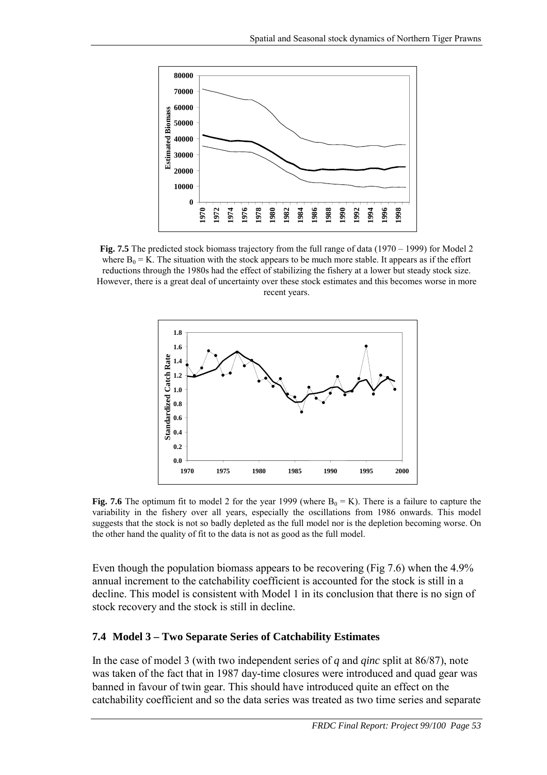

Fig. 7.5 The predicted stock biomass trajectory from the full range of data (1970 – 1999) for Model 2 where  $B_0 = K$ . The situation with the stock appears to be much more stable. It appears as if the effort reductions through the 1980s had the effect of stabilizing the fishery at a lower but steady stock size. However, there is a great deal of uncertainty over these stock estimates and this becomes worse in more recent years.



**Fig. 7.6** The optimum fit to model 2 for the year 1999 (where  $B_0 = K$ ). There is a failure to capture the variability in the fishery over all years, especially the oscillations from 1986 onwards. This model suggests that the stock is not so badly depleted as the full model nor is the depletion becoming worse. On the other hand the quality of fit to the data is not as good as the full model.

Even though the population biomass appears to be recovering (Fig 7.6) when the 4.9% annual increment to the catchability coefficient is accounted for the stock is still in a decline. This model is consistent with Model 1 in its conclusion that there is no sign of stock recovery and the stock is still in decline.

#### **7.4 Model 3 – Two Separate Series of Catchability Estimates**

In the case of model 3 (with two independent series of *q* and *qinc* split at 86/87), note was taken of the fact that in 1987 day-time closures were introduced and quad gear was banned in favour of twin gear. This should have introduced quite an effect on the catchability coefficient and so the data series was treated as two time series and separate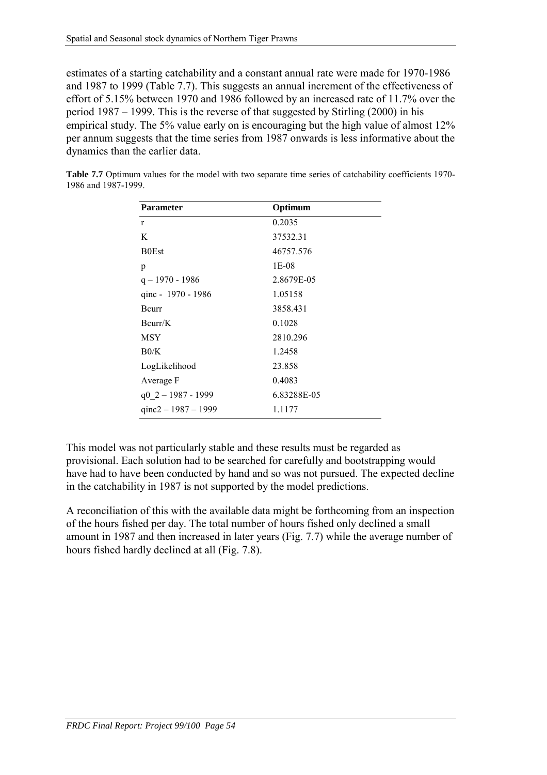estimates of a starting catchability and a constant annual rate were made for 1970-1986 and 1987 to 1999 (Table 7.7). This suggests an annual increment of the effectiveness of effort of 5.15% between 1970 and 1986 followed by an increased rate of 11.7% over the period 1987 – 1999. This is the reverse of that suggested by Stirling (2000) in his empirical study. The 5% value early on is encouraging but the high value of almost 12% per annum suggests that the time series from 1987 onwards is less informative about the dynamics than the earlier data.

| <b>Parameter</b>       | Optimum     |
|------------------------|-------------|
| r                      | 0.2035      |
| K                      | 37532.31    |
| <b>B0Est</b>           | 46757.576   |
| p                      | 1E-08       |
| $q - 1970 - 1986$      | 2.8679E-05  |
| qinc - 1970 - 1986     | 1.05158     |
| Bcurr                  | 3858.431    |
| Bcurr/K                | 0.1028      |
| <b>MSY</b>             | 2810.296    |
| B0/K                   | 1.2458      |
| LogLikelihood          | 23.858      |
| Average F              | 0.4083      |
| $q0 \t2 - 1987 - 1999$ | 6.83288E-05 |
| qinc $2 - 1987 - 1999$ | 1.1177      |

**Table 7.7** Optimum values for the model with two separate time series of catchability coefficients 1970- 1986 and 1987-1999.

This model was not particularly stable and these results must be regarded as provisional. Each solution had to be searched for carefully and bootstrapping would have had to have been conducted by hand and so was not pursued. The expected decline in the catchability in 1987 is not supported by the model predictions.

A reconciliation of this with the available data might be forthcoming from an inspection of the hours fished per day. The total number of hours fished only declined a small amount in 1987 and then increased in later years (Fig. 7.7) while the average number of hours fished hardly declined at all (Fig. 7.8).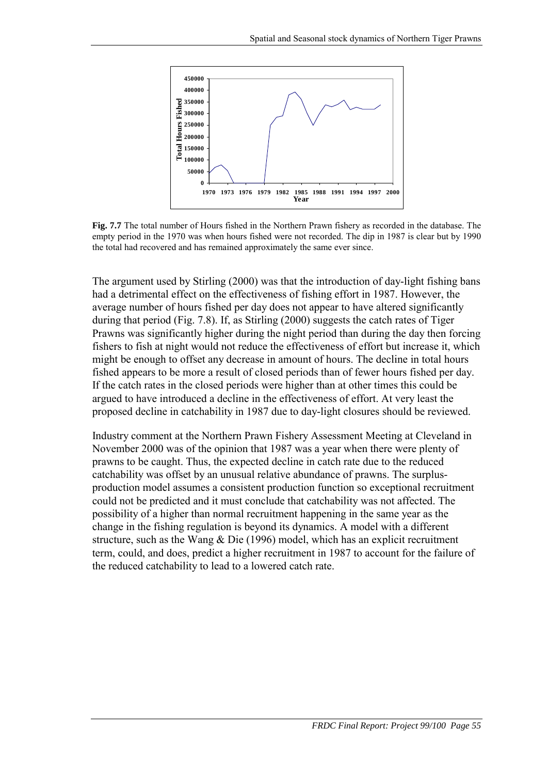

**Fig. 7.7** The total number of Hours fished in the Northern Prawn fishery as recorded in the database. The empty period in the 1970 was when hours fished were not recorded. The dip in 1987 is clear but by 1990 the total had recovered and has remained approximately the same ever since.

The argument used by Stirling (2000) was that the introduction of day-light fishing bans had a detrimental effect on the effectiveness of fishing effort in 1987. However, the average number of hours fished per day does not appear to have altered significantly during that period (Fig. 7.8). If, as Stirling (2000) suggests the catch rates of Tiger Prawns was significantly higher during the night period than during the day then forcing fishers to fish at night would not reduce the effectiveness of effort but increase it, which might be enough to offset any decrease in amount of hours. The decline in total hours fished appears to be more a result of closed periods than of fewer hours fished per day. If the catch rates in the closed periods were higher than at other times this could be argued to have introduced a decline in the effectiveness of effort. At very least the proposed decline in catchability in 1987 due to day-light closures should be reviewed.

Industry comment at the Northern Prawn Fishery Assessment Meeting at Cleveland in November 2000 was of the opinion that 1987 was a year when there were plenty of prawns to be caught. Thus, the expected decline in catch rate due to the reduced catchability was offset by an unusual relative abundance of prawns. The surplusproduction model assumes a consistent production function so exceptional recruitment could not be predicted and it must conclude that catchability was not affected. The possibility of a higher than normal recruitment happening in the same year as the change in the fishing regulation is beyond its dynamics. A model with a different structure, such as the Wang & Die (1996) model, which has an explicit recruitment term, could, and does, predict a higher recruitment in 1987 to account for the failure of the reduced catchability to lead to a lowered catch rate.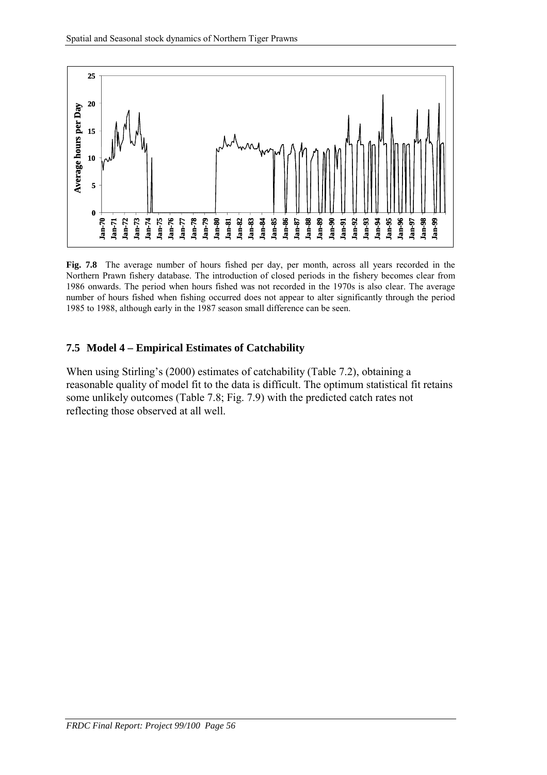

**Fig. 7.8** The average number of hours fished per day, per month, across all years recorded in the Northern Prawn fishery database. The introduction of closed periods in the fishery becomes clear from 1986 onwards. The period when hours fished was not recorded in the 1970s is also clear. The average number of hours fished when fishing occurred does not appear to alter significantly through the period 1985 to 1988, although early in the 1987 season small difference can be seen.

#### **7.5 Model 4 – Empirical Estimates of Catchability**

When using Stirling's (2000) estimates of catchability (Table 7.2), obtaining a reasonable quality of model fit to the data is difficult. The optimum statistical fit retains some unlikely outcomes (Table 7.8; Fig. 7.9) with the predicted catch rates not reflecting those observed at all well.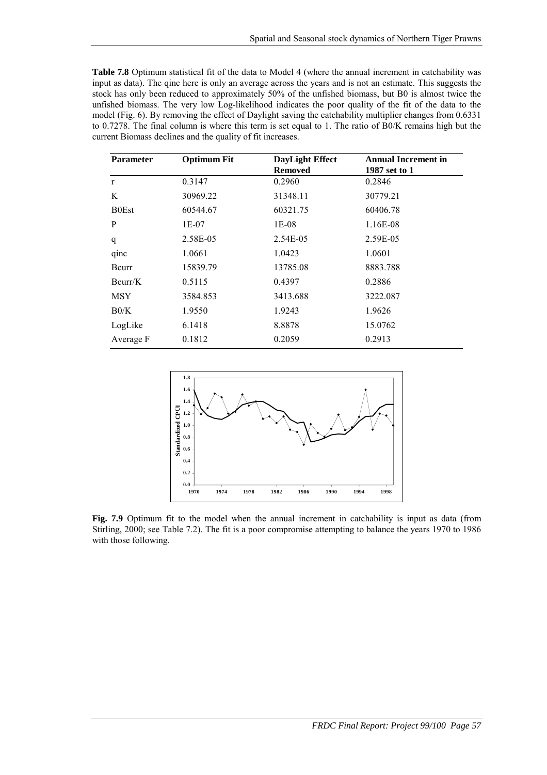| <b>Table 7.8</b> Optimum statistical fit of the data to Model 4 (where the annual increment in catchability was |
|-----------------------------------------------------------------------------------------------------------------|
| input as data). The ginc here is only an average across the years and is not an estimate. This suggests the     |
| stock has only been reduced to approximately 50% of the unfished biomass, but B0 is almost twice the            |
| unfished biomass. The very low Log-likelihood indicates the poor quality of the fit of the data to the          |
| model (Fig. 6). By removing the effect of Daylight saving the catchability multiplier changes from 0.6331       |
| to 0.7278. The final column is where this term is set equal to 1. The ratio of B0/K remains high but the        |
| current Biomass declines and the quality of fit increases.                                                      |

| <b>Parameter</b> | <b>Optimum Fit</b> | <b>DayLight Effect</b> | <b>Annual Increment in</b> |
|------------------|--------------------|------------------------|----------------------------|
|                  |                    | <b>Removed</b>         | 1987 set to 1              |
| $\mathbf{r}$     | 0.3147             | 0.2960                 | 0.2846                     |
| K                | 30969.22           | 31348.11               | 30779.21                   |
| <b>B0Est</b>     | 60544.67           | 60321.75               | 60406.78                   |
| P                | 1E-07              | 1E-08                  | 1.16E-08                   |
| q                | 2.58E-05           | 2.54E-05               | 2.59E-05                   |
| qinc             | 1.0661             | 1.0423                 | 1.0601                     |
| Bcurr            | 15839.79           | 13785.08               | 8883.788                   |
| Bcurr/K          | 0.5115             | 0.4397                 | 0.2886                     |
| MSY              | 3584.853           | 3413.688               | 3222.087                   |
| B0/K             | 1.9550             | 1.9243                 | 1.9626                     |
| LogLike          | 6.1418             | 8.8878                 | 15.0762                    |
| Average F        | 0.1812             | 0.2059                 | 0.2913                     |



Fig. 7.9 Optimum fit to the model when the annual increment in catchability is input as data (from Stirling, 2000; see Table 7.2). The fit is a poor compromise attempting to balance the years 1970 to 1986 with those following.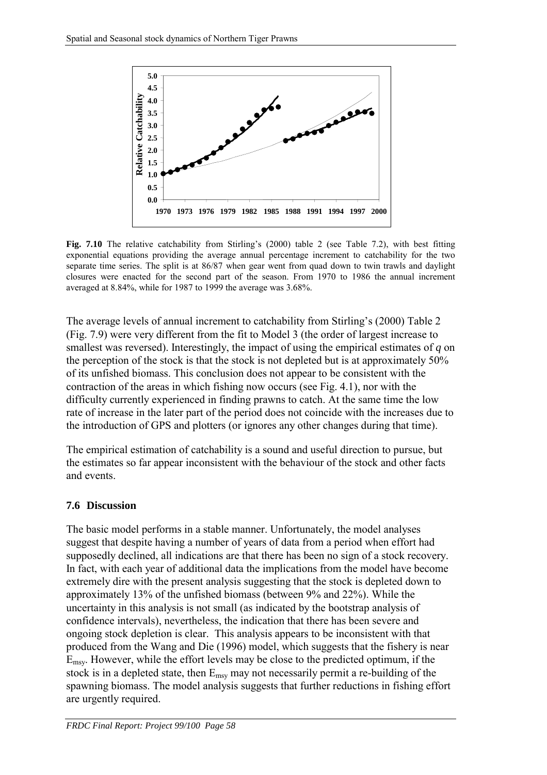

**Fig. 7.10** The relative catchability from Stirling's (2000) table 2 (see Table 7.2), with best fitting exponential equations providing the average annual percentage increment to catchability for the two separate time series. The split is at 86/87 when gear went from quad down to twin trawls and daylight closures were enacted for the second part of the season. From 1970 to 1986 the annual increment averaged at 8.84%, while for 1987 to 1999 the average was 3.68%.

The average levels of annual increment to catchability from Stirling's (2000) Table 2 (Fig. 7.9) were very different from the fit to Model 3 (the order of largest increase to smallest was reversed). Interestingly, the impact of using the empirical estimates of *q* on the perception of the stock is that the stock is not depleted but is at approximately 50% of its unfished biomass. This conclusion does not appear to be consistent with the contraction of the areas in which fishing now occurs (see Fig. 4.1), nor with the difficulty currently experienced in finding prawns to catch. At the same time the low rate of increase in the later part of the period does not coincide with the increases due to the introduction of GPS and plotters (or ignores any other changes during that time).

The empirical estimation of catchability is a sound and useful direction to pursue, but the estimates so far appear inconsistent with the behaviour of the stock and other facts and events.

#### **7.6 Discussion**

The basic model performs in a stable manner. Unfortunately, the model analyses suggest that despite having a number of years of data from a period when effort had supposedly declined, all indications are that there has been no sign of a stock recovery. In fact, with each year of additional data the implications from the model have become extremely dire with the present analysis suggesting that the stock is depleted down to approximately 13% of the unfished biomass (between 9% and 22%). While the uncertainty in this analysis is not small (as indicated by the bootstrap analysis of confidence intervals), nevertheless, the indication that there has been severe and ongoing stock depletion is clear. This analysis appears to be inconsistent with that produced from the Wang and Die (1996) model, which suggests that the fishery is near Emsy. However, while the effort levels may be close to the predicted optimum, if the stock is in a depleted state, then  $E_{\text{msv}}$  may not necessarily permit a re-building of the spawning biomass. The model analysis suggests that further reductions in fishing effort are urgently required.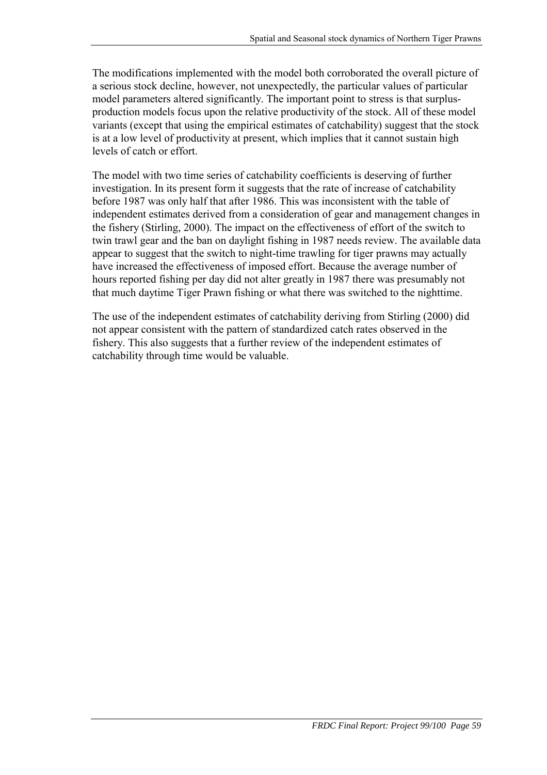The modifications implemented with the model both corroborated the overall picture of a serious stock decline, however, not unexpectedly, the particular values of particular model parameters altered significantly. The important point to stress is that surplusproduction models focus upon the relative productivity of the stock. All of these model variants (except that using the empirical estimates of catchability) suggest that the stock is at a low level of productivity at present, which implies that it cannot sustain high levels of catch or effort.

The model with two time series of catchability coefficients is deserving of further investigation. In its present form it suggests that the rate of increase of catchability before 1987 was only half that after 1986. This was inconsistent with the table of independent estimates derived from a consideration of gear and management changes in the fishery (Stirling, 2000). The impact on the effectiveness of effort of the switch to twin trawl gear and the ban on daylight fishing in 1987 needs review. The available data appear to suggest that the switch to night-time trawling for tiger prawns may actually have increased the effectiveness of imposed effort. Because the average number of hours reported fishing per day did not alter greatly in 1987 there was presumably not that much daytime Tiger Prawn fishing or what there was switched to the nighttime.

The use of the independent estimates of catchability deriving from Stirling (2000) did not appear consistent with the pattern of standardized catch rates observed in the fishery. This also suggests that a further review of the independent estimates of catchability through time would be valuable.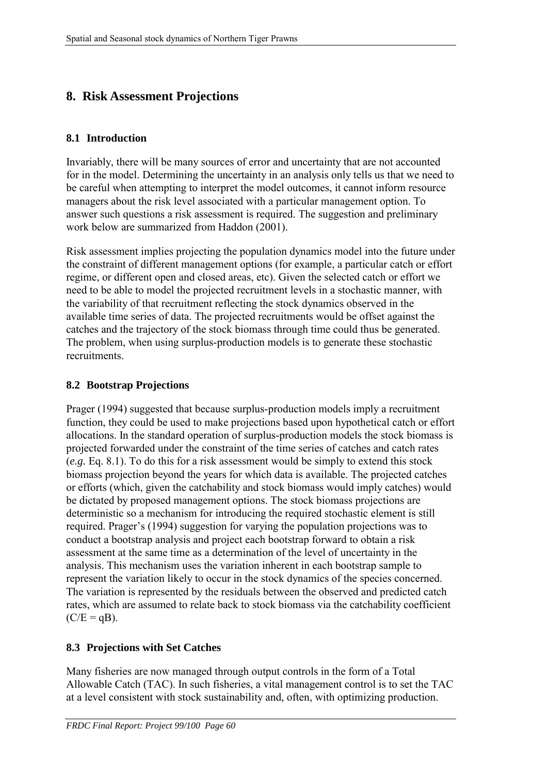# **8. Risk Assessment Projections**

### **8.1 Introduction**

Invariably, there will be many sources of error and uncertainty that are not accounted for in the model. Determining the uncertainty in an analysis only tells us that we need to be careful when attempting to interpret the model outcomes, it cannot inform resource managers about the risk level associated with a particular management option. To answer such questions a risk assessment is required. The suggestion and preliminary work below are summarized from Haddon (2001).

Risk assessment implies projecting the population dynamics model into the future under the constraint of different management options (for example, a particular catch or effort regime, or different open and closed areas, etc). Given the selected catch or effort we need to be able to model the projected recruitment levels in a stochastic manner, with the variability of that recruitment reflecting the stock dynamics observed in the available time series of data. The projected recruitments would be offset against the catches and the trajectory of the stock biomass through time could thus be generated. The problem, when using surplus-production models is to generate these stochastic recruitments.

### **8.2 Bootstrap Projections**

Prager (1994) suggested that because surplus-production models imply a recruitment function, they could be used to make projections based upon hypothetical catch or effort allocations. In the standard operation of surplus-production models the stock biomass is projected forwarded under the constraint of the time series of catches and catch rates (*e.g.* Eq. 8.1). To do this for a risk assessment would be simply to extend this stock biomass projection beyond the years for which data is available. The projected catches or efforts (which, given the catchability and stock biomass would imply catches) would be dictated by proposed management options. The stock biomass projections are deterministic so a mechanism for introducing the required stochastic element is still required. Prager's (1994) suggestion for varying the population projections was to conduct a bootstrap analysis and project each bootstrap forward to obtain a risk assessment at the same time as a determination of the level of uncertainty in the analysis. This mechanism uses the variation inherent in each bootstrap sample to represent the variation likely to occur in the stock dynamics of the species concerned. The variation is represented by the residuals between the observed and predicted catch rates, which are assumed to relate back to stock biomass via the catchability coefficient  $(C/E = qB)$ .

## **8.3 Projections with Set Catches**

Many fisheries are now managed through output controls in the form of a Total Allowable Catch (TAC). In such fisheries, a vital management control is to set the TAC at a level consistent with stock sustainability and, often, with optimizing production.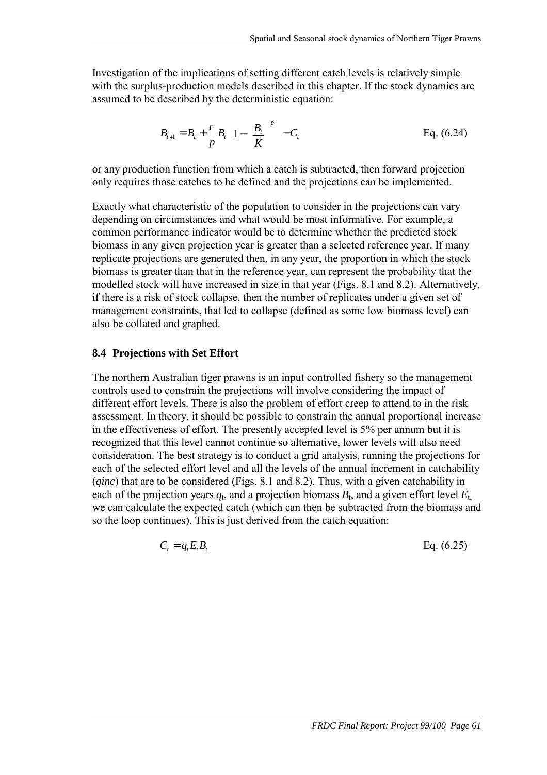Investigation of the implications of setting different catch levels is relatively simple with the surplus-production models described in this chapter. If the stock dynamics are assumed to be described by the deterministic equation:

$$
B_{t+1} = B_t + \frac{r}{p} B_t \left( 1 - \left( \frac{B_t}{K} \right)^p \right) - C_t
$$
 Eq. (6.24)

or any production function from which a catch is subtracted, then forward projection only requires those catches to be defined and the projections can be implemented.

Exactly what characteristic of the population to consider in the projections can vary depending on circumstances and what would be most informative. For example, a common performance indicator would be to determine whether the predicted stock biomass in any given projection year is greater than a selected reference year. If many replicate projections are generated then, in any year, the proportion in which the stock biomass is greater than that in the reference year, can represent the probability that the modelled stock will have increased in size in that year (Figs. 8.1 and 8.2). Alternatively, if there is a risk of stock collapse, then the number of replicates under a given set of management constraints, that led to collapse (defined as some low biomass level) can also be collated and graphed.

#### **8.4 Projections with Set Effort**

The northern Australian tiger prawns is an input controlled fishery so the management controls used to constrain the projections will involve considering the impact of different effort levels. There is also the problem of effort creep to attend to in the risk assessment. In theory, it should be possible to constrain the annual proportional increase in the effectiveness of effort. The presently accepted level is 5% per annum but it is recognized that this level cannot continue so alternative, lower levels will also need consideration. The best strategy is to conduct a grid analysis, running the projections for each of the selected effort level and all the levels of the annual increment in catchability (*qinc*) that are to be considered (Figs. 8.1 and 8.2). Thus, with a given catchability in each of the projection years  $q_t$ , and a projection biomass  $B_t$ , and a given effort level  $E_t$ we can calculate the expected catch (which can then be subtracted from the biomass and so the loop continues). This is just derived from the catch equation:

$$
C_t = q_t E_t B_t \tag{6.25}
$$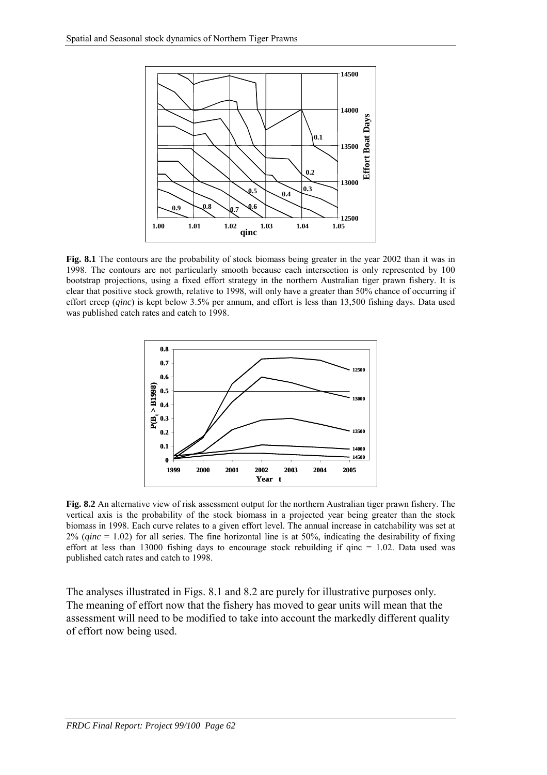

**Fig. 8.1** The contours are the probability of stock biomass being greater in the year 2002 than it was in 1998. The contours are not particularly smooth because each intersection is only represented by 100 bootstrap projections, using a fixed effort strategy in the northern Australian tiger prawn fishery. It is clear that positive stock growth, relative to 1998, will only have a greater than 50% chance of occurring if effort creep (*qinc*) is kept below 3.5% per annum, and effort is less than 13,500 fishing days. Data used was published catch rates and catch to 1998.



**Fig. 8.2** An alternative view of risk assessment output for the northern Australian tiger prawn fishery. The vertical axis is the probability of the stock biomass in a projected year being greater than the stock biomass in 1998. Each curve relates to a given effort level. The annual increase in catchability was set at 2% (*qinc* = 1.02) for all series. The fine horizontal line is at 50%, indicating the desirability of fixing effort at less than 13000 fishing days to encourage stock rebuilding if qinc  $= 1.02$ . Data used was published catch rates and catch to 1998.

The analyses illustrated in Figs. 8.1 and 8.2 are purely for illustrative purposes only. The meaning of effort now that the fishery has moved to gear units will mean that the assessment will need to be modified to take into account the markedly different quality of effort now being used.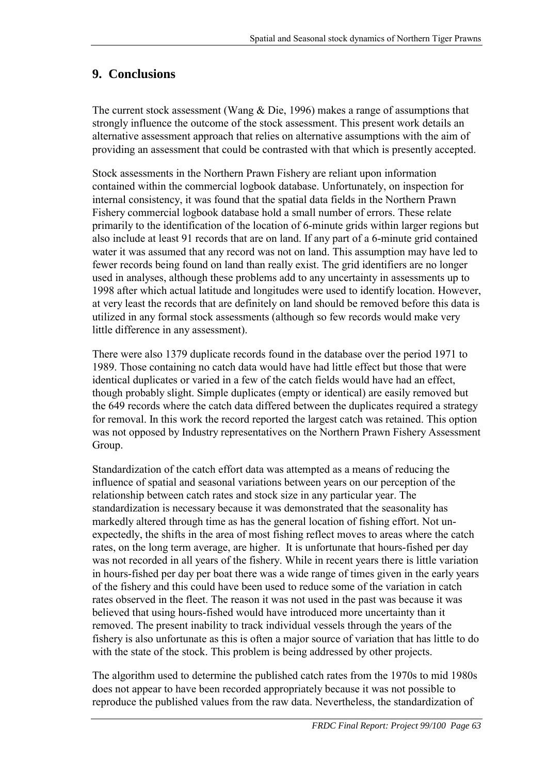# **9. Conclusions**

The current stock assessment (Wang & Die, 1996) makes a range of assumptions that strongly influence the outcome of the stock assessment. This present work details an alternative assessment approach that relies on alternative assumptions with the aim of providing an assessment that could be contrasted with that which is presently accepted.

Stock assessments in the Northern Prawn Fishery are reliant upon information contained within the commercial logbook database. Unfortunately, on inspection for internal consistency, it was found that the spatial data fields in the Northern Prawn Fishery commercial logbook database hold a small number of errors. These relate primarily to the identification of the location of 6-minute grids within larger regions but also include at least 91 records that are on land. If any part of a 6-minute grid contained water it was assumed that any record was not on land. This assumption may have led to fewer records being found on land than really exist. The grid identifiers are no longer used in analyses, although these problems add to any uncertainty in assessments up to 1998 after which actual latitude and longitudes were used to identify location. However, at very least the records that are definitely on land should be removed before this data is utilized in any formal stock assessments (although so few records would make very little difference in any assessment).

There were also 1379 duplicate records found in the database over the period 1971 to 1989. Those containing no catch data would have had little effect but those that were identical duplicates or varied in a few of the catch fields would have had an effect, though probably slight. Simple duplicates (empty or identical) are easily removed but the 649 records where the catch data differed between the duplicates required a strategy for removal. In this work the record reported the largest catch was retained. This option was not opposed by Industry representatives on the Northern Prawn Fishery Assessment Group.

Standardization of the catch effort data was attempted as a means of reducing the influence of spatial and seasonal variations between years on our perception of the relationship between catch rates and stock size in any particular year. The standardization is necessary because it was demonstrated that the seasonality has markedly altered through time as has the general location of fishing effort. Not unexpectedly, the shifts in the area of most fishing reflect moves to areas where the catch rates, on the long term average, are higher. It is unfortunate that hours-fished per day was not recorded in all years of the fishery. While in recent years there is little variation in hours-fished per day per boat there was a wide range of times given in the early years of the fishery and this could have been used to reduce some of the variation in catch rates observed in the fleet. The reason it was not used in the past was because it was believed that using hours-fished would have introduced more uncertainty than it removed. The present inability to track individual vessels through the years of the fishery is also unfortunate as this is often a major source of variation that has little to do with the state of the stock. This problem is being addressed by other projects.

The algorithm used to determine the published catch rates from the 1970s to mid 1980s does not appear to have been recorded appropriately because it was not possible to reproduce the published values from the raw data. Nevertheless, the standardization of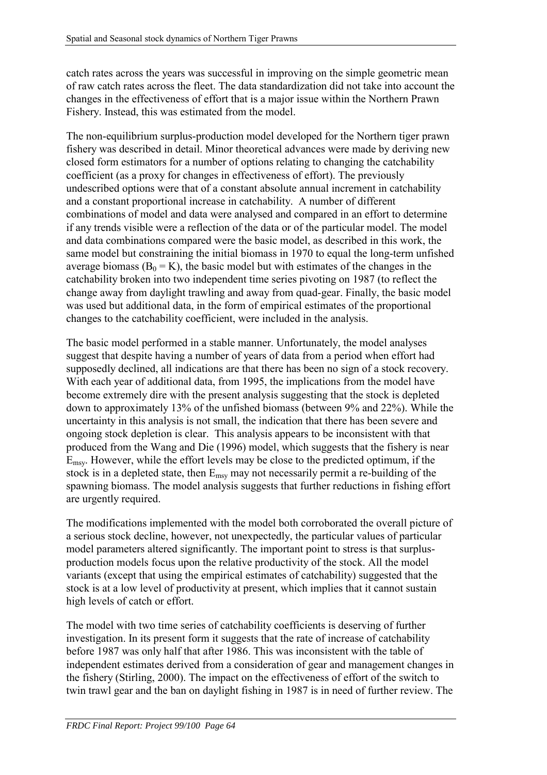catch rates across the years was successful in improving on the simple geometric mean of raw catch rates across the fleet. The data standardization did not take into account the changes in the effectiveness of effort that is a major issue within the Northern Prawn Fishery. Instead, this was estimated from the model.

The non-equilibrium surplus-production model developed for the Northern tiger prawn fishery was described in detail. Minor theoretical advances were made by deriving new closed form estimators for a number of options relating to changing the catchability coefficient (as a proxy for changes in effectiveness of effort). The previously undescribed options were that of a constant absolute annual increment in catchability and a constant proportional increase in catchability. A number of different combinations of model and data were analysed and compared in an effort to determine if any trends visible were a reflection of the data or of the particular model. The model and data combinations compared were the basic model, as described in this work, the same model but constraining the initial biomass in 1970 to equal the long-term unfished average biomass ( $B_0 = K$ ), the basic model but with estimates of the changes in the catchability broken into two independent time series pivoting on 1987 (to reflect the change away from daylight trawling and away from quad-gear. Finally, the basic model was used but additional data, in the form of empirical estimates of the proportional changes to the catchability coefficient, were included in the analysis.

The basic model performed in a stable manner. Unfortunately, the model analyses suggest that despite having a number of years of data from a period when effort had supposedly declined, all indications are that there has been no sign of a stock recovery. With each year of additional data, from 1995, the implications from the model have become extremely dire with the present analysis suggesting that the stock is depleted down to approximately 13% of the unfished biomass (between 9% and 22%). While the uncertainty in this analysis is not small, the indication that there has been severe and ongoing stock depletion is clear. This analysis appears to be inconsistent with that produced from the Wang and Die (1996) model, which suggests that the fishery is near Emsy. However, while the effort levels may be close to the predicted optimum, if the stock is in a depleted state, then  $E_{\text{msy}}$  may not necessarily permit a re-building of the spawning biomass. The model analysis suggests that further reductions in fishing effort are urgently required.

The modifications implemented with the model both corroborated the overall picture of a serious stock decline, however, not unexpectedly, the particular values of particular model parameters altered significantly. The important point to stress is that surplusproduction models focus upon the relative productivity of the stock. All the model variants (except that using the empirical estimates of catchability) suggested that the stock is at a low level of productivity at present, which implies that it cannot sustain high levels of catch or effort.

The model with two time series of catchability coefficients is deserving of further investigation. In its present form it suggests that the rate of increase of catchability before 1987 was only half that after 1986. This was inconsistent with the table of independent estimates derived from a consideration of gear and management changes in the fishery (Stirling, 2000). The impact on the effectiveness of effort of the switch to twin trawl gear and the ban on daylight fishing in 1987 is in need of further review. The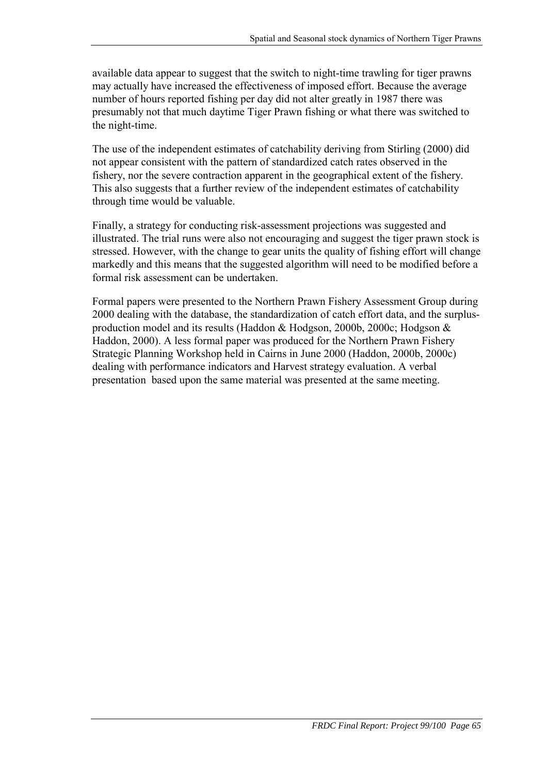available data appear to suggest that the switch to night-time trawling for tiger prawns may actually have increased the effectiveness of imposed effort. Because the average number of hours reported fishing per day did not alter greatly in 1987 there was presumably not that much daytime Tiger Prawn fishing or what there was switched to the night-time.

The use of the independent estimates of catchability deriving from Stirling (2000) did not appear consistent with the pattern of standardized catch rates observed in the fishery, nor the severe contraction apparent in the geographical extent of the fishery. This also suggests that a further review of the independent estimates of catchability through time would be valuable.

Finally, a strategy for conducting risk-assessment projections was suggested and illustrated. The trial runs were also not encouraging and suggest the tiger prawn stock is stressed. However, with the change to gear units the quality of fishing effort will change markedly and this means that the suggested algorithm will need to be modified before a formal risk assessment can be undertaken.

Formal papers were presented to the Northern Prawn Fishery Assessment Group during 2000 dealing with the database, the standardization of catch effort data, and the surplusproduction model and its results (Haddon & Hodgson, 2000b, 2000c; Hodgson & Haddon, 2000). A less formal paper was produced for the Northern Prawn Fishery Strategic Planning Workshop held in Cairns in June 2000 (Haddon, 2000b, 2000c) dealing with performance indicators and Harvest strategy evaluation. A verbal presentation based upon the same material was presented at the same meeting.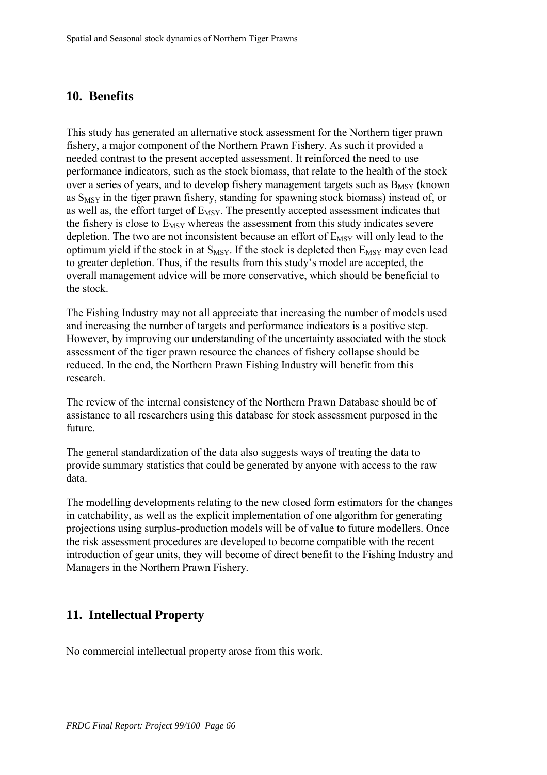## **10. Benefits**

This study has generated an alternative stock assessment for the Northern tiger prawn fishery, a major component of the Northern Prawn Fishery. As such it provided a needed contrast to the present accepted assessment. It reinforced the need to use performance indicators, such as the stock biomass, that relate to the health of the stock over a series of years, and to develop fishery management targets such as  $B_{MSY}$  (known as  $S_{MSY}$  in the tiger prawn fishery, standing for spawning stock biomass) instead of, or as well as, the effort target of  $E_{MSY}$ . The presently accepted assessment indicates that the fishery is close to  $E_{MSY}$  whereas the assessment from this study indicates severe depletion. The two are not inconsistent because an effort of  $E_{MSY}$  will only lead to the optimum yield if the stock in at  $S_{MSY}$ . If the stock is depleted then  $E_{MSY}$  may even lead to greater depletion. Thus, if the results from this study's model are accepted, the overall management advice will be more conservative, which should be beneficial to the stock.

The Fishing Industry may not all appreciate that increasing the number of models used and increasing the number of targets and performance indicators is a positive step. However, by improving our understanding of the uncertainty associated with the stock assessment of the tiger prawn resource the chances of fishery collapse should be reduced. In the end, the Northern Prawn Fishing Industry will benefit from this research.

The review of the internal consistency of the Northern Prawn Database should be of assistance to all researchers using this database for stock assessment purposed in the future.

The general standardization of the data also suggests ways of treating the data to provide summary statistics that could be generated by anyone with access to the raw data.

The modelling developments relating to the new closed form estimators for the changes in catchability, as well as the explicit implementation of one algorithm for generating projections using surplus-production models will be of value to future modellers. Once the risk assessment procedures are developed to become compatible with the recent introduction of gear units, they will become of direct benefit to the Fishing Industry and Managers in the Northern Prawn Fishery.

# **11. Intellectual Property**

No commercial intellectual property arose from this work.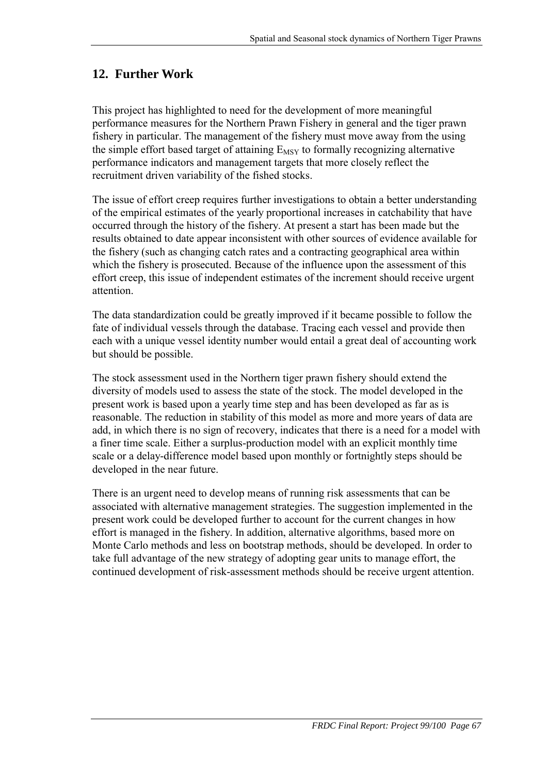# **12. Further Work**

This project has highlighted to need for the development of more meaningful performance measures for the Northern Prawn Fishery in general and the tiger prawn fishery in particular. The management of the fishery must move away from the using the simple effort based target of attaining  $E_{MSV}$  to formally recognizing alternative performance indicators and management targets that more closely reflect the recruitment driven variability of the fished stocks.

The issue of effort creep requires further investigations to obtain a better understanding of the empirical estimates of the yearly proportional increases in catchability that have occurred through the history of the fishery. At present a start has been made but the results obtained to date appear inconsistent with other sources of evidence available for the fishery (such as changing catch rates and a contracting geographical area within which the fishery is prosecuted. Because of the influence upon the assessment of this effort creep, this issue of independent estimates of the increment should receive urgent attention.

The data standardization could be greatly improved if it became possible to follow the fate of individual vessels through the database. Tracing each vessel and provide then each with a unique vessel identity number would entail a great deal of accounting work but should be possible.

The stock assessment used in the Northern tiger prawn fishery should extend the diversity of models used to assess the state of the stock. The model developed in the present work is based upon a yearly time step and has been developed as far as is reasonable. The reduction in stability of this model as more and more years of data are add, in which there is no sign of recovery, indicates that there is a need for a model with a finer time scale. Either a surplus-production model with an explicit monthly time scale or a delay-difference model based upon monthly or fortnightly steps should be developed in the near future.

There is an urgent need to develop means of running risk assessments that can be associated with alternative management strategies. The suggestion implemented in the present work could be developed further to account for the current changes in how effort is managed in the fishery. In addition, alternative algorithms, based more on Monte Carlo methods and less on bootstrap methods, should be developed. In order to take full advantage of the new strategy of adopting gear units to manage effort, the continued development of risk-assessment methods should be receive urgent attention.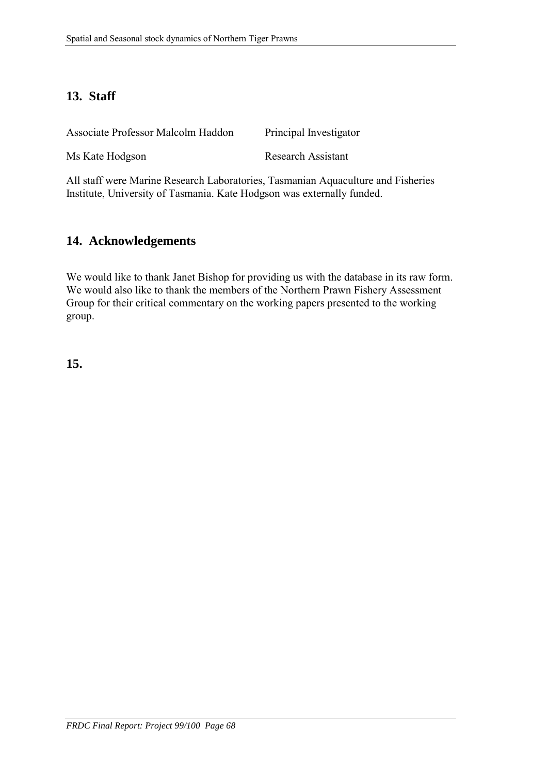## **13. Staff**

| Associate Professor Malcolm Haddon | Principal Investigator    |
|------------------------------------|---------------------------|
| Ms Kate Hodgson                    | <b>Research Assistant</b> |

All staff were Marine Research Laboratories, Tasmanian Aquaculture and Fisheries Institute, University of Tasmania. Kate Hodgson was externally funded.

## **14. Acknowledgements**

We would like to thank Janet Bishop for providing us with the database in its raw form. We would also like to thank the members of the Northern Prawn Fishery Assessment Group for their critical commentary on the working papers presented to the working group.

**15.**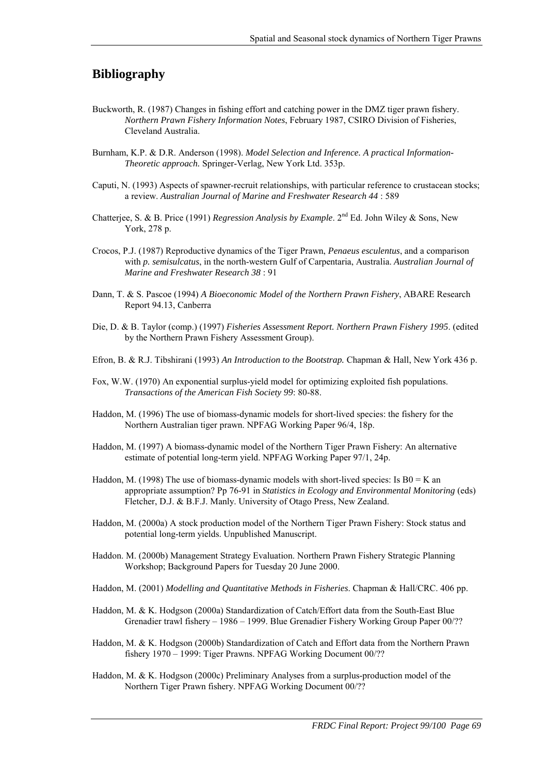### **Bibliography**

- Buckworth, R. (1987) Changes in fishing effort and catching power in the DMZ tiger prawn fishery. *Northern Prawn Fishery Information Notes*, February 1987, CSIRO Division of Fisheries, Cleveland Australia.
- Burnham, K.P. & D.R. Anderson (1998). *Model Selection and Inference. A practical Information-Theoretic approach.* Springer-Verlag, New York Ltd. 353p.
- Caputi, N. (1993) Aspects of spawner-recruit relationships, with particular reference to crustacean stocks; a review. *Australian Journal of Marine and Freshwater Research 44* : 589
- Chatterjee, S. & B. Price (1991) *Regression Analysis by Example*. 2nd Ed. John Wiley & Sons, New York, 278 p.
- Crocos, P.J. (1987) Reproductive dynamics of the Tiger Prawn, *Penaeus esculentus*, and a comparison with *p. semisulcatus*, in the north-western Gulf of Carpentaria, Australia. *Australian Journal of Marine and Freshwater Research 38* : 91
- Dann, T. & S. Pascoe (1994) *A Bioeconomic Model of the Northern Prawn Fishery*, ABARE Research Report 94.13, Canberra
- Die, D. & B. Taylor (comp.) (1997) *Fisheries Assessment Report. Northern Prawn Fishery 1995*. (edited by the Northern Prawn Fishery Assessment Group).
- Efron, B. & R.J. Tibshirani (1993) *An Introduction to the Bootstrap.* Chapman & Hall, New York 436 p.
- Fox, W.W. (1970) An exponential surplus-yield model for optimizing exploited fish populations. *Transactions of the American Fish Society 99*: 80-88.
- Haddon, M. (1996) The use of biomass-dynamic models for short-lived species: the fishery for the Northern Australian tiger prawn. NPFAG Working Paper 96/4, 18p.
- Haddon, M. (1997) A biomass-dynamic model of the Northern Tiger Prawn Fishery: An alternative estimate of potential long-term yield. NPFAG Working Paper 97/1, 24p.
- Haddon, M. (1998) The use of biomass-dynamic models with short-lived species: Is  $B0 = K$  and appropriate assumption? Pp 76-91 in *Statistics in Ecology and Environmental Monitoring* (eds) Fletcher, D.J. & B.F.J. Manly. University of Otago Press, New Zealand.
- Haddon, M. (2000a) A stock production model of the Northern Tiger Prawn Fishery: Stock status and potential long-term yields. Unpublished Manuscript.
- Haddon. M. (2000b) Management Strategy Evaluation. Northern Prawn Fishery Strategic Planning Workshop; Background Papers for Tuesday 20 June 2000.
- Haddon, M. (2001) *Modelling and Quantitative Methods in Fisheries*. Chapman & Hall/CRC. 406 pp.
- Haddon, M. & K. Hodgson (2000a) Standardization of Catch/Effort data from the South-East Blue Grenadier trawl fishery – 1986 – 1999. Blue Grenadier Fishery Working Group Paper 00/??
- Haddon, M. & K. Hodgson (2000b) Standardization of Catch and Effort data from the Northern Prawn fishery 1970 – 1999: Tiger Prawns. NPFAG Working Document 00/??
- Haddon, M. & K. Hodgson (2000c) Preliminary Analyses from a surplus-production model of the Northern Tiger Prawn fishery. NPFAG Working Document 00/??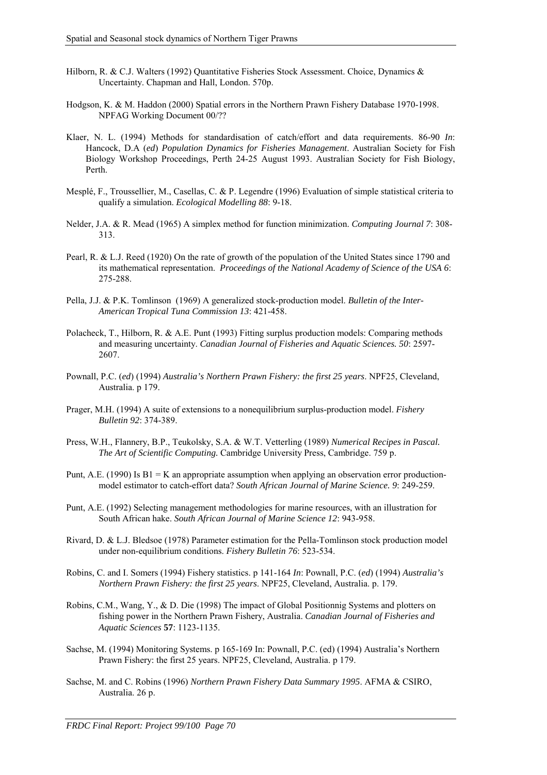- Hilborn, R. & C.J. Walters (1992) Quantitative Fisheries Stock Assessment. Choice, Dynamics & Uncertainty. Chapman and Hall, London. 570p.
- Hodgson, K. & M. Haddon (2000) Spatial errors in the Northern Prawn Fishery Database 1970-1998. NPFAG Working Document 00/??
- Klaer, N. L. (1994) Methods for standardisation of catch/effort and data requirements. 86-90 *In*: Hancock, D.A (*ed*) *Population Dynamics for Fisheries Management*. Australian Society for Fish Biology Workshop Proceedings, Perth 24-25 August 1993. Australian Society for Fish Biology, Perth.
- Mesplé, F., Troussellier, M., Casellas, C. & P. Legendre (1996) Evaluation of simple statistical criteria to qualify a simulation. *Ecological Modelling 88*: 9-18.
- Nelder, J.A. & R. Mead (1965) A simplex method for function minimization. *Computing Journal 7*: 308- 313.
- Pearl, R. & L.J. Reed (1920) On the rate of growth of the population of the United States since 1790 and its mathematical representation. *Proceedings of the National Academy of Science of the USA 6*: 275-288.
- Pella, J.J. & P.K. Tomlinson (1969) A generalized stock-production model. *Bulletin of the Inter-American Tropical Tuna Commission 13*: 421-458.
- Polacheck, T., Hilborn, R. & A.E. Punt (1993) Fitting surplus production models: Comparing methods and measuring uncertainty. *Canadian Journal of Fisheries and Aquatic Sciences. 50*: 2597- 2607.
- Pownall, P.C. (*ed*) (1994) *Australia's Northern Prawn Fishery: the first 25 years*. NPF25, Cleveland, Australia. p 179.
- Prager, M.H. (1994) A suite of extensions to a nonequilibrium surplus-production model. *Fishery Bulletin 92*: 374-389.
- Press, W.H., Flannery, B.P., Teukolsky, S.A. & W.T. Vetterling (1989) *Numerical Recipes in Pascal. The Art of Scientific Computing.* Cambridge University Press, Cambridge. 759 p.
- Punt, A.E. (1990) Is  $B1 = K$  an appropriate assumption when applying an observation error productionmodel estimator to catch-effort data? *South African Journal of Marine Science. 9*: 249-259.
- Punt, A.E. (1992) Selecting management methodologies for marine resources, with an illustration for South African hake. *South African Journal of Marine Science 12*: 943-958.
- Rivard, D. & L.J. Bledsoe (1978) Parameter estimation for the Pella-Tomlinson stock production model under non-equilibrium conditions. *Fishery Bulletin 76*: 523-534.
- Robins, C. and I. Somers (1994) Fishery statistics. p 141-164 *In*: Pownall, P.C. (*ed*) (1994) *Australia's Northern Prawn Fishery: the first 25 years*. NPF25, Cleveland, Australia. p. 179.
- Robins, C.M., Wang, Y., & D. Die (1998) The impact of Global Positionnig Systems and plotters on fishing power in the Northern Prawn Fishery, Australia. *Canadian Journal of Fisheries and Aquatic Sciences* **57**: 1123-1135.
- Sachse, M. (1994) Monitoring Systems. p 165-169 In: Pownall, P.C. (ed) (1994) Australia's Northern Prawn Fishery: the first 25 years. NPF25, Cleveland, Australia. p 179.
- Sachse, M. and C. Robins (1996) *Northern Prawn Fishery Data Summary 1995*. AFMA & CSIRO, Australia. 26 p.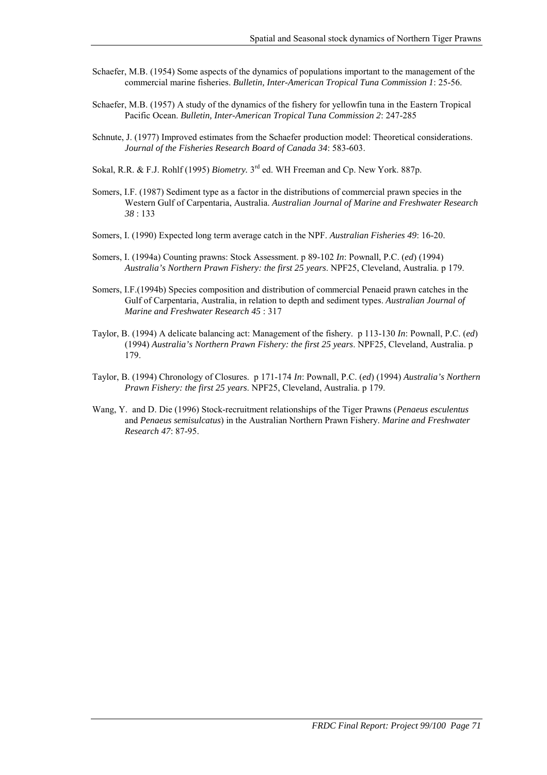- Schaefer, M.B. (1954) Some aspects of the dynamics of populations important to the management of the commercial marine fisheries. *Bulletin, Inter-American Tropical Tuna Commission 1*: 25-56.
- Schaefer, M.B. (1957) A study of the dynamics of the fishery for yellowfin tuna in the Eastern Tropical Pacific Ocean. *Bulletin, Inter-American Tropical Tuna Commission 2*: 247-285
- Schnute, J. (1977) Improved estimates from the Schaefer production model: Theoretical considerations. *Journal of the Fisheries Research Board of Canada 34*: 583-603.
- Sokal, R.R. & F.J. Rohlf (1995) *Biometry*. 3<sup>rd</sup> ed. WH Freeman and Cp. New York. 887p.
- Somers, I.F. (1987) Sediment type as a factor in the distributions of commercial prawn species in the Western Gulf of Carpentaria, Australia. *Australian Journal of Marine and Freshwater Research 38* : 133
- Somers, I. (1990) Expected long term average catch in the NPF. *Australian Fisheries 49*: 16-20.
- Somers, I. (1994a) Counting prawns: Stock Assessment. p 89-102 *In*: Pownall, P.C. (*ed*) (1994) *Australia's Northern Prawn Fishery: the first 25 years*. NPF25, Cleveland, Australia. p 179.
- Somers, I.F.(1994b) Species composition and distribution of commercial Penaeid prawn catches in the Gulf of Carpentaria, Australia, in relation to depth and sediment types. *Australian Journal of Marine and Freshwater Research 45* : 317
- Taylor, B. (1994) A delicate balancing act: Management of the fishery. p 113-130 *In*: Pownall, P.C. (*ed*) (1994) *Australia's Northern Prawn Fishery: the first 25 years*. NPF25, Cleveland, Australia. p 179.
- Taylor, B. (1994) Chronology of Closures. p 171-174 *In*: Pownall, P.C. (*ed*) (1994) *Australia's Northern Prawn Fishery: the first 25 years*. NPF25, Cleveland, Australia. p 179.
- Wang, Y. and D. Die (1996) Stock-recruitment relationships of the Tiger Prawns (*Penaeus esculentus* and *Penaeus semisulcatus*) in the Australian Northern Prawn Fishery. *Marine and Freshwater Research 47*: 87-95.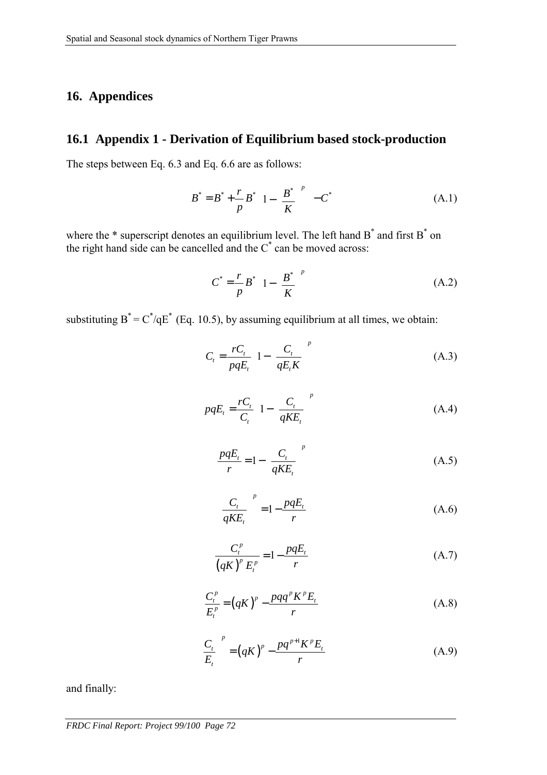## **16. Appendices**

## **16.1 Appendix 1 - Derivation of Equilibrium based stock-production**

The steps between Eq. 6.3 and Eq. 6.6 are as follows:

$$
B^* = B^* + \frac{r}{p} B^* \left( 1 - \left( \frac{B^*}{K} \right)^p \right) - C^* \tag{A.1}
$$

where the  $*$  superscript denotes an equilibrium level. The left hand  $B^*$  and first  $B^*$  on the right hand side can be cancelled and the  $C^*$  can be moved across:

$$
C^* = \frac{r}{p} B^* \left( 1 - \left( \frac{B^*}{K} \right)^p \right) \tag{A.2}
$$

substituting  $B^* = C^* / qE^*$  (Eq. 10.5), by assuming equilibrium at all times, we obtain:

$$
C_{t} = \frac{rC_{t}}{pqE_{t}} \left[ 1 - \left( \frac{C_{t}}{qE_{t}K} \right)^{p} \right]
$$
 (A.3)

$$
pqE_t = \frac{rC_t}{C_t} \left( 1 - \left( \frac{C_t}{qKE_t} \right)^p \right)
$$
 (A.4)

$$
\frac{pqE_t}{r} = 1 - \left(\frac{C_t}{qKE_t}\right)^p\tag{A.5}
$$

$$
\left(\frac{C_t}{qKE_t}\right)^p = 1 - \frac{pqE_t}{r}
$$
\n(A.6)

$$
\frac{C_t^p}{\left(qK\right)^p E_t^p} = 1 - \frac{pqE_t}{r}
$$
 (A.7)

$$
\frac{C_t^p}{E_t^p} = (qK)^p - \frac{pqq^pK^pE_t}{r}
$$
\n(A.8)

$$
\left(\frac{C_t}{E_t}\right)^p = \left(qK\right)^p - \frac{pq^{p+1}K^pE_t}{r}
$$
\n(A.9)

and finally:

*FRDC Final Report: Project 99/100 Page 72*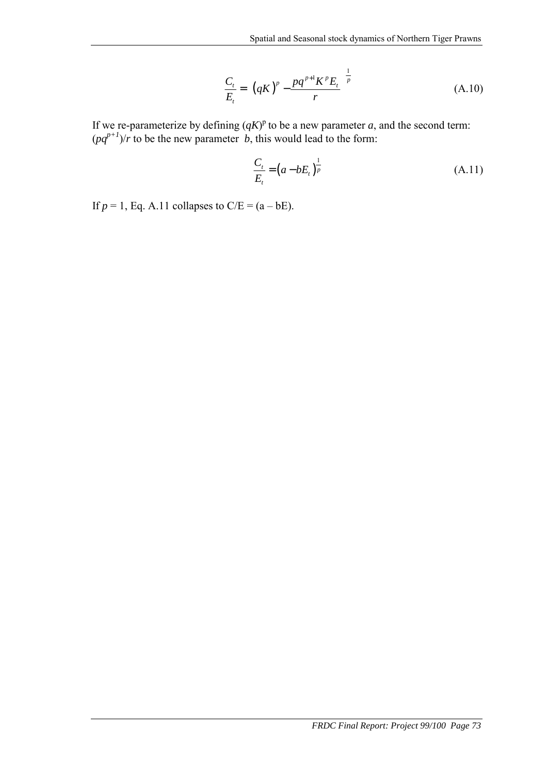$$
\frac{C_t}{E_t} = \left[ \left( qK \right)^p - \frac{pq^{p+1}K^p E_t}{r} \right]^{\frac{1}{p}}
$$
\n(A.10)

If we re-parameterize by defining  $(qK)^p$  to be a new parameter *a*, and the second term:  $(pq^{p+1})/r$  to be the new parameter *b*, this would lead to the form:

$$
\frac{C_t}{E_t} = (a - bE_t)^{\frac{1}{p}}
$$
(A.11)

If  $p = 1$ , Eq. A.11 collapses to  $C/E = (a - bE)$ .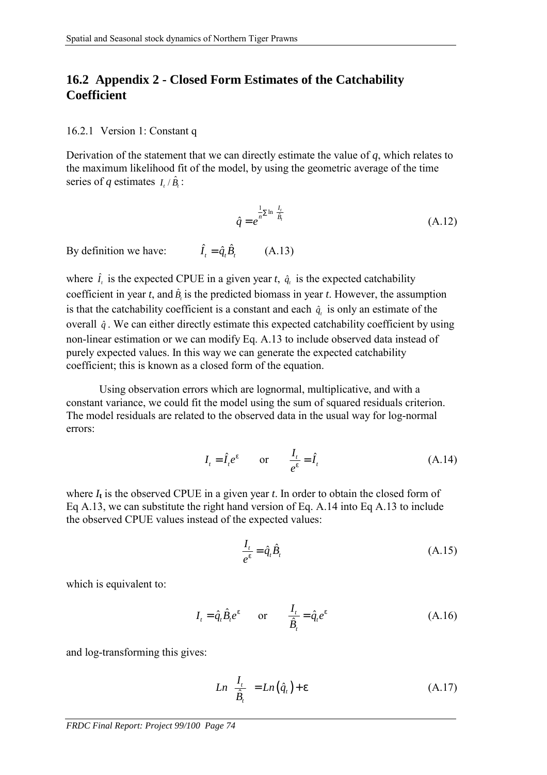## **16.2 Appendix 2 - Closed Form Estimates of the Catchability Coefficient**

#### 16.2.1 Version 1: Constant q

Derivation of the statement that we can directly estimate the value of *q*, which relates to the maximum likelihood fit of the model, by using the geometric average of the time series of *q* estimates  $I_i/\hat{B_i}$ :

$$
\hat{q} = e^{\frac{1}{n} \sum \ln \left( \frac{I_t}{\hat{B}_i} \right)}
$$
(A.12)

By definition we have:  $\hat{I}_r = \hat{q}_r \hat{B}_r$  (A.13)

where  $\hat{\mathbf{i}}_t$  is the expected CPUE in a given year  $\mathbf{t}$ ,  $\hat{\mathbf{q}}_t$  is the expected catchability coefficient in year *t*, and  $\hat{B}_t$  is the predicted biomass in year *t*. However, the assumption is that the catchability coefficient is a constant and each  $\hat{q}$ , is only an estimate of the overall  $\hat{q}$ . We can either directly estimate this expected catchability coefficient by using non-linear estimation or we can modify Eq. A.13 to include observed data instead of purely expected values. In this way we can generate the expected catchability coefficient; this is known as a closed form of the equation.

 Using observation errors which are lognormal, multiplicative, and with a constant variance, we could fit the model using the sum of squared residuals criterion. The model residuals are related to the observed data in the usual way for log-normal errors:

$$
I_t = \hat{I}_t e^{\varepsilon} \qquad \text{or} \qquad \frac{I_t}{e^{\varepsilon}} = \hat{I}_t \tag{A.14}
$$

where  $I_t$  is the observed CPUE in a given year  $t$ . In order to obtain the closed form of Eq A.13, we can substitute the right hand version of Eq. A.14 into Eq A.13 to include the observed CPUE values instead of the expected values:

$$
\frac{I_t}{e^{\varepsilon}} = \hat{q}_t \hat{B}_t \tag{A.15}
$$

which is equivalent to:

$$
I_t = \hat{q}_t \hat{B}_t e^{\varepsilon} \qquad \text{or} \qquad \frac{I_t}{\hat{B}_t} = \hat{q}_t e^{\varepsilon} \tag{A.16}
$$

and log-transforming this gives:

$$
Ln\left(\frac{I_t}{\hat{B}_t}\right) = Ln\left(\hat{q}_t\right) + \varepsilon\tag{A.17}
$$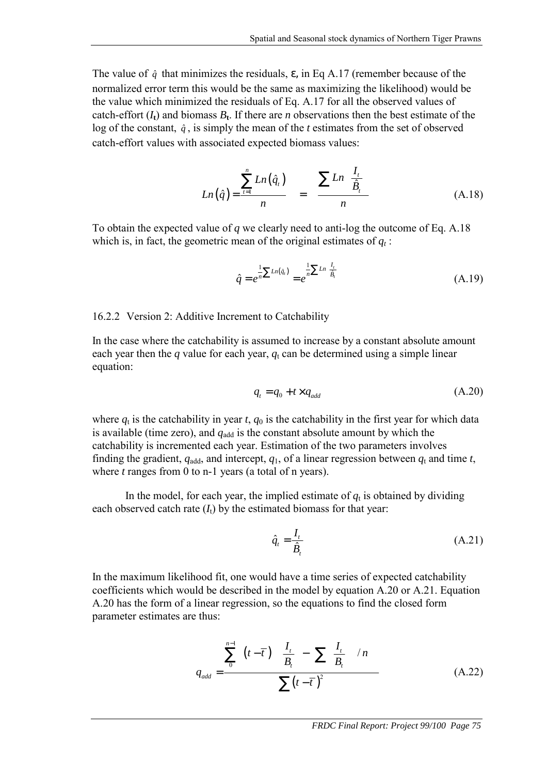The value of  $\hat{q}$  that minimizes the residuals,  $\varepsilon$ , in Eq A.17 (remember because of the normalized error term this would be the same as maximizing the likelihood) would be the value which minimized the residuals of Eq. A.17 for all the observed values of catch-effort  $(I_t)$  and biomass  $B_t$ . If there are *n* observations then the best estimate of the log of the constant,  $\hat{q}$ , is simply the mean of the *t* estimates from the set of observed catch-effort values with associated expected biomass values:

$$
Ln(\hat{q}) = \frac{\sum_{t=1}^{n} Ln(\hat{q}_t)}{n} = \frac{\sum Ln\left(\frac{I_t}{\hat{B}_t}\right)}{n}
$$
(A.18)

To obtain the expected value of *q* we clearly need to anti-log the outcome of Eq. A.18 which is, in fact, the geometric mean of the original estimates of  $q_t$ :

$$
\hat{q} = e^{\frac{1}{n} \sum Ln(\hat{q}_i)} = e^{\frac{1}{n} \sum Ln\left(\frac{I_i}{\hat{B}_i}\right)}
$$
(A.19)

### 16.2.2 Version 2: Additive Increment to Catchability

In the case where the catchability is assumed to increase by a constant absolute amount each year then the  $q$  value for each year,  $q_t$  can be determined using a simple linear equation:

$$
q_t = q_0 + t \times q_{add} \tag{A.20}
$$

where  $q_t$  is the catchability in year *t*,  $q_0$  is the catchability in the first year for which data is available (time zero), and  $q_{\text{add}}$  is the constant absolute amount by which the catchability is incremented each year. Estimation of the two parameters involves finding the gradient,  $q_{\text{add}}$ , and intercept,  $q_1$ , of a linear regression between  $q_t$  and time *t*, where *t* ranges from 0 to n-1 years (a total of n years).

In the model, for each year, the implied estimate of  $q_t$  is obtained by dividing each observed catch rate  $(I_t)$  by the estimated biomass for that year:

$$
\hat{q}_t = \frac{I_t}{\hat{B}_t} \tag{A.21}
$$

In the maximum likelihood fit, one would have a time series of expected catchability coefficients which would be described in the model by equation A.20 or A.21. Equation A.20 has the form of a linear regression, so the equations to find the closed form parameter estimates are thus:

$$
q_{add} = \frac{\sum_{0}^{n-1} \left( (t - \overline{t}) \left[ \left( \frac{I_t}{B_t} \right) - \left( \sum_{i} \left( \frac{I_t}{B_t} \right) \right) / n \right] \right)}{\sum (t - \overline{t})^2}
$$
(A.22)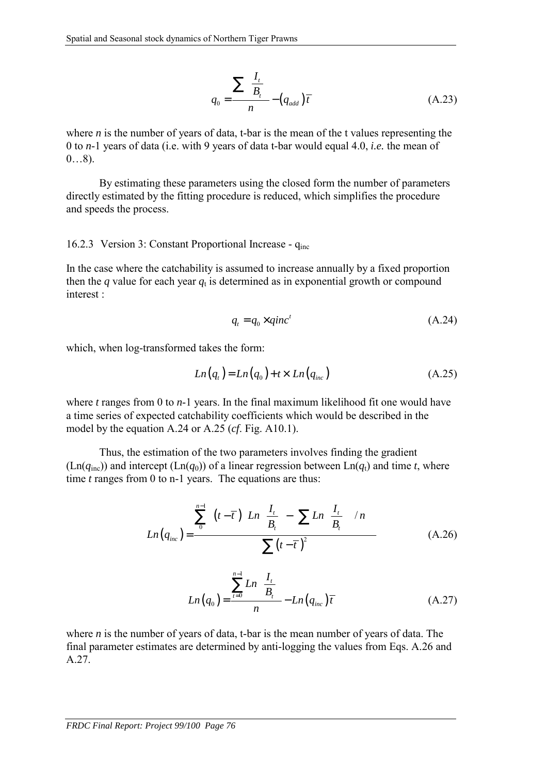$$
q_0 = \frac{\sum \left(\frac{I_t}{B_t}\right)}{n} - \left(q_{add}\right)\overline{t}
$$
 (A.23)

where *n* is the number of years of data, t-bar is the mean of the t values representing the 0 to *n*-1 years of data (i.e. with 9 years of data t-bar would equal 4.0, *i.e.* the mean of  $0...8$ ).

 By estimating these parameters using the closed form the number of parameters directly estimated by the fitting procedure is reduced, which simplifies the procedure and speeds the process.

#### 16.2.3 Version 3: Constant Proportional Increase - q<sub>inc</sub>

In the case where the catchability is assumed to increase annually by a fixed proportion then the *q* value for each year  $q_t$  is determined as in exponential growth or compound interest :

$$
q_t = q_0 \times qinc^t \tag{A.24}
$$

which, when log-transformed takes the form:

$$
Ln(qt) = Ln(q0) + t \times Ln(qinc)
$$
 (A.25)

where *t* ranges from 0 to *n*-1 years. In the final maximum likelihood fit one would have a time series of expected catchability coefficients which would be described in the model by the equation A.24 or A.25 (*cf*. Fig. A10.1).

 Thus, the estimation of the two parameters involves finding the gradient  $(Ln(q_{inc}))$  and intercept  $(Ln(q_0))$  of a linear regression between  $Ln(q_t)$  and time *t*, where time *t* ranges from 0 to n-1 years. The equations are thus:

$$
Ln(q_{inc}) = \frac{\sum_{0}^{n-1} \left( (t - \overline{t}) \left[ Ln\left(\frac{I_{t}}{B_{t}}\right) - \left(\sum Ln\left(\frac{I_{t}}{B_{t}}\right)\right) / n \right] \right)}{\sum (t - \overline{t})^{2}}
$$
(A.26)

$$
Ln(q_0) = \frac{\sum_{t=0}^{n-1} Ln\left(\frac{I_t}{B_t}\right)}{n} - Ln(q_{inc})\overline{t}
$$
 (A.27)

where *n* is the number of years of data, t-bar is the mean number of years of data. The final parameter estimates are determined by anti-logging the values from Eqs. A.26 and A.27.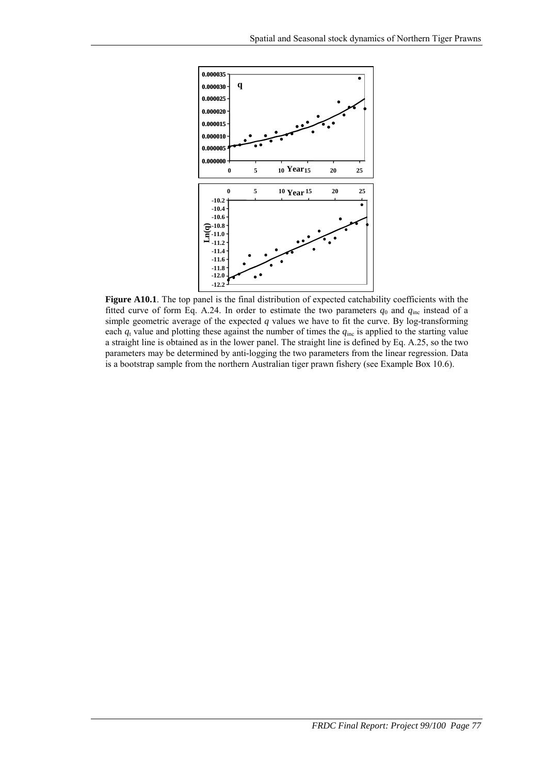

Figure A10.1. The top panel is the final distribution of expected catchability coefficients with the fitted curve of form Eq. A.24. In order to estimate the two parameters  $q_0$  and  $q_{inc}$  instead of a simple geometric average of the expected *q* values we have to fit the curve. By log-transforming each  $q_t$  value and plotting these against the number of times the  $q_{inc}$  is applied to the starting value a straight line is obtained as in the lower panel. The straight line is defined by Eq. A.25, so the two parameters may be determined by anti-logging the two parameters from the linear regression. Data is a bootstrap sample from the northern Australian tiger prawn fishery (see Example Box 10.6).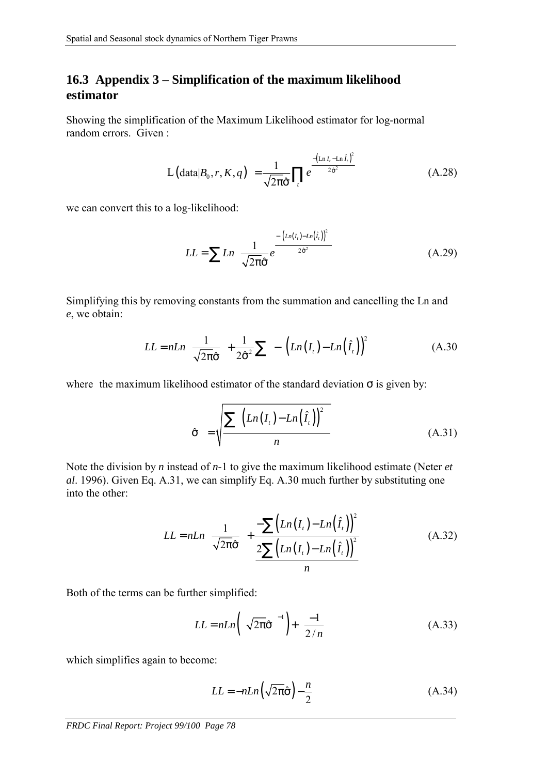# **16.3 Appendix 3 – Simplification of the maximum likelihood estimator**

Showing the simplification of the Maximum Likelihood estimator for log-normal random errors. Given :

$$
L\left(\text{data}|B_0, r, K, q\right) = \frac{1}{\sqrt{2\pi}\hat{\sigma}} \prod_t e^{\frac{-\left(\ln I_t - \ln \hat{I}_t\right)^2}{2\hat{\sigma}^2}}
$$
(A.28)

we can convert this to a log-likelihood:

$$
LL = \sum Ln \left[ \frac{1}{\sqrt{2\pi}\hat{\sigma}} e^{-\frac{\left[ \left( Ln(I_{t}) - Ln(\hat{I}_{t}) \right)^{2} \right]}{2\hat{\sigma}^{2}} \right]
$$
(A.29)

Simplifying this by removing constants from the summation and cancelling the Ln and *e*, we obtain:

$$
LL = nLn\left(\frac{1}{\sqrt{2\pi}\hat{\sigma}}\right) + \frac{1}{2\hat{\sigma}^2}\sum \left[ -\left[ \left(Ln\left(I_{\iota}\right) - Ln\left(\hat{I}_{\iota}\right)\right)^2 \right] \right]
$$
(A.30)

where the maximum likelihood estimator of the standard deviation  $\sigma$  is given by:

$$
\hat{\sigma} = \sqrt{\frac{\sum \left[ \left( Ln(I_t) - Ln(\hat{I}_t) \right)^2 \right]}{n}}
$$
\n(A.31)

Note the division by *n* instead of *n*-1 to give the maximum likelihood estimate (Neter *et al*. 1996). Given Eq. A.31, we can simplify Eq. A.30 much further by substituting one into the other:

$$
LL = nLn\left(\frac{1}{\sqrt{2\pi}\hat{\sigma}}\right) + \frac{-\sum (Ln(I_t) - Ln(\hat{I}_t))^2}{2\sum (Ln(I_t) - Ln(\hat{I}_t))^2}
$$
(A.32)

Both of the terms can be further simplified:

$$
LL = nLn\left(\left[\sqrt{2\pi}\hat{\sigma}\right]^{-1}\right) + \left(\frac{-1}{2/n}\right)
$$
(A.33)

which simplifies again to become:

$$
LL = -nLn\left(\sqrt{2\pi}\hat{\sigma}\right) - \frac{n}{2}
$$
 (A.34)

*FRDC Final Report: Project 99/100 Page 78*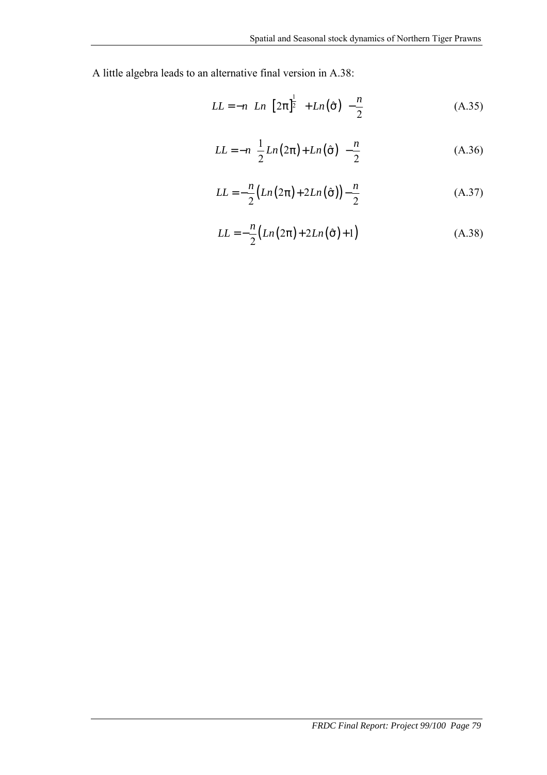A little algebra leads to an alternative final version in A.38:

$$
LL = -n \left[ Ln \left( \left[ 2\pi \right]^{\frac{1}{2}} \right) + Ln \left( \hat{\sigma} \right) \right] - \frac{n}{2}
$$
 (A.35)

$$
LL = -n \left[ \frac{1}{2} Ln(2\pi) + Ln(\hat{\sigma}) \right] - \frac{n}{2}
$$
 (A.36)

$$
LL = -\frac{n}{2} \left( Ln(2\pi) + 2Ln(\hat{\sigma}) \right) - \frac{n}{2}
$$
 (A.37)

$$
LL = -\frac{n}{2} (Ln(2\pi) + 2Ln(\hat{\sigma}) + 1)
$$
 (A.38)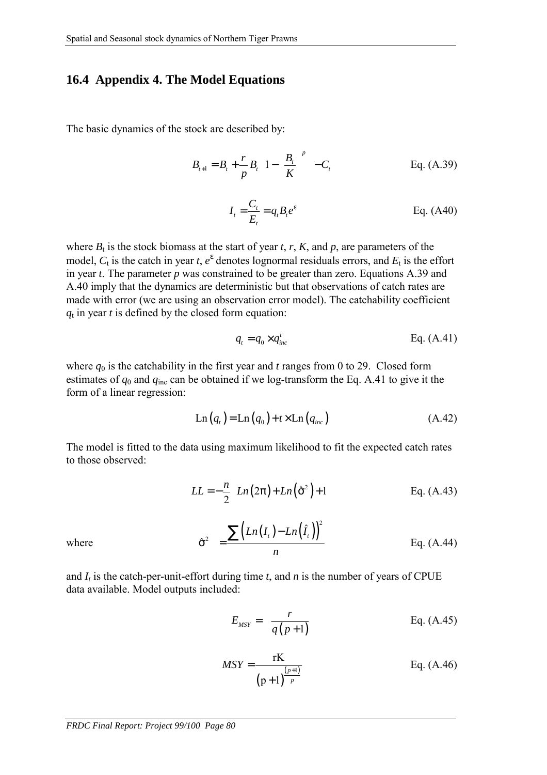### **16.4 Appendix 4. The Model Equations**

The basic dynamics of the stock are described by:

$$
B_{t+1} = B_t + \frac{r}{p} B_t \left[ 1 - \left( \frac{B_t}{K} \right)^p \right] - C_t
$$
 Eq. (A.39)  

$$
I_t = \frac{C_t}{E_t} = q_t B_t e^{\varepsilon}
$$
 Eq. (A40)

where  $B_t$  is the stock biomass at the start of year *t*, *r*, *K*, and *p*, are parameters of the model,  $C_t$  is the catch in year  $t$ ,  $e^{\epsilon}$  denotes lognormal residuals errors, and  $E_t$  is the effort in year *t*. The parameter *p* was constrained to be greater than zero. Equations A.39 and A.40 imply that the dynamics are deterministic but that observations of catch rates are made with error (we are using an observation error model). The catchability coefficient  $q_t$  in year  $t$  is defined by the closed form equation:

$$
q_t = q_0 \times q_{inc}^t \qquad \qquad \text{Eq. (A.41)}
$$

where  $q_0$  is the catchability in the first year and *t* ranges from 0 to 29. Closed form estimates of  $q_0$  and  $q_{inc}$  can be obtained if we log-transform the Eq. A.41 to give it the form of a linear regression:

$$
Ln(qt) = Ln(q0) + t \times Ln(qinc)
$$
 (A.42)

The model is fitted to the data using maximum likelihood to fit the expected catch rates to those observed:

$$
LL = -\frac{n}{2} \Big[ Ln(2\pi) + Ln(\hat{\sigma}^2) + 1 \Big] \qquad \qquad \text{Eq. (A.43)}
$$

where 
$$
\hat{\sigma}^2 = \frac{\sum (Ln(I_t) - Ln(\hat{I}_t))^2}{n}
$$
 Eq. (A.44)

and  $I_t$  is the catch-per-unit-effort during time  $t$ , and  $n$  is the number of years of CPUE data available. Model outputs included:

$$
E_{MSY} = \frac{r}{q(p+1)}
$$
 Eq. (A.45)

$$
MSY = \frac{rK}{(p+1)^{\frac{(p+1)}{p}}}
$$
 Eq. (A.46)